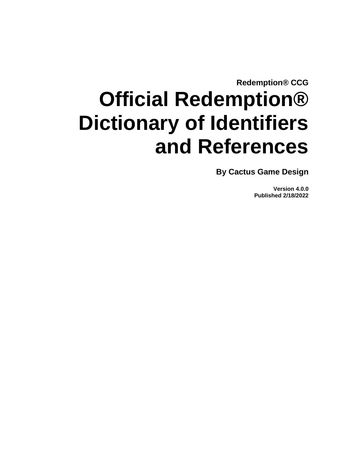**Redemption® CCG**

# **Official Redemption® Dictionary of Identifiers and References**

**By Cactus Game Design**

**Version 4.0.0 Published 2/18/2022**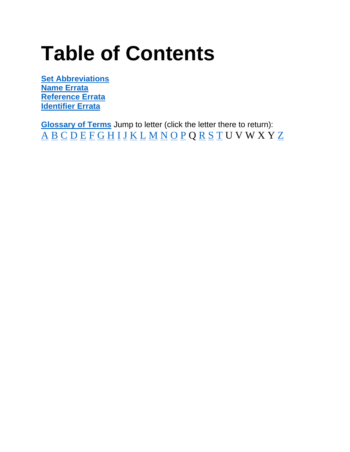# **Table of Contents**

**[Set Abbreviations](#page-2-0) [Name Errata](#page-3-0) [Reference Errata](#page-4-0) [Identifier](#page-5-0) Errata**

<span id="page-1-0"></span>**[Glossary of Terms](#page-5-0)** Jump to letter (click the letter there to return): [A](#page-6-0) [B](#page-11-0) [C](#page-13-0) [D](#page-17-0) [E](#page-22-0) [F](#page-29-0) [G](#page-31-0) [H](#page-39-0) [I](#page-44-0) [J](#page-54-0) [K](#page-62-0) [L](#page-65-0) [M](#page-68-0) [N](#page-76-0) [O](#page-78-0) [P](#page-78-1) Q [R](#page-86-0) [S](#page-94-0) [T](#page-99-0) U V W X Y [Z](#page-102-0)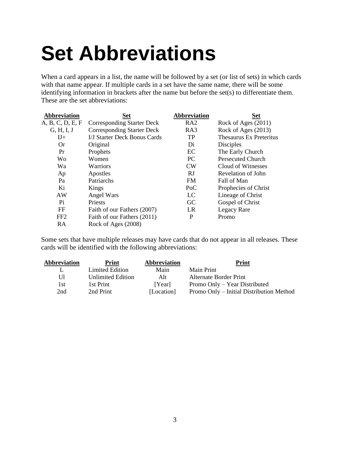# <span id="page-2-0"></span>**Set Abbreviations**

When a card appears in a list, the name will be followed by a set (or list of sets) in which cards with that name appear. If multiple cards in a set have the same name, there will be some identifying information in brackets after the name but before the set(s) to differentiate them. These are the set abbreviations:

| <b>Abbreviation</b> | <b>Set</b>                        | <b>Abbreviation</b> | <b>Set</b>               |
|---------------------|-----------------------------------|---------------------|--------------------------|
| A, B, C, D, E, F    | Corresponding Starter Deck        | RA <sub>2</sub>     | Rock of Ages (2011)      |
| G, H, I, J          | <b>Corresponding Starter Deck</b> | RA3                 | Rock of Ages (2013)      |
| $I J+$              | I/J Starter Deck Bonus Cards      | <b>TP</b>           | Thesaurus Ex Preteritus  |
| <b>Or</b>           | Original                          | Di                  | <b>Disciples</b>         |
| Pr                  | Prophets                          | EC                  | The Early Church         |
| Wo                  | Women                             | <b>PC</b>           | <b>Persecuted Church</b> |
| Wa                  | Warriors                          | <b>CW</b>           | Cloud of Witnesses       |
| Ap                  | Apostles                          | RJ                  | Revelation of John       |
| Pa                  | Patriarchs                        | <b>FM</b>           | Fall of Man              |
| Ki                  | Kings                             | PoC                 | Prophecies of Christ     |
| AW                  | Angel Wars                        | LC                  | Lineage of Christ        |
| Pi                  | Priests                           | GC                  | Gospel of Christ         |
| FF                  | Faith of our Fathers (2007)       | LR                  | Legacy Rare              |
| FF <sub>2</sub>     | Faith of our Fathers (2011)       | P                   | Promo                    |
| RA                  | Rock of Ages (2008)               |                     |                          |

Some sets that have multiple releases may have cards that do not appear in all releases. These cards will be identified with the following abbreviations:

| Abbreviation | Print                    | Abbreviation | Print                                    |
|--------------|--------------------------|--------------|------------------------------------------|
| L            | Limited Edition          | Main         | Main Print                               |
| UП           | <b>Unlimited Edition</b> | Alt          | Alternate Border Print                   |
| 1st          | 1st Print                | [Year]       | Promo Only – Year Distributed            |
| 2nd          | 2nd Print                | [Location]   | Promo Only – Initial Distribution Method |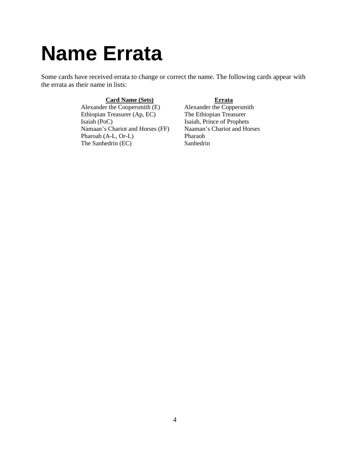## <span id="page-3-0"></span>**Name Errata**

Some cards have received errata to change or correct the name. The following cards appear with the errata as their name in lists:

Alexander the Coopersmith (E) Alexander the Coppersmith (E) Alexander the Coppersmith (E) Alexander the Coppersmith (E) Alexander the Coppersmith (E) Alexander the Coppersmith (E) Alexander the Ethiopian Treasurer Ethiopian Treasurer (Ap, EC) Isaiah (PoC) Isaiah, Prince of Prophets Namaan's Chariot and Horses (FF) Naaman's Chariot and Horses Pharoah (A-L, Or-L) Pharaoh The Sanhedrin (EC) Sanhedrin

**Card Name (Sets)**<br>
Frie Coopersmith (E) Alexander the Coppersmith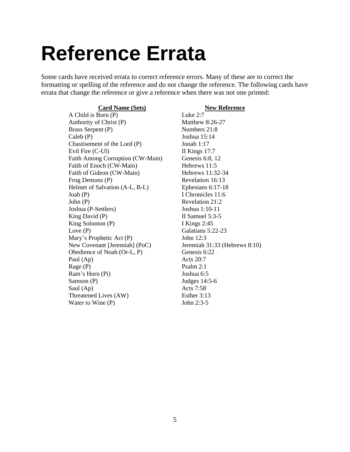## <span id="page-4-0"></span>**Reference Errata**

Some cards have received errata to correct reference errors. Many of these are to correct the formatting or spelling of the reference and do not change the reference. The following cards have errata that change the reference or give a reference when there was not one printed:

**Card Name (Sets) New Reference**

A Child is Born (P) Luke 2:7 Authority of Christ (P) Matthew 8:26-27 Brass Serpent (P) Numbers 21:8 Caleb (P) Joshua 15:14 Chastisement of the Lord (P) Jonah 1:17 Evil Fire (C-Ul) II Kings 17:7 Faith Among Corruption (CW-Main) Genesis 6:8, 12 Faith of Enoch (CW-Main) Hebrews 11:5 Faith of Gideon (CW-Main) Hebrews 11:32-34 Frog Demons (P) Revelation 16:13 Helmet of Salvation (A-L, B-L) Ephesians 6:17-18 Joab (P) I Chronicles 11:6 John (P) Revelation 21:2 Joshua (P-Settlers) Joshua 1:10-11 King David (P) II Samuel 5:3-5 King Solomon (P) I Kings 2:45 Love (P) Galatians 5:22-23 Mary's Prophetic Act (P) John 12:3 New Covenant [Jeremiah] (PoC) Jeremiah 31:33 (Hebrews 8:10) Obedience of Noah (Or-L, P) Genesis 6:22 Paul (Ap) Acts 20:7 Rage (P) Psalm 2:1 Ram's Horn (Pi) Joshua 6:5 Samson (P) Judges 14:5-6 Saul (Ap) Acts 7:58 Threatened Lives (AW) Esther 3:13 Water to Wine (P) John 2:3-5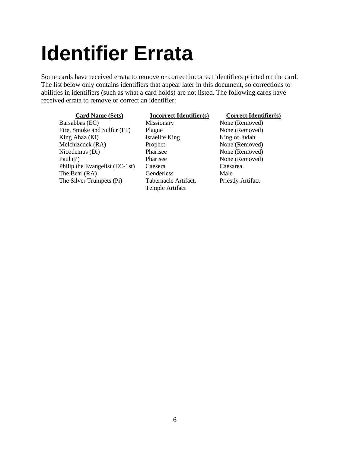# <span id="page-5-0"></span>**Identifier Errata**

Some cards have received errata to remove or correct incorrect identifiers printed on the card. The list below only contains identifiers that appear later in this document, so corrections to abilities in identifiers (such as what a card holds) are not listed. The following cards have received errata to remove or correct an identifier:

#### Barsabbas (EC) Missionary None (Removed) Fire, Smoke and Sulfur (FF) Plague None (Removed) King Ahaz (Ki) Israelite King King of Judah Melchizedek (RA) Prophet None (Removed) Nicodemus (Di) Pharisee None (Removed) Paul (P) Pharisee None (Removed) Philip the Evangelist (EC-1st) Caesera Caesarea The Bear (RA) Genderless Male The Silver Trumpets (Pi) Tabernacle Artifact,

#### **Card Name (Sets) Incorrect Identifier(s) Correct Identifier(s)**

Temple Artifact

Priestly Artifact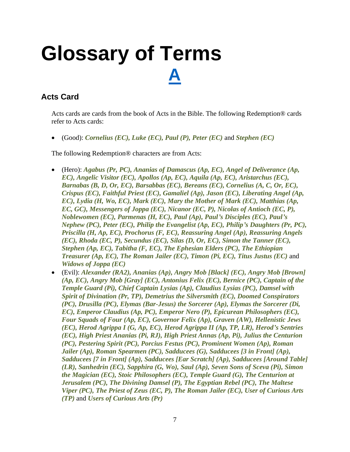## <span id="page-6-0"></span>**Glossary of Terms [A](#page-1-0)**

### **Acts Card**

Acts cards are cards from the book of Acts in the Bible. The following Redemption® cards refer to Acts cards:

• (Good): *Cornelius (EC), Luke (EC), Paul (P), Peter (EC)* and *Stephen (EC)*

The following Redemption® characters are from Acts:

- (Hero): *Agabus (Pr, PC), Ananias of Damascus (Ap, EC), Angel of Deliverance (Ap, EC), Angelic Visitor (EC), Apollos (Ap, EC), Aquila (Ap, EC), Aristarchus (EC), Barnabas (B, D, Or, EC), Barsabbas (EC), Bereans (EC), Cornelius (A, C, Or, EC), Crispus (EC), Faithful Priest (EC), Gamaliel (Ap), Jason (EC), Liberating Angel (Ap, EC), Lydia (H, Wo, EC), Mark (EC), Mary the Mother of Mark (EC), Matthias (Ap, EC, GC), Messengers of Joppa (EC), Nicanor (EC, P), Nicolas of Antioch (EC, P), Noblewomen (EC), Parmenas (H, EC), Paul (Ap), Paul's Disciples (EC), Paul's Nephew (PC), Peter (EC), Philip the Evangelist (Ap, EC), Philip's Daughters (Pr, PC), Priscilla (H, Ap, EC), Prochorus (F, EC), Reassuring Angel (Ap), Reassuring Angels (EC), Rhoda (EC, P), Secundus (EC), Silas (D, Or, EC), Simon the Tanner (EC), Stephen (Ap, EC), Tabitha (F, EC), The Ephesian Elders (PC), The Ethiopian Treasurer (Ap, EC), The Roman Jailer (EC), Timon (Pi, EC), Titus Justus (EC)* and *Widows of Joppa (EC)*
- (Evil): *Alexander (RA2), Ananias (Ap), Angry Mob [Black] (EC), Angry Mob [Brown] (Ap, EC), Angry Mob [Gray] (EC), Antonius Felix (EC), Bernice (PC), Captain of the Temple Guard (Pi), Chief Captain Lysias (Ap), Claudius Lysias (PC), Damsel with Spirit of Divination (Pr, TP), Demetrius the Silversmith (EC), Doomed Conspirators (PC), Drusilla (PC), Elymas (Bar-Jesus) the Sorcerer (Ap), Elymas the Sorcerer (Di, EC), Emperor Claudius (Ap, PC), Emperor Nero (P), Epicurean Philosophers (EC), Four Squads of Four (Ap, EC), Governor Felix (Ap), Graven (AW), Hellenistic Jews (EC), Herod Agrippa I (G, Ap, EC), Herod Agrippa II (Ap, TP, LR), Herod's Sentries (EC), High Priest Ananias (Pi, RJ), High Priest Annas (Ap, Pi), Julius the Centurion (PC), Pestering Spirit (PC), Porcius Festus (PC), Prominent Women (Ap), Roman Jailer (Ap), Roman Spearmen (PC), Sadducees (G), Sadducees [3 in Front] (Ap), Sadducees [7 in Front] (Ap), Sadducees [Ear Scratch] (Ap), Sadducees [Around Table] (LR), Sanhedrin (EC), Sapphira (G, Wo), Saul (Ap), Seven Sons of Sceva (Pi), Simon the Magician (EC), Stoic Philosophers (EC), Temple Guard (G), The Centurion at Jerusalem (PC), The Divining Damsel (P), The Egyptian Rebel (PC), The Maltese Viper (PC), The Priest of Zeus (EC, P), The Roman Jailer (EC), User of Curious Arts (TP)* and *Users of Curious Arts (Pr)*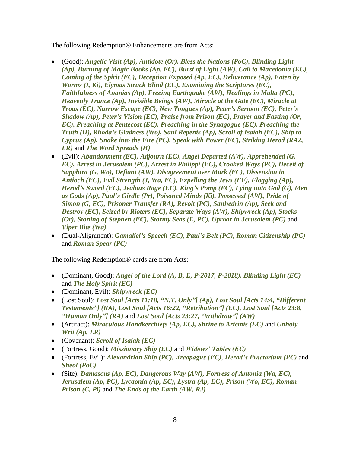The following Redemption® Enhancements are from Acts:

- (Good): *Angelic Visit (Ap), Antidote (Or), Bless the Nations (PoC), Blinding Light (Ap), Burning of Magic Books (Ap, EC), Burst of Light (AW), Call to Macedonia (EC), Coming of the Spirit (EC), Deception Exposed (Ap, EC), Deliverance (Ap), Eaten by Worms (I, Ki), Elymas Struck Blind (EC), Examining the Scriptures (EC), Faithfulness of Ananias (Ap), Freeing Earthquake (AW), Healings in Malta (PC), Heavenly Trance (Ap), Invisible Beings (AW), Miracle at the Gate (EC), Miracle at Troas (EC), Narrow Escape (EC), New Tongues (Ap), Peter's Sermon (EC), Peter's Shadow (Ap), Peter's Vision (EC), Praise from Prison (EC), Prayer and Fasting (Or, EC), Preaching at Pentecost (EC), Preaching in the Synagogue (EC), Preaching the Truth (H), Rhoda's Gladness (Wo), Saul Repents (Ap), Scroll of Isaiah (EC), Ship to Cyprus (Ap), Snake into the Fire (PC), Speak with Power (EC), Striking Herod (RA2, LR)* and *The Word Spreads (H)*
- (Evil): *Abandonment (EC), Adjourn (EC), Angel Departed (AW), Apprehended (G, EC*), Arrest in Jerusalem (PC), Arrest in Philippi (EC), Crooked Ways (PC), Deceit of *Sapphira (G, Wo), Defiant (AW), Disagreement over Mark (EC), Dissension in Antioch (EC), Evil Strength (J, Wa, EC), Expelling the Jews (FF), Flogging (Ap), Herod's Sword (EC), Jealous Rage (EC), King's Pomp (EC), Lying unto God (G), Men as Gods (Ap), Paul's Girdle (Pr), Poisoned Minds (Ki), Possessed (AW), Pride of Simon (G, EC), Prisoner Transfer (RA), Revolt (PC), Sanhedrin (Ap), Seek and Destroy (EC), Seized by Rioters (EC), Separate Ways (AW), Shipwreck (Ap), Stocks (Or), Stoning of Stephen (EC), Stormy Seas (E, PC), Uproar in Jerusalem (PC)* and *Viper Bite (Wa)*
- (Dual-Alignment): *Gamaliel's Speech (EC), Paul's Belt (PC), Roman Citizenship (PC)* and *Roman Spear (PC)*

The following Redemption® cards are from Acts:

- (Dominant, Good): *Angel of the Lord (A, B, E, P-2017, P-2018), Blinding Light (EC)* and *The Holy Spirit (EC)*
- (Dominant, Evil): *Shipwreck (EC)*
- (Lost Soul): *Lost Soul [Acts 11:18, "N.T. Only"] (Ap), Lost Soul [Acts 14:4, "Different Testaments"] (RA), Lost Soul [Acts 16:22, "Retribution"] (EC), Lost Soul [Acts 23:8, "Human Only"] (RA)* and *Lost Soul [Acts 23:27, "Withdraw"] (AW)*
- (Artifact): *Miraculous Handkerchiefs (Ap, EC), Shrine to Artemis (EC)* and *Unholy Writ (Ap, LR)*
- (Covenant): *Scroll of Isaiah (EC)*
- (Fortress, Good): *Missionary Ship (EC)* and *Widows' Tables (EC)*
- (Fortress, Evil): *Alexandrian Ship (PC), Areopagus (EC), Herod's Praetorium (PC)* and *Sheol (PoC)*
- (Site): *Damascus (Ap, EC), Dangerous Way (AW), Fortress of Antonia (Wa, EC), Jerusalem (Ap, PC), Lycaonia (Ap, EC), Lystra (Ap, EC), Prison (Wo, EC), Roman Prison (C, Pi)* and *The Ends of the Earth (AW, RJ)*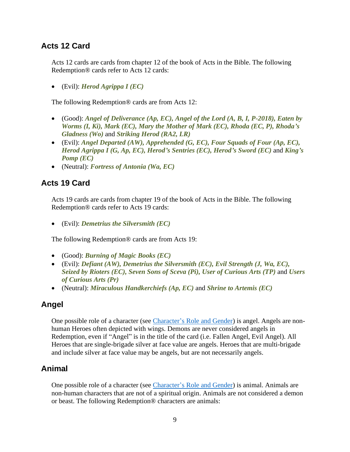#### **Acts 12 Card**

Acts 12 cards are cards from chapter 12 of the book of Acts in the Bible. The following Redemption® cards refer to Acts 12 cards:

• (Evil): *Herod Agrippa I (EC)*

The following Redemption® cards are from Acts 12:

- (Good): *Angel of Deliverance (Ap, EC), Angel of the Lord (A, B, I, P-2018), Eaten by Worms (I, Ki), Mark (EC), Mary the Mother of Mark (EC), Rhoda (EC, P), Rhoda's Gladness (Wo)* and *Striking Herod (RA2, LR)*
- (Evil): *Angel Departed (AW), Apprehended (G, EC), Four Squads of Four (Ap, EC), Herod Agrippa I (G, Ap, EC), Herod's Sentries (EC), Herod's Sword (EC)* and *King's Pomp (EC)*
- (Neutral): *Fortress of Antonia (Wa, EC)*

#### **Acts 19 Card**

Acts 19 cards are cards from chapter 19 of the book of Acts in the Bible. The following Redemption® cards refer to Acts 19 cards:

• (Evil): *Demetrius the Silversmith (EC)*

The following Redemption® cards are from Acts 19:

- (Good): *Burning of Magic Books (EC)*
- (Evil): *Defiant (AW), Demetrius the Silversmith (EC), Evil Strength (J, Wa, EC), Seized by Rioters (EC), Seven Sons of Sceva (Pi), User of Curious Arts (TP)* and *Users of Curious Arts (Pr)*
- (Neutral): *Miraculous Handkerchiefs (Ap, EC)* and *Shrine to Artemis (EC)*

#### <span id="page-8-0"></span>**Angel**

One possible role of a character (see [Character's Role and Gender\)](#page-14-0) is angel. Angels are nonhuman Heroes often depicted with wings. Demons are never considered angels in Redemption, even if "Angel" is in the title of the card (i.e. Fallen Angel, Evil Angel). All Heroes that are single-brigade silver at face value are angels. Heroes that are multi-brigade and include silver at face value may be angels, but are not necessarily angels.

#### <span id="page-8-1"></span>**Animal**

One possible role of a character (see [Character's Role and Gender\)](#page-14-0) is animal. Animals are non-human characters that are not of a spiritual origin. Animals are not considered a demon or beast. The following Redemption® characters are animals: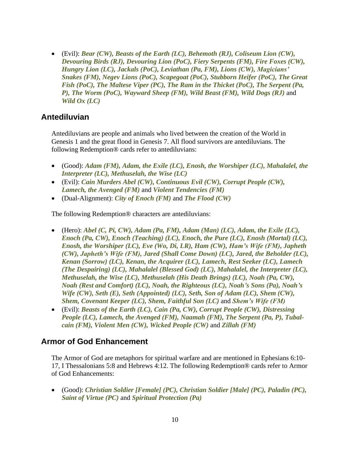• (Evil): *Bear (CW), Beasts of the Earth (LC), Behemoth (RJ), Coliseum Lion (CW), Devouring Birds (RJ), Devouring Lion (PoC), Fiery Serpents (FM), Fire Foxes (CW), Hungry Lion (LC), Jackals (PoC), Leviathan (Pa, FM), Lions (CW), Magicians' Snakes (FM), Negev Lions (PoC), Scapegoat (PoC), Stubborn Heifer (PoC), The Great Fish (PoC), The Maltese Viper (PC), The Ram in the Thicket (PoC), The Serpent (Pa, P), The Worm (PoC), Wayward Sheep (FM), Wild Beast (FM), Wild Dogs (RJ)* and *Wild Ox (LC)*

#### **Antediluvian**

Antediluvians are people and animals who lived between the creation of the World in Genesis 1 and the great flood in Genesis 7. All flood survivors are antediluvians. The following Redemption® cards refer to antediluvians:

- (Good): *Adam (FM), Adam, the Exile (LC), Enosh, the Worshiper (LC), Mahalalel, the Interpreter (LC), Methuselah, the Wise (LC)*
- (Evil): *Cain Murders Abel (CW), Continuous Evil (CW), Corrupt People (CW), Lamech, the Avenged (FM)* and *Violent Tendencies (FM)*
- (Dual-Alignment): *City of Enoch (FM)* and *The Flood (CW)*

The following Redemption® characters are antediluvians:

- (Hero): *Abel (C, Pi, CW), Adam (Pa, FM), Adam (Man) (LC), Adam, the Exile (LC), Enoch (Pa, CW), Enoch (Teaching) (LC), Enoch, the Pure (LC), Enosh (Mortal) (LC), Enosh, the Worshiper (LC), Eve (Wo, Di, LR), Ham (CW), Ham's Wife (FM), Japheth (CW), Japheth's Wife (FM), Jared (Shall Come Down) (LC), Jared, the Beholder (LC), Kenan (Sorrow) (LC), Kenan, the Acquirer (LC), Lamech, Rest Seeker (LC), Lamech (The Despairing) (LC), Mahalalel (Blessed God) (LC), Mahalalel, the Interpreter (LC), Methuselah, the Wise (LC), Methuselah (His Death Brings) (LC), Noah (Pa, CW), Noah (Rest and Comfort) (LC), Noah, the Righteous (LC), Noah's Sons (Pa), Noah's Wife (CW), Seth (E), Seth (Appointed) (LC), Seth, Son of Adam (LC), Shem (CW), Shem, Covenant Keeper (LC), Shem, Faithful Son (LC)* and *Shem's Wife (FM)*
- (Evil): *Beasts of the Earth (LC), Cain (Pa, CW), Corrupt People (CW), Distressing People (LC), Lamech, the Avenged (FM), Naamah (FM), The Serpent (Pa, P), Tubalcain (FM), Violent Men (CW), Wicked People (CW)* and *Zillah (FM)*

#### **Armor of God Enhancement**

The Armor of God are metaphors for spiritual warfare and are mentioned in Ephesians 6:10- 17, I Thessalonians 5:8 and Hebrews 4:12. The following Redemption® cards refer to Armor of God Enhancements:

• (Good): *Christian Soldier [Female] (PC), Christian Soldier [Male] (PC), Paladin (PC), Saint of Virtue (PC)* and *Spiritual Protection (Pa)*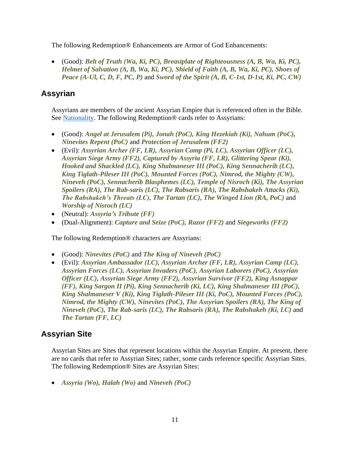The following Redemption® Enhancements are Armor of God Enhancements:

• (Good): *Belt of Truth (Wa, Ki, PC), Breastplate of Righteousness (A, B, Wa, Ki, PC), Helmet of Salvation (A, B, Wa, Ki, PC), Shield of Faith (A, B, Wa, Ki, PC), Shoes of Peace (A-Ul, C, D, F, PC, P)* and *Sword of the Spirit (A, B, C-1st, D-1st, Ki, PC, CW)*

#### **Assyrian**

Assyrians are members of the ancient Assyrian Empire that is referenced often in the Bible. See [Nationality.](#page-76-1) The following Redemption<sup>®</sup> cards refer to Assyrians:

- (Good): *Angel at Jerusalem (Pi), Jonah (PoC), King Hezekiah (Ki), Nahum (PoC), Ninevites Repent (PoC)* and *Protection of Jerusalem (FF2)*
- (Evil): *Assyrian Archer (FF, LR), Assyrian Camp (Pi, LC), Assyrian Officer (LC), Assyrian Siege Army (FF2), Captured by Assyria (FF, LR), Glittering Spear (Ki), Hooked and Shackled (LC), King Shalmaneser III (PoC), King Sennacherib (LC), King Tiglath-Pileser III (PoC), Mounted Forces (PoC), Nimrod, the Mighty (CW), Nineveh (PoC), Sennacherib Blasphemes (LC), Temple of Nisroch (Ki), The Assyrian Spoilers (RA), The Rab-saris (LC), The Rabsaris (RA), The Rabshakeh Attacks (Ki), The Rabshakeh's Threats (LC), The Tartan (LC), The Winged Lion (RA, PoC)* and *Worship of Nisroch (LC)*
- (Neutral): *Assyria's Tribute (FF)*
- (Dual-Alignment): *Capture and Seize (PoC), Razor (FF2)* and *Siegeworks (FF2)*

The following Redemption® characters are Assyrians:

- (Good): *Ninevites (PoC)* and *The King of Nineveh (PoC)*
- (Evil): *Assyrian Ambassador (LC), Assyrian Archer (FF, LR), Assyrian Camp (LC), Assyrian Forces (LC), Assyrian Invaders (PoC), Assyrian Laborers (PoC), Assyrian Officer (LC), Assyrian Siege Army (FF2), Assyrian Survivor (FF2), King Asnappar (FF), King Sargon II (Pi), King Sennacherib (Ki, LC), King Shalmaneser III (PoC), King Shalmaneser V (Ki), King Tiglath-Pileser III (Ki, PoC), Mounted Forces (PoC), Nimrod, the Mighty (CW), Ninevites (PoC), The Assyrian Spoilers (RA), The King of Nineveh (PoC), The Rab-saris (LC), The Rabsaris (RA), The Rabshakeh (Ki, LC)* and *The Tartan (FF, LC)*

### **Assyrian Site**

Assyrian Sites are Sites that represent locations within the Assyrian Empire. At present, there are no cards that refer to Assyrian Sites; rather, some cards reference specific Assyrian Sites. The following Redemption® Sites are Assyrian Sites:

• *Assyria (Wo), Halah (Wo)* and *Nineveh (PoC)*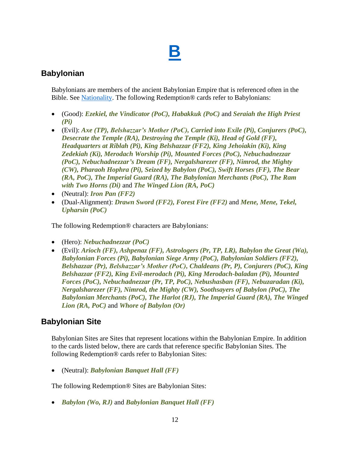## **[B](#page-1-0)**

#### <span id="page-11-0"></span>**Babylonian**

Babylonians are members of the ancient Babylonian Empire that is referenced often in the Bible. See [Nationality.](#page-76-1) The following Redemption® cards refer to Babylonians:

- (Good): *Ezekiel, the Vindicator (PoC), Habakkuk (PoC)* and *Seraiah the High Priest (Pi)*
- (Evil): *Axe (TP), Belshazzar's Mother (PoC), Carried into Exile (Pi), Conjurers (PoC), Desecrate the Temple (RA), Destroying the Temple (Ki), Head of Gold (FF), Headquarters at Riblah (Pi), King Belshazzar (FF2), King Jehoiakin (Ki), King Zedekiah (Ki), Merodach Worship (Pi), Mounted Forces (PoC), Nebuchadnezzar (PoC), Nebuchadnezzar's Dream (FF), Nergalsharezer (FF), Nimrod, the Mighty (CW), Pharaoh Hophra (Pi), Seized by Babylon (PoC), Swift Horses (FF), The Bear (RA, PoC), The Imperial Guard (RA), The Babylonian Merchants (PoC), The Ram with Two Horns (Di)* and *The Winged Lion (RA, PoC)*
- (Neutral): *Iron Pan (FF2)*
- (Dual-Alignment): *Drawn Sword (FF2), Forest Fire (FF2)* and *Mene, Mene, Tekel, Upharsin (PoC)*

The following Redemption® characters are Babylonians:

- (Hero): *Nebuchadnezzar (PoC)*
- (Evil): *Arioch (FF), Ashpenaz (FF), Astrologers (Pr, TP, LR), Babylon the Great (Wa), Babylonian Forces (Pi), Babylonian Siege Army (PoC), Babylonian Soldiers (FF2), Belshazzar (Pr), Belshazzar's Mother (PoC), Chaldeans (Pr, P), Conjurers (PoC), King Belshazzar (FF2), King Evil-merodach (Pi), King Merodach-baladan (Pi), Mounted Forces (PoC), Nebuchadnezzar (Pr, TP, PoC), Nebushasban (FF), Nebuzaradan (Ki), Nergalsharezer (FF), Nimrod, the Mighty (CW), Soothsayers of Babylon (PoC), The Babylonian Merchants (PoC), The Harlot (RJ), The Imperial Guard (RA), The Winged Lion (RA, PoC)* and *Whore of Babylon (Or)*

### **Babylonian Site**

Babylonian Sites are Sites that represent locations within the Babylonian Empire. In addition to the cards listed below, there are cards that reference specific Babylonian Sites. The following Redemption® cards refer to Babylonian Sites:

• (Neutral): *Babylonian Banquet Hall (FF)*

The following Redemption® Sites are Babylonian Sites:

• *Babylon (Wo, RJ)* and *Babylonian Banquet Hall (FF)*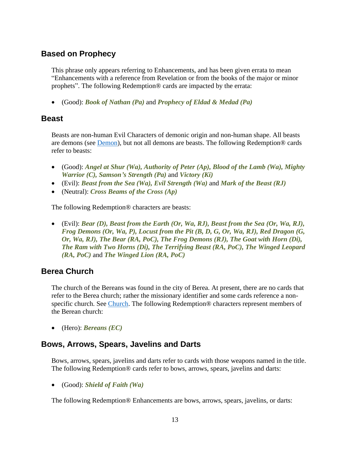#### **Based on Prophecy**

This phrase only appears referring to Enhancements, and has been given errata to mean "Enhancements with a reference from Revelation or from the books of the major or minor prophets". The following Redemption® cards are impacted by the errata:

• (Good): *Book of Nathan (Pa)* and *Prophecy of Eldad & Medad (Pa)*

#### <span id="page-12-1"></span>**Beast**

Beasts are non-human Evil Characters of demonic origin and non-human shape. All beasts are demons (see [Demon\)](#page-19-0), but not all demons are beasts. The following Redemption® cards refer to beasts:

- (Good): *Angel at Shur (Wa), Authority of Peter (Ap), Blood of the Lamb (Wa), Mighty Warrior (C), Samson's Strength (Pa)* and *Victory (Ki)*
- (Evil): *Beast from the Sea (Wa), Evil Strength (Wa)* and *Mark of the Beast (RJ)*
- (Neutral): *Cross Beams of the Cross (Ap)*

The following Redemption® characters are beasts:

• (Evil): *Bear (D), Beast from the Earth (Or, Wa, RJ), Beast from the Sea (Or, Wa, RJ), Frog Demons (Or, Wa, P), Locust from the Pit (B, D, G, Or, Wa, RJ), Red Dragon (G, Or, Wa, RJ), The Bear (RA, PoC), The Frog Demons (RJ), The Goat with Horn (Di), The Ram with Two Horns (Di), The Terrifying Beast (RA, PoC), The Winged Leopard (RA, PoC)* and *The Winged Lion (RA, PoC)*

#### <span id="page-12-0"></span>**Berea Church**

The church of the Bereans was found in the city of Berea. At present, there are no cards that refer to the Berea church; rather the missionary identifier and some cards reference a nonspecific church. See [Church.](#page-15-0) The following Redemption® characters represent members of the Berean church:

• (Hero): *Bereans (EC)*

#### **Bows, Arrows, Spears, Javelins and Darts**

Bows, arrows, spears, javelins and darts refer to cards with those weapons named in the title. The following Redemption® cards refer to bows, arrows, spears, javelins and darts:

• (Good): *Shield of Faith (Wa)*

The following Redemption® Enhancements are bows, arrows, spears, javelins, or darts: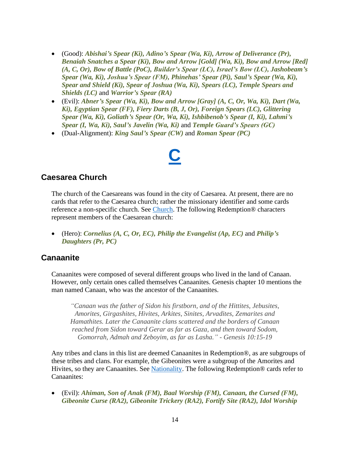- (Good): *Abishai's Spear (Ki), Adino's Spear (Wa, Ki), Arrow of Deliverance (Pr), Benaiah Snatches a Spear (Ki), Bow and Arrow [Gold] (Wa, Ki), Bow and Arrow [Red] (A, C, Or), Bow of Battle (PoC), Builder's Spear (LC), Israel's Bow (LC), Jashobeam's Spear (Wa, Ki), Joshua's Spear (FM), Phinehas' Spear (Pi), Saul's Spear (Wa, Ki), Spear and Shield (Ki), Spear of Joshua (Wa, Ki), Spears (LC), Temple Spears and Shields (LC)* and *Warrior's Spear (RA)*
- (Evil): *Abner's Spear (Wa, Ki), Bow and Arrow [Gray] (A, C, Or, Wa, Ki), Dart (Wa, Ki), Egyptian Spear (FF), Fiery Darts (B, J, Or), Foreign Spears (LC), Glittering Spear (Wa, Ki), Goliath's Spear (Or, Wa, Ki), Ishbibenob's Spear (I, Ki), Lahmi's Spear (I, Wa, Ki), Saul's Javelin (Wa, Ki)* and *Temple Guard's Spears (GC)*
- <span id="page-13-0"></span>• (Dual-Alignment): *King Saul's Spear (CW)* and *Roman Spear (PC)*

### **[C](#page-1-0)**

#### <span id="page-13-1"></span>**Caesarea Church**

The church of the Caesareans was found in the city of Caesarea. At present, there are no cards that refer to the Caesarea church; rather the missionary identifier and some cards reference a non-specific church. See [Church.](#page-15-0) The following Redemption® characters represent members of the Caesarean church:

• (Hero): *Cornelius (A, C, Or, EC), Philip the Evangelist (Ap, EC)* and *Philip's Daughters (Pr, PC)*

#### **Canaanite**

Canaanites were composed of several different groups who lived in the land of Canaan. However, only certain ones called themselves Canaanites. Genesis chapter 10 mentions the man named Canaan, who was the ancestor of the Canaanites.

*"Canaan was the father of Sidon his firstborn, and of the Hittites, Jebusites, Amorites, Girgashites, Hivites, Arkites, Sinites, Arvadites, Zemarites and Hamathites. Later the Canaanite clans scattered and the borders of Canaan reached from Sidon toward Gerar as far as Gaza, and then toward Sodom, Gomorrah, Admah and Zeboyim, as far as Lasha." - Genesis 10:15-19*

Any tribes and clans in this list are deemed Canaanites in Redemption®, as are subgroups of these tribes and clans. For example, the Gibeonites were a subgroup of the Amorites and Hivites, so they are Canaanites. See [Nationality.](#page-76-1) The following Redemption® cards refer to Canaanites:

• (Evil): *Ahiman, Son of Anak (FM), Baal Worship (FM), Canaan, the Cursed (FM), Gibeonite Curse (RA2), Gibeonite Trickery (RA2), Fortify Site (RA2), Idol Worship*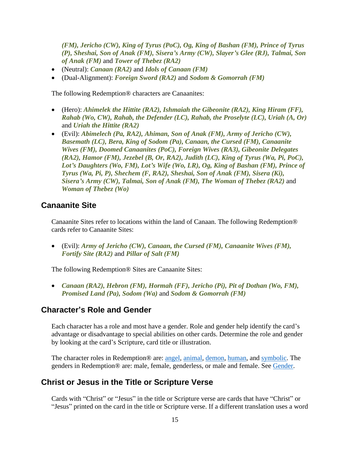*(FM), Jericho (CW), King of Tyrus (PoC), Og, King of Bashan (FM), Prince of Tyrus (P), Sheshai, Son of Anak (FM), Sisera's Army (CW), Slayer's Glee (RJ), Talmai, Son of Anak (FM)* and *Tower of Thebez (RA2)*

- (Neutral): *Canaan (RA2)* and *Idols of Canaan (FM)*
- (Dual-Alignment): *Foreign Sword (RA2)* and *Sodom & Gomorrah (FM)*

The following Redemption® characters are Canaanites:

- (Hero): *Ahimelek the Hittite (RA2), Ishmaiah the Gibeonite (RA2), King Hiram (FF), Rahab (Wo, CW), Rahab, the Defender (LC), Rahab, the Proselyte (LC), Uriah (A, Or)* and *Uriah the Hittite (RA2)*
- (Evil): *Abimelech (Pa, RA2), Ahiman, Son of Anak (FM), Army of Jericho (CW), Basemath (LC), Bera, King of Sodom (Pa), Canaan, the Cursed (FM), Canaanite Wives (FM), Doomed Canaanites (PoC), Foreign Wives (RA3), Gibeonite Delegates (RA2), Hamor (FM), Jezebel (B, Or, RA2), Judith (LC), King of Tyrus (Wa, Pi, PoC),*  Lot's Daughters (Wo, FM), Lot's Wife (Wo, LR), Og, King of Bashan (FM), Prince of *Tyrus (Wa, Pi, P), Shechem (F, RA2), Sheshai, Son of Anak (FM), Sisera (Ki), Sisera's Army (CW), Talmai, Son of Anak (FM), The Woman of Thebez (RA2)* and *Woman of Thebez (Wo)*

#### **Canaanite Site**

Canaanite Sites refer to locations within the land of Canaan. The following Redemption® cards refer to Canaanite Sites:

• (Evil): *Army of Jericho (CW), Canaan, the Cursed (FM), Canaanite Wives (FM), Fortify Site (RA2)* and *Pillar of Salt (FM)*

The following Redemption® Sites are Canaanite Sites:

• *Canaan (RA2), Hebron (FM), Hormah (FF), Jericho (Pi), Pit of Dothan (Wo, FM), Promised Land (Pa), Sodom (Wa)* and *Sodom & Gomorrah (FM)*

#### <span id="page-14-0"></span>**Character's Role and Gender**

Each character has a role and most have a gender. Role and gender help identify the card's advantage or disadvantage to special abilities on other cards. Determine the role and gender by looking at the card's Scripture, card title or illustration.

The character roles in Redemption® are: [angel,](#page-8-0) [animal,](#page-8-1) [demon,](#page-19-0) [human,](#page-44-1) and [symbolic.](#page-98-0) The genders in Redemption® are: male, female, genderless, or male and female. See [Gender.](#page-31-1)

#### **Christ or Jesus in the Title or Scripture Verse**

Cards with "Christ" or "Jesus" in the title or Scripture verse are cards that have "Christ" or "Jesus" printed on the card in the title or Scripture verse. If a different translation uses a word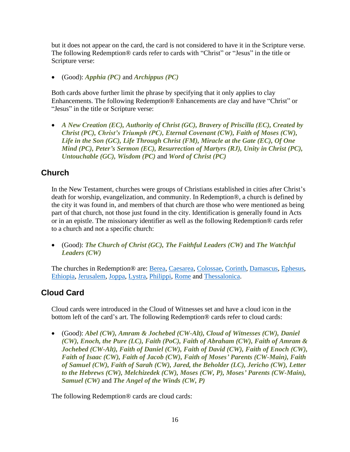but it does not appear on the card, the card is not considered to have it in the Scripture verse. The following Redemption® cards refer to cards with "Christ" or "Jesus" in the title or Scripture verse:

• (Good): *Apphia (PC)* and *Archippus (PC)*

Both cards above further limit the phrase by specifying that it only applies to clay Enhancements. The following Redemption® Enhancements are clay and have "Christ" or "Jesus" in the title or Scripture verse:

• *A New Creation (EC), Authority of Christ (GC), Bravery of Priscilla (EC), Created by Christ (PC), Christ's Triumph (PC), Eternal Covenant (CW), Faith of Moses (CW), Life in the Son (GC), Life Through Christ (FM), Miracle at the Gate (EC), Of One Mind (PC), Peter's Sermon (EC), Resurrection of Martyrs (RJ), Unity in Christ (PC), Untouchable (GC), Wisdom (PC)* and *Word of Christ (PC)*

#### <span id="page-15-0"></span>**Church**

In the New Testament, churches were groups of Christians established in cities after Christ's death for worship, evangelization, and community. In Redemption®, a church is defined by the city it was found in, and members of that church are those who were mentioned as being part of that church, not those just found in the city. Identification is generally found in Acts or in an epistle. The missionary identifier as well as the following Redemption® cards refer to a church and not a specific church:

• (Good): *The Church of Christ (GC), The Faithful Leaders (CW)* and *The Watchful Leaders (CW)*

The churches in Redemption® are: [Berea,](#page-12-0) [Caesarea,](#page-13-1) [Colossae,](#page-16-0) [Corinth,](#page-17-1) [Damascus,](#page-17-2) [Ephesus,](#page-25-0) [Ethiopia,](#page-25-1) [Jerusalem,](#page-56-0) [Joppa,](#page-59-0) [Lystra,](#page-68-1) [Philippi,](#page-81-0) [Rome](#page-91-0) and [Thessalonica.](#page-101-0)

### **Cloud Card**

Cloud cards were introduced in the Cloud of Witnesses set and have a cloud icon in the bottom left of the card's art. The following Redemption® cards refer to cloud cards:

• (Good): *Abel (CW), Amram & Jochebed (CW-Alt), Cloud of Witnesses (CW), Daniel (CW), Enoch, the Pure (LC), Faith (PoC), Faith of Abraham (CW), Faith of Amram & Jochebed (CW-Alt), Faith of Daniel (CW), Faith of David (CW), Faith of Enoch (CW), Faith of Isaac (CW), Faith of Jacob (CW), Faith of Moses' Parents (CW-Main), Faith of Samuel (CW), Faith of Sarah (CW), Jared, the Beholder (LC), Jericho (CW), Letter to the Hebrews (CW), Melchizedek (CW), Moses (CW, P), Moses' Parents (CW-Main), Samuel (CW)* and *The Angel of the Winds (CW, P)*

The following Redemption® cards are cloud cards: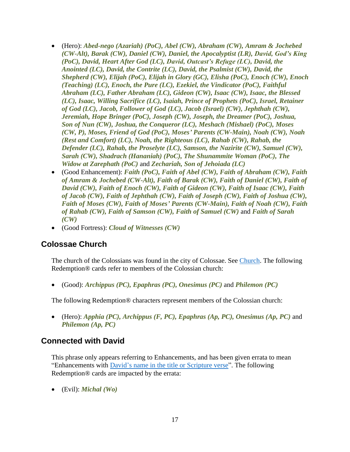- (Hero): *Abed-nego (Azariah) (PoC), Abel (CW), Abraham (CW), Amram & Jochebed (CW-Alt), Barak (CW), Daniel (CW), Daniel, the Apocalyptist (LR), David, God's King (PoC), David, Heart After God (LC), David, Outcast's Refuge (LC), David, the Anointed (LC), David, the Contrite (LC), David, the Psalmist (CW), David, the Shepherd (CW), Elijah (PoC), Elijah in Glory (GC), Elisha (PoC), Enoch (CW), Enoch (Teaching) (LC), Enoch, the Pure (LC), Ezekiel, the Vindicator (PoC), Faithful Abraham (LC), Father Abraham (LC), Gideon (CW), Isaac (CW), Isaac, the Blessed (LC), Isaac, Willing Sacrifice (LC), Isaiah, Prince of Prophets (PoC), Israel, Retainer of God (LC), Jacob, Follower of God (LC), Jacob (Israel) (CW), Jephthah (CW), Jeremiah, Hope Bringer (PoC), Joseph (CW), Joseph, the Dreamer (PoC), Joshua, Son of Nun (CW), Joshua, the Conqueror (LC), Meshach (Mishael) (PoC), Moses (CW, P), Moses, Friend of God (PoC), Moses' Parents (CW-Main), Noah (CW), Noah (Rest and Comfort) (LC), Noah, the Righteous (LC), Rahab (CW), Rahab, the Defender (LC), Rahab, the Proselyte (LC), Samson, the Nazirite (CW), Samuel (CW), Sarah (CW), Shadrach (Hananiah) (PoC), The Shunammite Woman (PoC), The Widow at Zarephath (PoC)* and *Zechariah, Son of Jehoiada (LC)*
- (Good Enhancement): *Faith (PoC), Faith of Abel (CW), Faith of Abraham (CW), Faith of Amram & Jochebed (CW-Alt), Faith of Barak (CW), Faith of Daniel (CW), Faith of David (CW), Faith of Enoch (CW), Faith of Gideon (CW), Faith of Isaac (CW), Faith of Jacob (CW), Faith of Jephthah (CW), Faith of Joseph (CW), Faith of Joshua (CW), Faith of Moses (CW), Faith of Moses' Parents (CW-Main), Faith of Noah (CW), Faith of Rahab (CW), Faith of Samson (CW), Faith of Samuel (CW)* and *Faith of Sarah (CW)*
- (Good Fortress): *Cloud of Witnesses (CW)*

#### <span id="page-16-0"></span>**Colossae Church**

The church of the Colossians was found in the city of Colossae. See [Church.](#page-15-0) The following Redemption® cards refer to members of the Colossian church:

• (Good): *Archippus (PC), Epaphras (PC), Onesimus (PC)* and *Philemon (PC)*

The following Redemption® characters represent members of the Colossian church:

• (Hero): *Apphia (PC), Archippus (F, PC), Epaphras (Ap, PC), Onesimus (Ap, PC)* and *Philemon (Ap, PC)*

#### **Connected with David**

This phrase only appears referring to Enhancements, and has been given errata to mean "Enhancements with [David's name in the title or Scripture verse"](#page-18-0). The following Redemption® cards are impacted by the errata:

• (Evil): *Michal (Wo)*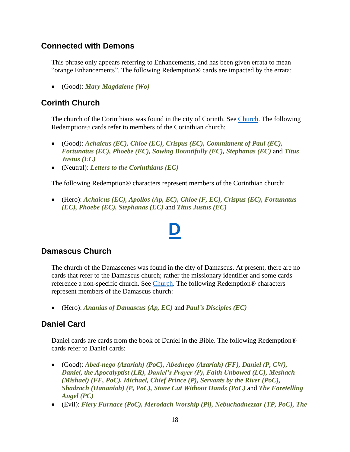#### **Connected with Demons**

This phrase only appears referring to Enhancements, and has been given errata to mean "orange Enhancements". The following Redemption® cards are impacted by the errata:

• (Good): *Mary Magdalene (Wo)*

#### <span id="page-17-1"></span>**Corinth Church**

The church of the Corinthians was found in the city of Corinth. See [Church.](#page-15-0) The following Redemption® cards refer to members of the Corinthian church:

- (Good): *Achaicus (EC), Chloe (EC), Crispus (EC), Commitment of Paul (EC), Fortunatus (EC), Phoebe (EC), Sowing Bountifully (EC), Stephanas (EC)* and *Titus Justus (EC)*
- (Neutral): *Letters to the Corinthians (EC)*

The following Redemption® characters represent members of the Corinthian church:

• (Hero): *Achaicus (EC), Apollos (Ap, EC), Chloe (F, EC), Crispus (EC), Fortunatus (EC), Phoebe (EC), Stephanas (EC)* and *Titus Justus (EC)*

**[D](#page-1-0)**

### <span id="page-17-2"></span><span id="page-17-0"></span>**Damascus Church**

The church of the Damascenes was found in the city of Damascus. At present, there are no cards that refer to the Damascus church; rather the missionary identifier and some cards reference a non-specific church. See [Church.](#page-15-0) The following Redemption<sup>®</sup> characters represent members of the Damascus church:

• (Hero): *Ananias of Damascus (Ap, EC)* and *Paul's Disciples (EC)*

#### **Daniel Card**

Daniel cards are cards from the book of Daniel in the Bible. The following Redemption® cards refer to Daniel cards:

- (Good): *Abed-nego (Azariah) (PoC), Abednego (Azariah) (FF), Daniel (P, CW), Daniel, the Apocalyptist (LR), Daniel's Prayer (P), Faith Unbowed (LC), Meshach (Mishael) (FF, PoC), Michael, Chief Prince (P), Servants by the River (PoC), Shadrach (Hananiah) (P, PoC), Stone Cut Without Hands (PoC)* and *The Foretelling Angel (PC)*
- (Evil): *Fiery Furnace (PoC), Merodach Worship (Pi), Nebuchadnezzar (TP, PoC), The*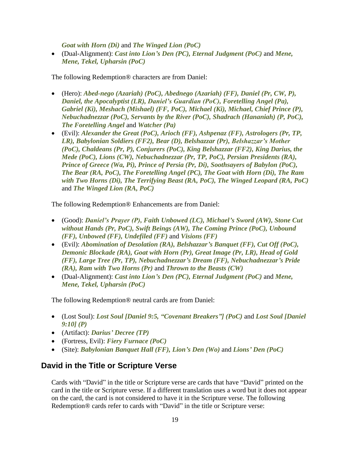*Goat with Horn (Di)* and *The Winged Lion (PoC)*

• (Dual-Alignment): *Cast into Lion's Den (PC), Eternal Judgment (PoC)* and *Mene, Mene, Tekel, Upharsin (PoC)*

The following Redemption® characters are from Daniel:

- (Hero): *Abed-nego (Azariah) (PoC), Abednego (Azariah) (FF), Daniel (Pr, CW, P), Daniel, the Apocalyptist (LR), Daniel's Guardian (PoC), Foretelling Angel (Pa), Gabriel (Ki), Meshach (Mishael) (FF, PoC), Michael (Ki), Michael, Chief Prince (P), Nebuchadnezzar (PoC), Servants by the River (PoC), Shadrach (Hananiah) (P, PoC), The Foretelling Angel* and *Watcher (Pa)*
- (Evil): *Alexander the Great (PoC), Arioch (FF), Ashpenaz (FF), Astrologers (Pr, TP, LR), Babylonian Soldiers (FF2), Bear (D), Belshazzar (Pr), Belshazzar's Mother (PoC), Chaldeans (Pr, P), Conjurers (PoC), King Belshazzar (FF2), King Darius, the Mede (PoC), Lions (CW), Nebuchadnezzar (Pr, TP, PoC), Persian Presidents (RA), Prince of Greece (Wa, Pi), Prince of Persia (Pr, Di), Soothsayers of Babylon (PoC), The Bear (RA, PoC), The Foretelling Angel (PC), The Goat with Horn (Di), The Ram with Two Horns (Di), The Terrifying Beast (RA, PoC), The Winged Leopard (RA, PoC)* and *The Winged Lion (RA, PoC)*

The following Redemption® Enhancements are from Daniel:

- (Good): *Daniel's Prayer (P), Faith Unbowed (LC), Michael's Sword (AW), Stone Cut without Hands (Pr, PoC), Swift Beings (AW), The Coming Prince (PoC), Unbound (FF), Unbowed (FF), Undefiled (FF)* and *Visions (FF)*
- (Evil): *Abomination of Desolation (RA), Belshazzar's Banquet (FF), Cut Off (PoC), Demonic Blockade (RA), Goat with Horn (Pr), Great Image (Pr, LR), Head of Gold (FF), Large Tree (Pr, TP), Nebuchadnezzar's Dream (FF), Nebuchadnezzar's Pride (RA), Ram with Two Horns (Pr)* and *Thrown to the Beasts (CW)*
- (Dual-Alignment): *Cast into Lion's Den (PC), Eternal Judgment (PoC)* and *Mene, Mene, Tekel, Upharsin (PoC)*

The following Redemption® neutral cards are from Daniel:

- (Lost Soul): *Lost Soul [Daniel 9:5, "Covenant Breakers"] (PoC)* and *Lost Soul [Daniel 9:10] (P)*
- (Artifact): *Darius' Decree (TP)*
- (Fortress, Evil): *Fiery Furnace (PoC)*
- (Site): *Babylonian Banquet Hall (FF), Lion's Den (Wo)* and *Lions' Den (PoC)*

#### <span id="page-18-0"></span>**David in the Title or Scripture Verse**

Cards with "David" in the title or Scripture verse are cards that have "David" printed on the card in the title or Scripture verse. If a different translation uses a word but it does not appear on the card, the card is not considered to have it in the Scripture verse. The following Redemption® cards refer to cards with "David" in the title or Scripture verse: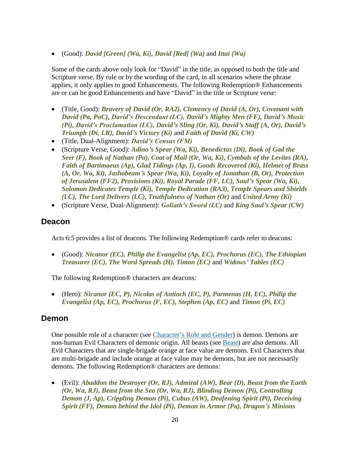• (Good): *David [Green] (Wa, Ki), David [Red] (Wa)* and *Ittai (Wa)*

Some of the cards above only look for "David" in the title, as opposed to both the title and Scripture verse. By rule or by the wording of the card, in all scenarios where the phrase applies, it only applies to good Enhancements. The following Redemption® Enhancements are or can be good Enhancements and have "David" in the title or Scripture verse:

- (Title, Good): *Bravery of David (Or, RA2), Clemency of David (A, Or), Covenant with David (Pa, PoC), David's Descendant (LC), David's Mighty Men (FF), David's Music (Pi), David's Proclamation (LC), David's Sling (Or, Ki), David's Staff (A, Or), David's Triumph (Di, LR), David's Victory (Ki)* and *Faith of David (Ki, CW)*
- (Title, Dual-Alignment): *David's Census (FM)*
- (Scripture Verse, Good): *Adino's Spear (Wa, Ki), Benedictus (Di), Book of Gad the Seer (F), Book of Nathan (Pa), Coat of Mail (Or, Wa, Ki), Cymbals of the Levites (RA), Faith of Bartimaeus (Ap), Glad Tidings (Ap, I), Goods Recovered (Ki), Helmet of Brass (A, Or, Wa, Ki), Jashobeam's Spear (Wa, Ki), Loyalty of Jonathan (B, Or), Protection of Jerusalem (FF2), Provisions (Ki), Royal Parade (FF, LC), Saul's Spear (Wa, Ki), Solomon Dedicates Temple (Ki), Temple Dedication (RA3), Temple Spears and Shields (LC), The Lord Delivers (LC), Truthfulness of Nathan (Or)* and *United Army (Ki)*
- (Scripture Verse, Dual-Alignment): *Goliath's Sword (LC)* and *King Saul's Spear (CW)*

#### **Deacon**

Acts 6:5 provides a list of deacons. The following Redemption® cards refer to deacons:

• (Good): *Nicanor (EC), Philip the Evangelist (Ap, EC), Prochorus (EC), The Ethiopian Treasurer (EC), The Word Spreads (H), Timon (EC)* and *Widows' Tables (EC)*

The following Redemption® characters are deacons:

• (Hero): *Nicanor (EC, P), Nicolas of Antioch (EC, P), Parmenas (H, EC), Philip the Evangelist (Ap, EC), Prochorus (F, EC), Stephen (Ap, EC)* and *Timon (Pi, EC)*

#### <span id="page-19-0"></span>**Demon**

One possible role of a character (see [Character's Role and Gender\)](#page-14-0) is demon. Demons are non-human Evil Characters of demonic origin. All beasts (see [Beast\)](#page-12-1) are also demons. All Evil Characters that are single-brigade orange at face value are demons. Evil Characters that are multi-brigade and include orange at face value may be demons, but are not necessarily demons. The following Redemption® characters are demons:

• (Evil): *Abaddon the Destroyer (Or, RJ), Admiral (AW), Bear (D), Beast from the Earth (Or, Wa, RJ), Beast from the Sea (Or, Wa, RJ), Blinding Demon (Pi), Controlling Demon (J, Ap), Crippling Demon (Pi), Cubus (AW), Deafening Spirit (Pi), Deceiving Spirit (FF), Demon behind the Idol (Pi), Demon in Armor (Pa), Dragon's Minions*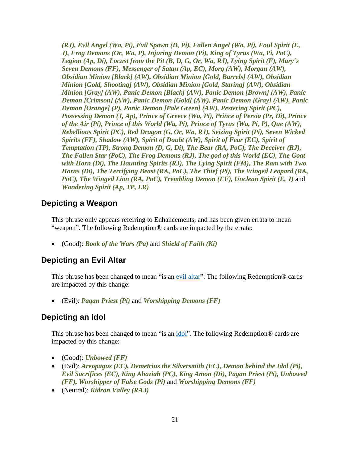*(RJ), Evil Angel (Wa, Pi), Evil Spawn (D, Pi), Fallen Angel (Wa, Pi), Foul Spirit (E, J), Frog Demons (Or, Wa, P), Injuring Demon (Pi), King of Tyrus (Wa, Pi, PoC), Legion (Ap, Di), Locust from the Pit (B, D, G, Or, Wa, RJ), Lying Spirit (F), Mary's Seven Demons (FF), Messenger of Satan (Ap, EC), Morg (AW), Morgan (AW), Obsidian Minion [Black] (AW), Obsidian Minion [Gold, Barrels] (AW), Obsidian Minion [Gold, Shooting] (AW), Obsidian Minion [Gold, Staring] (AW), Obsidian Minion [Gray] (AW), Panic Demon [Black] (AW), Panic Demon [Brown] (AW), Panic Demon [Crimson] (AW), Panic Demon [Gold] (AW), Panic Demon [Gray] (AW), Panic Demon [Orange] (P), Panic Demon [Pale Green] (AW), Pestering Spirit (PC), Possessing Demon (J, Ap), Prince of Greece (Wa, Pi), Prince of Persia (Pr, Di), Prince of the Air (Pi), Prince of this World (Wa, Pi), Prince of Tyrus (Wa, Pi, P), Que (AW), Rebellious Spirit (PC), Red Dragon (G, Or, Wa, RJ), Seizing Spirit (Pi), Seven Wicked Spirits (FF), Shadow (AW), Spirit of Doubt (AW), Spirit of Fear (EC), Spirit of Temptation (TP), Strong Demon (D, G, Di), The Bear (RA, PoC), The Deceiver (RJ), The Fallen Star (PoC), The Frog Demons (RJ), The god of this World (EC), The Goat with Horn (Di), The Haunting Spirits (RJ), The Lying Spirit (FM), The Ram with Two Horns (Di), The Terrifying Beast (RA, PoC), The Thief (Pi), The Winged Leopard (RA, PoC), The Winged Lion (RA, PoC), Trembling Demon (FF), Unclean Spirit (E, J)* and *Wandering Spirit (Ap, TP, LR)*

#### **Depicting a Weapon**

This phrase only appears referring to Enhancements, and has been given errata to mean "weapon". The following Redemption® cards are impacted by the errata:

• (Good): *Book of the Wars (Pa)* and *Shield of Faith (Ki)*

#### <span id="page-20-0"></span>**Depicting an Evil Altar**

This phrase has been changed to mean "is an [evil altar"](#page-26-0). The following Redemption® cards are impacted by this change:

• (Evil): *Pagan Priest (Pi)* and *Worshipping Demons (FF)*

#### <span id="page-20-1"></span>**Depicting an Idol**

This phrase has been changed to mean "is an [idol"](#page-44-2). The following Redemption<sup>®</sup> cards are impacted by this change:

- (Good): *Unbowed (FF)*
- (Evil): *Areopagus (EC), Demetrius the Silversmith (EC), Demon behind the Idol (Pi), Evil Sacrifices (EC), King Ahaziah (PC), King Amon (Di), Pagan Priest (Pi), Unbowed (FF), Worshipper of False Gods (Pi)* and *Worshipping Demons (FF)*
- (Neutral): *Kidron Valley (RA3)*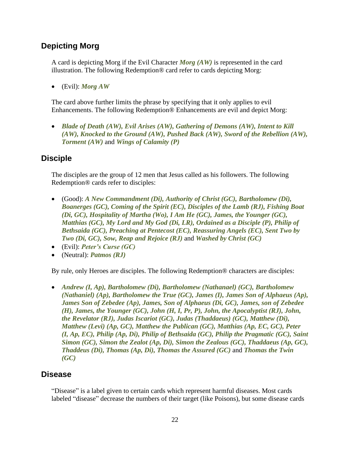#### **Depicting Morg**

A card is depicting Morg if the Evil Character *Morg (AW)* is represented in the card illustration. The following Redemption® card refer to cards depicting Morg:

• (Evil): *Morg AW*

The card above further limits the phrase by specifying that it only applies to evil Enhancements. The following Redemption® Enhancements are evil and depict Morg:

• *Blade of Death (AW), Evil Arises (AW), Gathering of Demons (AW), Intent to Kill (AW), Knocked to the Ground (AW), Pushed Back (AW), Sword of the Rebellion (AW), Torment (AW)* and *Wings of Calamity (P)*

#### **Disciple**

The disciples are the group of 12 men that Jesus called as his followers. The following Redemption® cards refer to disciples:

- (Good): *A New Commandment (Di), Authority of Christ (GC), Bartholomew (Di), Boanerges (GC), Coming of the Spirit (EC), Disciples of the Lamb (RJ), Fishing Boat (Di, GC), Hospitality of Martha (Wo), I Am He (GC), James, the Younger (GC), Matthias (GC), My Lord and My God (Di, LR), Ordained as a Disciple (P), Philip of Bethsaida (GC), Preaching at Pentecost (EC), Reassuring Angels (EC), Sent Two by Two (Di, GC), Sow, Reap and Rejoice (RJ)* and *Washed by Christ (GC)*
- (Evil): *Peter's Curse (GC)*
- (Neutral): *Patmos (RJ)*

By rule, only Heroes are disciples. The following Redemption® characters are disciples:

• *Andrew (I, Ap), Bartholomew (Di), Bartholomew (Nathanael) (GC), Bartholomew (Nathaniel) (Ap), Bartholomew the True (GC), James (I), James Son of Alphaeus (Ap), James Son of Zebedee (Ap), James, Son of Alphaeus (Di, GC), James, son of Zebedee (H), James, the Younger (GC), John (H, I, Pr, P), John, the Apocalyptist (RJ), John, the Revelator (RJ), Judas Iscariot (GC), Judas (Thaddaeus) (GC), Matthew (Di), Matthew (Levi) (Ap, GC), Matthew the Publican (GC), Matthias (Ap, EC, GC), Peter (I, Ap, EC), Philip (Ap, Di), Philip of Bethsaida (GC), Philip the Pragmatic (GC), Saint Simon (GC), Simon the Zealot (Ap, Di), Simon the Zealous (GC), Thaddaeus (Ap, GC), Thaddeus (Di), Thomas (Ap, Di), Thomas the Assured (GC)* and *Thomas the Twin (GC)*

#### **Disease**

"Disease" is a label given to certain cards which represent harmful diseases. Most cards labeled "disease" decrease the numbers of their target (like Poisons), but some disease cards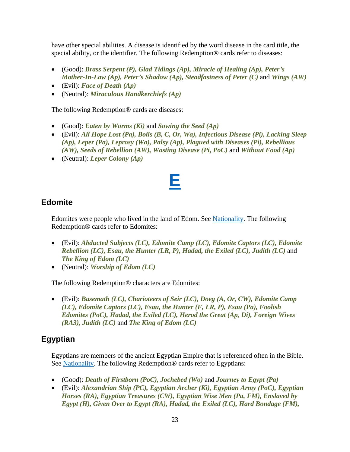have other special abilities. A disease is identified by the word disease in the card title, the special ability, or the identifier. The following Redemption® cards refer to diseases:

- (Good): *Brass Serpent (P), Glad Tidings (Ap), Miracle of Healing (Ap), Peter's Mother-In-Law (Ap), Peter's Shadow (Ap), Steadfastness of Peter (C)* and *Wings (AW)*
- (Evil): *Face of Death (Ap)*
- (Neutral): *Miraculous Handkerchiefs (Ap)*

The following Redemption® cards are diseases:

- (Good): *Eaten by Worms (Ki)* and *Sowing the Seed (Ap)*
- (Evil): *All Hope Lost (Pa), Boils (B, C, Or, Wa), Infectious Disease (Pi), Lacking Sleep (Ap), Leper (Pa), Leprosy (Wa), Palsy (Ap), Plagued with Diseases (Pi), Rebellious (AW), Seeds of Rebellion (AW), Wasting Disease (Pi, PoC)* and *Without Food (Ap)*
- <span id="page-22-0"></span>• (Neutral): *Leper Colony (Ap)*

### **[E](#page-1-0)**

### **Edomite**

Edomites were people who lived in the land of Edom. See [Nationality.](#page-76-1) The following Redemption® cards refer to Edomites:

- (Evil): *Abducted Subjects (LC), Edomite Camp (LC), Edomite Captors (LC), Edomite Rebellion (LC), Esau, the Hunter (LR, P), Hadad, the Exiled (LC), Judith (LC)* and *The King of Edom (LC)*
- (Neutral): *Worship of Edom (LC)*

The following Redemption® characters are Edomites:

• (Evil): *Basemath (LC), Charioteers of Seir (LC), Doeg (A, Or, CW), Edomite Camp (LC), Edomite Captors (LC), Esau, the Hunter (F, LR, P), Esau (Pa), Foolish Edomites (PoC), Hadad, the Exiled (LC), Herod the Great (Ap, Di), Foreign Wives (RA3), Judith (LC)* and *The King of Edom (LC)*

#### **Egyptian**

Egyptians are members of the ancient Egyptian Empire that is referenced often in the Bible. See [Nationality.](#page-76-1) The following Redemption<sup>®</sup> cards refer to Egyptians:

- (Good): *Death of Firstborn (PoC), Jochebed (Wo)* and *Journey to Egypt (Pa)*
- (Evil): *Alexandrian Ship (PC), Egyptian Archer (Ki), Egyptian Army (PoC), Egyptian Horses (RA), Egyptian Treasures (CW), Egyptian Wise Men (Pa, FM), Enslaved by Egypt (H), Given Over to Egypt (RA), Hadad, the Exiled (LC), Hard Bondage (FM),*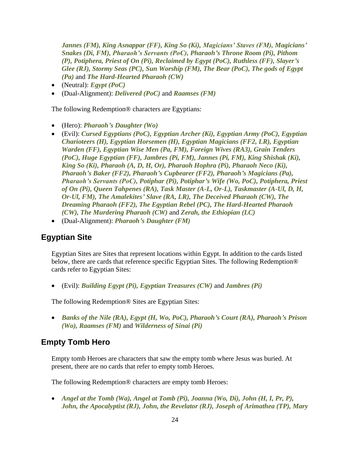*Jannes (FM), King Asnappar (FF), King So (Ki), Magicians' Staves (FM), Magicians' Snakes (Di, FM), Pharaoh's Servants (PoC), Pharaoh's Throne Room (Pi), Pithom (P), Potiphera, Priest of On (Pi), Reclaimed by Egypt (PoC), Ruthless (FF), Slayer's Glee (RJ), Stormy Seas (PC), Sun Worship (FM), The Bear (PoC), The gods of Egypt (Pa)* and *The Hard-Hearted Pharaoh (CW)*

- (Neutral): *Egypt (PoC)*
- (Dual-Alignment): *Delivered (PoC)* and *Raamses (FM)*

The following Redemption® characters are Egyptians:

- (Hero): *Pharaoh's Daughter (Wo)*
- (Evil): *Cursed Egyptians (PoC), Egyptian Archer (Ki), Egyptian Army (PoC), Egyptian Charioteers (H), Egyptian Horsemen (H), Egyptian Magicians (FF2, LR), Egyptian Warden (FF), Egyptian Wise Men (Pa, FM), Foreign Wives (RA3), Grain Tenders (PoC), Huge Egyptian (FF), Jambres (Pi, FM), Jannes (Pi, FM), King Shishak (Ki), King So (Ki), Pharaoh (A, D, H, Or), Pharaoh Hophra (Pi), Pharaoh Neco (Ki), Pharaoh's Baker (FF2), Pharaoh's Cupbearer (FF2), Pharaoh's Magicians (Pa), Pharaoh's Servants (PoC), Potiphar (Pi), Potiphar's Wife (Wo, PoC), Potiphera, Priest of On (Pi), Queen Tahpenes (RA), Task Master (A-L, Or-L), Taskmaster (A-Ul, D, H, Or-Ul, FM), The Amalekites' Slave (RA, LR), The Deceived Pharaoh (CW), The Dreaming Pharaoh (FF2), The Egyptian Rebel (PC), The Hard-Hearted Pharaoh (CW), The Murdering Pharaoh (CW)* and *Zerah, the Ethiopian (LC)*
- (Dual-Alignment): *Pharaoh's Daughter (FM)*

#### **Egyptian Site**

Egyptian Sites are Sites that represent locations within Egypt. In addition to the cards listed below, there are cards that reference specific Egyptian Sites. The following Redemption® cards refer to Egyptian Sites:

• (Evil): *Building Egypt (Pi), Egyptian Treasures (CW)* and *Jambres (Pi)*

The following Redemption® Sites are Egyptian Sites:

• *Banks of the Nile (RA), Egypt (H, Wo, PoC), Pharaoh's Court (RA), Pharaoh's Prison (Wo), Raamses (FM)* and *Wilderness of Sinai (Pi)*

#### **Empty Tomb Hero**

Empty tomb Heroes are characters that saw the empty tomb where Jesus was buried. At present, there are no cards that refer to empty tomb Heroes.

The following Redemption® characters are empty tomb Heroes:

• *Angel at the Tomb (Wa), Angel at Tomb (Pi), Joanna (Wo, Di), John (H, I, Pr, P), John, the Apocalyptist (RJ), John, the Revelator (RJ), Joseph of Arimathea (TP), Mary*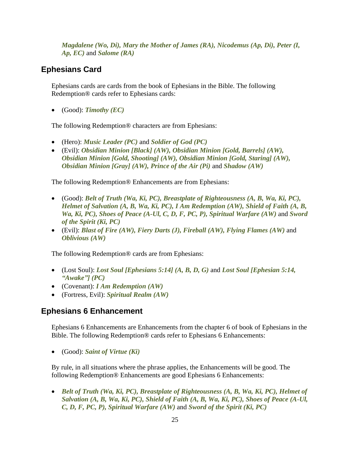*Magdalene (Wo, Di), Mary the Mother of James (RA), Nicodemus (Ap, Di), Peter (I, Ap, EC)* and *Salome (RA)*

### **Ephesians Card**

Ephesians cards are cards from the book of Ephesians in the Bible. The following Redemption® cards refer to Ephesians cards:

• (Good): *Timothy (EC)*

The following Redemption® characters are from Ephesians:

- (Hero): *Music Leader (PC)* and *Soldier of God (PC)*
- (Evil): *Obsidian Minion [Black] (AW), Obsidian Minion [Gold, Barrels] (AW), Obsidian Minion [Gold, Shooting] (AW), Obsidian Minion [Gold, Staring] (AW), Obsidian Minion [Gray] (AW), Prince of the Air (Pi)* and *Shadow (AW)*

The following Redemption® Enhancements are from Ephesians:

- (Good): *Belt of Truth (Wa, Ki, PC), Breastplate of Righteousness (A, B, Wa, Ki, PC), Helmet of Salvation (A, B, Wa, Ki, PC), I Am Redemption (AW), Shield of Faith (A, B, Wa, Ki, PC), Shoes of Peace (A-Ul, C, D, F, PC, P), Spiritual Warfare (AW)* and *Sword of the Spirit (Ki, PC)*
- (Evil): *Blast of Fire (AW), Fiery Darts (J), Fireball (AW), Flying Flames (AW)* and *Oblivious (AW)*

The following Redemption® cards are from Ephesians:

- (Lost Soul): *Lost Soul [Ephesians 5:14] (A, B, D, G)* and *Lost Soul [Ephesian 5:14, "Awake"] (PC)*
- (Covenant): *I Am Redemption (AW)*
- (Fortress, Evil): *Spiritual Realm (AW)*

#### **Ephesians 6 Enhancement**

Ephesians 6 Enhancements are Enhancements from the chapter 6 of book of Ephesians in the Bible. The following Redemption® cards refer to Ephesians 6 Enhancements:

• (Good): *Saint of Virtue (Ki)*

By rule, in all situations where the phrase applies, the Enhancements will be good. The following Redemption® Enhancements are good Ephesians 6 Enhancements:

• *Belt of Truth (Wa, Ki, PC), Breastplate of Righteousness (A, B, Wa, Ki, PC), Helmet of Salvation (A, B, Wa, Ki, PC), Shield of Faith (A, B, Wa, Ki, PC), Shoes of Peace (A-Ul, C, D, F, PC, P), Spiritual Warfare (AW)* and *Sword of the Spirit (Ki, PC)*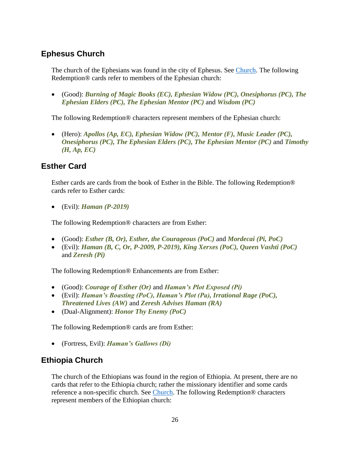### <span id="page-25-0"></span>**Ephesus Church**

The church of the Ephesians was found in the city of Ephesus. See [Church.](#page-15-0) The following Redemption® cards refer to members of the Ephesian church:

• (Good): *Burning of Magic Books (EC), Ephesian Widow (PC), Onesiphorus (PC), The Ephesian Elders (PC), The Ephesian Mentor (PC)* and *Wisdom (PC)*

The following Redemption® characters represent members of the Ephesian church:

• (Hero): *Apollos (Ap, EC), Ephesian Widow (PC), Mentor (F), Music Leader (PC), Onesiphorus (PC), The Ephesian Elders (PC), The Ephesian Mentor (PC)* and *Timothy (H, Ap, EC)*

#### **Esther Card**

Esther cards are cards from the book of Esther in the Bible. The following Redemption® cards refer to Esther cards:

• (Evil): *Haman (P-2019)*

The following Redemption® characters are from Esther:

- (Good): *Esther (B, Or), Esther, the Courageous (PoC)* and *Mordecai (Pi, PoC)*
- (Evil): *Haman (B, C, Or, P-2009, P-2019), King Xerxes (PoC), Queen Vashti (PoC)* and *Zeresh (Pi)*

The following Redemption® Enhancements are from Esther:

- (Good): *Courage of Esther (Or)* and *Haman's Plot Exposed (Pi)*
- (Evil): *Haman's Boasting (PoC), Haman's Plot (Pa), Irrational Rage (PoC), Threatened Lives (AW)* and *Zeresh Advises Haman (RA)*
- (Dual-Alignment): *Honor Thy Enemy (PoC)*

The following Redemption® cards are from Esther:

• (Fortress, Evil): *Haman's Gallows (Di)*

#### <span id="page-25-1"></span>**Ethiopia Church**

The church of the Ethiopians was found in the region of Ethiopia. At present, there are no cards that refer to the Ethiopia church; rather the missionary identifier and some cards reference a non-specific church. See [Church.](#page-15-0) The following Redemption® characters represent members of the Ethiopian church: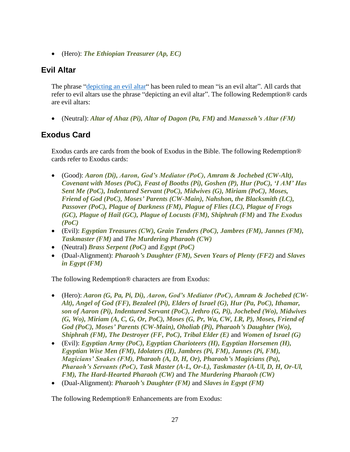• (Hero): *The Ethiopian Treasurer (Ap, EC)*

### <span id="page-26-0"></span>**Evil Altar**

The phrase ["depicting an evil altar"](#page-20-0) has been ruled to mean "is an evil altar". All cards that refer to evil altars use the phrase "depicting an evil altar". The following Redemption® cards are evil altars:

• (Neutral): *Altar of Ahaz (Pi), Altar of Dagon (Pa, FM)* and *Manasseh's Altar (FM)*

### **Exodus Card**

Exodus cards are cards from the book of Exodus in the Bible. The following Redemption® cards refer to Exodus cards:

- (Good): *Aaron (Di), Aaron, God's Mediator (PoC), Amram & Jochebed (CW-Alt), Covenant with Moses (PoC), Feast of Booths (Pi), Goshen (P), Hur (PoC), 'I AM' Has Sent Me (PoC), Indentured Servant (PoC), Midwives (G), Miriam (PoC), Moses, Friend of God (PoC), Moses' Parents (CW-Main), Nahshon, the Blacksmith (LC), Passover (PoC), Plague of Darkness (FM), Plague of Flies (LC), Plague of Frogs (GC), Plague of Hail (GC), Plague of Locusts (FM), Shiphrah (FM)* and *The Exodus (PoC)*
- (Evil): *Egyptian Treasures (CW), Grain Tenders (PoC), Jambres (FM), Jannes (FM), Taskmaster (FM)* and *The Murdering Pharaoh (CW)*
- (Neutral) *Brass Serpent (PoC)* and *Egypt (PoC)*
- (Dual-Alignment): *Pharaoh's Daughter (FM), Seven Years of Plenty (FF2)* and *Slaves in Egypt (FM)*

The following Redemption® characters are from Exodus:

- (Hero): *Aaron (G, Pa, Pi, Di), Aaron, God's Mediator (PoC), Amram & Jochebed (CW-Alt), Angel of God (FF), Bezaleel (Pi), Elders of Israel (G), Hur (Pa, PoC), Ithamar, son of Aaron (Pi), Indentured Servant (PoC), Jethro (G, Pi), Jochebed (Wo), Midwives (G, Wo), Miriam (A, C, G, Or, PoC), Moses (G, Pr, Wa, CW, LR, P), Moses, Friend of God (PoC), Moses' Parents (CW-Main), Oholiab (Pi), Pharaoh's Daughter (Wo), Shiphrah (FM), The Destroyer (FF, PoC), Tribal Elder (E)* and *Women of Israel (G)*
- (Evil): *Egyptian Army (PoC), Egyptian Charioteers (H), Egyptian Horsemen (H), Egyptian Wise Men (FM), Idolaters (H), Jambres (Pi, FM), Jannes (Pi, FM), Magicians' Snakes (FM), Pharaoh (A, D, H, Or), Pharaoh's Magicians (Pa), Pharaoh's Servants (PoC), Task Master (A-L, Or-L), Taskmaster (A-Ul, D, H, Or-Ul, FM), The Hard-Hearted Pharaoh (CW)* and *The Murdering Pharaoh (CW)*
- (Dual-Alignment): *Pharaoh's Daughter (FM)* and *Slaves in Egypt (FM)*

The following Redemption® Enhancements are from Exodus: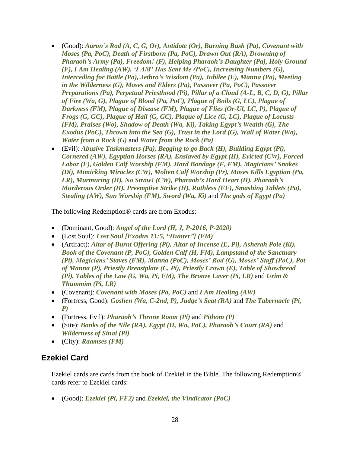- (Good): *Aaron's Rod (A, C, G, Or), Antidote (Or), Burning Bush (Pa), Covenant with Moses (Pa, PoC), Death of Firstborn (Pa, PoC), Drawn Out (RA), Drowning of Pharaoh's Army (Pa), Freedom! (F), Helping Pharaoh's Daughter (Pa), Holy Ground (F), I Am Healing (AW), 'I AM' Has Sent Me (PoC), Increasing Numbers (G), Interceding for Battle (Pa), Jethro's Wisdom (Pa), Jubilee (E), Manna (Pa), Meeting in the Wilderness (G), Moses and Elders (Pa), Passover (Pa, PoC), Passover Preparations (Pa), Perpetual Priesthood (Pi), Pillar of a Cloud (A-L, B, C, D, G), Pillar of Fire (Wa, G), Plague of Blood (Pa, PoC), Plague of Boils (G, LC), Plague of Darkness (FM), Plague of Disease (FM), Plague of Flies (Or-Ul, LC, P), Plague of Frogs (G, GC), Plague of Hail (G, GC), Plague of Lice (G, LC), Plague of Locusts (FM), Praises (Wo), Shadow of Death (Wa, Ki), Taking Egypt's Wealth (G), The Exodus (PoC), Thrown into the Sea (G), Trust in the Lord (G), Wall of Water (Wa), Water from a Rock (G)* and *Water from the Rock (Pa)*
- (Evil): *Abusive Taskmasters (Pa), Begging to go Back (H), Building Egypt (Pi), Cornered (AW), Egyptian Horses (RA), Enslaved by Egypt (H), Evicted (CW), Forced Labor (F), Golden Calf Worship (FM), Hard Bondage (F, FM), Magicians' Snakes (Di), Mimicking Miracles (CW), Molten Calf Worship (Pr), Moses Kills Egyptian (Pa, LR), Murmuring (H), No Straw! (CW), Pharaoh's Hard Heart (H), Pharaoh's Murderous Order (H), Preemptive Strike (H), Ruthless (FF), Smashing Tablets (Pa), Stealing (AW), Sun Worship (FM), Sword (Wa, Ki)* and *The gods of Egypt (Pa)*

The following Redemption® cards are from Exodus:

- (Dominant, Good): *Angel of the Lord (H, J, P-2016, P-2020)*
- (Lost Soul): *Lost Soul [Exodus 11:5, "Hunter"] (FM)*
- (Artifact): *Altar of Burnt Offering (Pi), Altar of Incense (E, Pi), Asherah Pole (Ki), Book of the Covenant (P, PoC), Golden Calf (H, FM), Lampstand of the Sanctuary (Pi), Magicians' Staves (FM), Manna (PoC), Moses' Rod (G), Moses' Staff (PoC), Pot of Manna (P), Priestly Breastplate (C, Pi), Priestly Crown (E), Table of Showbread (Pi), Tables of the Law (G, Wa, Pi, FM), The Bronze Laver (Pi, LR)* and *Urim & Thummim (Pi, LR)*
- (Covenant): *Covenant with Moses (Pa, PoC)* and *I Am Healing (AW)*
- (Fortress, Good): *Goshen (Wa, C-2nd, P), Judge's Seat (RA)* and *The Tabernacle (Pi, P)*
- (Fortress, Evil): *Pharaoh's Throne Room (Pi)* and *Pithom (P)*
- (Site): *Banks of the Nile (RA), Egypt (H, Wo, PoC), Pharaoh's Court (RA)* and *Wilderness of Sinai (Pi)*
- (City): *Raamses (FM)*

#### **Ezekiel Card**

Ezekiel cards are cards from the book of Ezekiel in the Bible. The following Redemption® cards refer to Ezekiel cards:

• (Good): *Ezekiel (Pi, FF2)* and *Ezekiel, the Vindicator (PoC)*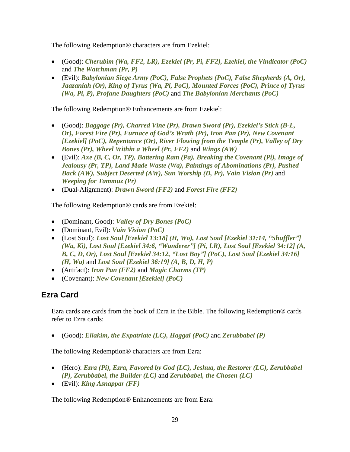The following Redemption® characters are from Ezekiel:

- (Good): *Cherubim (Wa, FF2, LR), Ezekiel (Pr, Pi, FF2), Ezekiel, the Vindicator (PoC)* and *The Watchman (Pr, P)*
- (Evil): *Babylonian Siege Army (PoC), False Prophets (PoC), False Shepherds (A, Or), Jaazaniah (Or), King of Tyrus (Wa, Pi, PoC), Mounted Forces (PoC), Prince of Tyrus (Wa, Pi, P), Profane Daughters (PoC)* and *The Babylonian Merchants (PoC)*

The following Redemption® Enhancements are from Ezekiel:

- (Good): *Baggage (Pr), Charred Vine (Pr), Drawn Sword (Pr), Ezekiel's Stick (B-L, Or), Forest Fire (Pr), Furnace of God's Wrath (Pr), Iron Pan (Pr), New Covenant [Ezekiel] (PoC), Repentance (Or), River Flowing from the Temple (Pr), Valley of Dry Bones (Pr), Wheel Within a Wheel (Pr, FF2)* and *Wings (AW)*
- (Evil): *Axe (B, C, Or, TP), Battering Ram (Pa), Breaking the Covenant (Pi), Image of Jealousy (Pr, TP), Land Made Waste (Wa), Paintings of Abominations (Pr), Pushed Back (AW), Subject Deserted (AW), Sun Worship (D, Pr), Vain Vision (Pr)* and *Weeping for Tammuz (Pr)*
- (Dual-Alignment): *Drawn Sword (FF2)* and *Forest Fire (FF2)*

The following Redemption® cards are from Ezekiel:

- (Dominant, Good): *Valley of Dry Bones (PoC)*
- (Dominant, Evil): *Vain Vision (PoC)*
- (Lost Soul): *Lost Soul [Ezekiel 13:18] (H, Wo), Lost Soul [Ezekiel 31:14, "Shuffler"] (Wa, Ki), Lost Soul [Ezekiel 34:6, "Wanderer"] (Pi, LR), Lost Soul [Ezekiel 34:12] (A, B, C, D, Or), Lost Soul [Ezekiel 34:12, "Lost Boy"] (PoC), Lost Soul [Ezekiel 34:16] (H, Wa)* and *Lost Soul [Ezekiel 36:19] (A, B, D, H, P)*
- (Artifact): *Iron Pan (FF2)* and *Magic Charms (TP)*
- (Covenant): *New Covenant [Ezekiel] (PoC)*

#### **Ezra Card**

Ezra cards are cards from the book of Ezra in the Bible. The following Redemption® cards refer to Ezra cards:

• (Good): *Eliakim, the Expatriate (LC), Haggai (PoC)* and *Zerubbabel (P)*

The following Redemption® characters are from Ezra:

- (Hero): *Ezra (Pi), Ezra, Favored by God (LC), Jeshua, the Restorer (LC), Zerubbabel (P), Zerubbabel, the Builder (LC)* and *Zerubbabel, the Chosen (LC)*
- (Evil): *King Asnappar (FF)*

The following Redemption® Enhancements are from Ezra: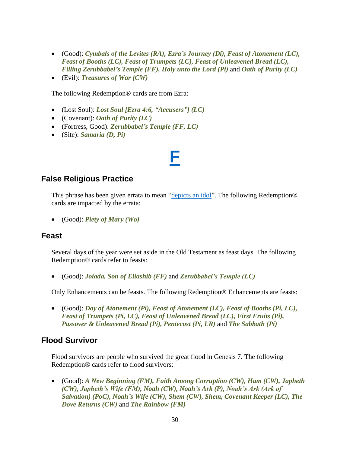- (Good): *Cymbals of the Levites (RA), Ezra's Journey (Di), Feast of Atonement (LC), Feast of Booths (LC), Feast of Trumpets (LC), Feast of Unleavened Bread (LC), Filling Zerubbabel's Temple (FF), Holy unto the Lord (Pi)* and *Oath of Purity (LC)*
- (Evil): *Treasures of War (CW)*

The following Redemption® cards are from Ezra:

- (Lost Soul): *Lost Soul [Ezra 4:6, "Accusers"] (LC)*
- (Covenant): *Oath of Purity (LC)*
- (Fortress, Good): *Zerubbabel's Temple (FF, LC)*
- <span id="page-29-0"></span>• (Site): *Samaria (D, Pi)*

### **[F](#page-1-0)**

#### **False Religious Practice**

This phrase has been given errata to mean ["depicts an idol"](#page-20-1). The following Redemption<sup>®</sup> cards are impacted by the errata:

• (Good): *Piety of Mary (Wo)*

#### **Feast**

Several days of the year were set aside in the Old Testament as feast days. The following Redemption® cards refer to feasts:

• (Good): *Joiada, Son of Eliashib (FF)* and *Zerubbabel's Temple (LC)*

Only Enhancements can be feasts. The following Redemption® Enhancements are feasts:

• (Good): *Day of Atonement (Pi), Feast of Atonement (LC), Feast of Booths (Pi, LC), Feast of Trumpets (Pi, LC), Feast of Unleavened Bread (LC), First Fruits (Pi), Passover & Unleavened Bread (Pi), Pentecost (Pi, LR)* and *The Sabbath (Pi)*

#### **Flood Survivor**

Flood survivors are people who survived the great flood in Genesis 7. The following Redemption® cards refer to flood survivors:

• (Good): *A New Beginning (FM), Faith Among Corruption (CW), Ham (CW), Japheth (CW), Japheth's Wife (FM), Noah (CW), Noah's Ark (P), Noah's Ark (Ark of Salvation) (PoC), Noah's Wife (CW), Shem (CW), Shem, Covenant Keeper (LC), The Dove Returns (CW)* and *The Rainbow (FM)*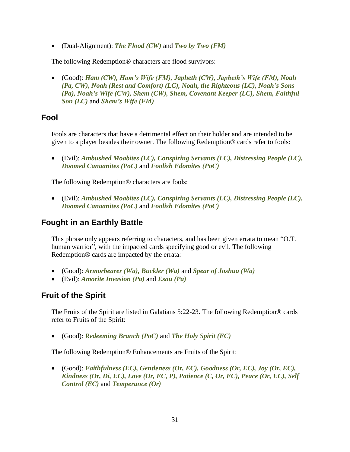• (Dual-Alignment): *The Flood (CW)* and *Two by Two (FM)*

The following Redemption® characters are flood survivors:

• (Good): *Ham (CW), Ham's Wife (FM), Japheth (CW), Japheth's Wife (FM), Noah (Pa, CW), Noah (Rest and Comfort) (LC), Noah, the Righteous (LC), Noah's Sons (Pa), Noah's Wife (CW), Shem (CW), Shem, Covenant Keeper (LC), Shem, Faithful Son (LC)* and *Shem's Wife (FM)*

#### **Fool**

Fools are characters that have a detrimental effect on their holder and are intended to be given to a player besides their owner. The following Redemption® cards refer to fools:

• (Evil): *Ambushed Moabites (LC), Conspiring Servants (LC), Distressing People (LC), Doomed Canaanites (PoC)* and *Foolish Edomites (PoC)*

The following Redemption® characters are fools:

• (Evil): *Ambushed Moabites (LC), Conspiring Servants (LC), Distressing People (LC), Doomed Canaanites (PoC)* and *Foolish Edomites (PoC)*

#### **Fought in an Earthly Battle**

This phrase only appears referring to characters, and has been given errata to mean "O.T. human warrior", with the impacted cards specifying good or evil. The following Redemption® cards are impacted by the errata:

- (Good): *Armorbearer (Wa), Buckler (Wa)* and *Spear of Joshua (Wa)*
- (Evil): *Amorite Invasion (Pa)* and *Esau (Pa)*

### **Fruit of the Spirit**

The Fruits of the Spirit are listed in Galatians 5:22-23. The following Redemption® cards refer to Fruits of the Spirit:

• (Good): *Redeeming Branch (PoC)* and *The Holy Spirit (EC)*

The following Redemption® Enhancements are Fruits of the Spirit:

• (Good): *Faithfulness (EC), Gentleness (Or, EC), Goodness (Or, EC), Joy (Or, EC), Kindness (Or, Di, EC), Love (Or, EC, P), Patience (C, Or, EC), Peace (Or, EC), Self Control (EC)* and *Temperance (Or)*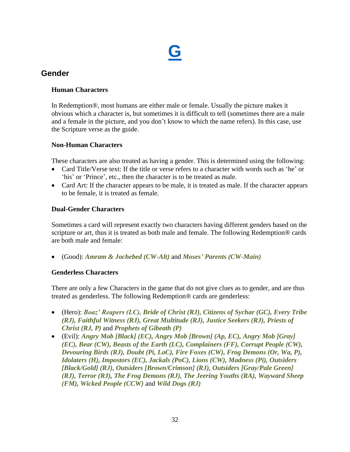

#### <span id="page-31-1"></span><span id="page-31-0"></span>**Gender**

#### **Human Characters**

In Redemption®, most humans are either male or female. Usually the picture makes it obvious which a character is, but sometimes it is difficult to tell (sometimes there are a male and a female in the picture, and you don't know to which the name refers). In this case, use the Scripture verse as the guide.

#### **Non-Human Characters**

These characters are also treated as having a gender. This is determined using the following:

- Card Title/Verse text: If the title or verse refers to a character with words such as 'he' or 'his' or 'Prince', etc., then the character is to be treated as male.
- Card Art: If the character appears to be male, it is treated as male. If the character appears to be female, it is treated as female.

#### **Dual-Gender Characters**

Sometimes a card will represent exactly two characters having different genders based on the scripture or art, thus it is treated as both male and female. The following Redemption® cards are both male and female:

• (Good): *Amram & Jochebed (CW-Alt)* and *Moses' Parents (CW-Main)*

#### **Genderless Characters**

There are only a few Characters in the game that do not give clues as to gender, and are thus treated as genderless. The following Redemption® cards are genderless:

- (Hero): *Boaz' Reapers (LC), Bride of Christ (RJ), Citizens of Sychar (GC), Every Tribe (RJ), Faithful Witness (RJ), Great Multitude (RJ), Justice Seekers (RJ), Priests of Christ (RJ, P)* and *Prophets of Gibeath (P)*
- (Evil): *Angry Mob [Black] (EC), Angry Mob [Brown] (Ap, EC), Angry Mob [Gray] (EC), Bear (CW), Beasts of the Earth (LC), Complainers (FF), Corrupt People (CW), Devouring Birds (RJ), Doubt (Pi, LoC), Fire Foxes (CW), Frog Demons (Or, Wa, P), Idolaters (H), Impostors (EC), Jackals (PoC), Lions (CW), Madness (Pi), Outsiders [Black/Gold] (RJ), Outsiders [Brown/Crimson] (RJ), Outsiders [Gray/Pale Green] (RJ), Terror (RJ), The Frog Demons (RJ), The Jeering Youths (RA), Wayward Sheep (FM), Wicked People (CCW)* and *Wild Dogs (RJ)*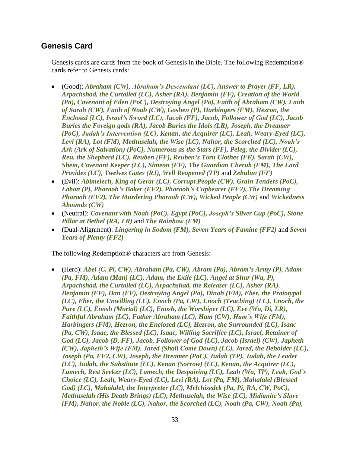#### **Genesis Card**

Genesis cards are cards from the book of Genesis in the Bible. The following Redemption® cards refer to Genesis cards:

- (Good): *Abraham (CW), Abraham's Descendant (LC), Answer to Prayer (FF, LR), Arpachshad, the Curtailed (LC), Asher (RA), Benjamin (FF), Creation of the World (Pa), Covenant of Eden (PoC), Destroying Angel (Pa), Faith of Abraham (CW), Faith of Sarah (CW), Faith of Noah (CW), Goshen (P), Harbingers (FM), Hezron, the Enclosed (LC), Israel's Sword (LC), Jacob (FF), Jacob, Follower of God (LC), Jacob Buries the Foreign gods (RA), Jacob Buries the Idols (LR), Joseph, the Dreamer (PoC), Judah's Intervention (LC), Kenan, the Acquirer (LC), Leah, Weary-Eyed (LC), Levi (RA), Lot (FM), Methuselah, the Wise (LC), Nahor, the Scorched (LC), Noah's Ark (Ark of Salvation) (PoC), Numerous as the Stars (FF), Peleg, the Divider (LC), Reu, the Shepherd (LC), Reuben (FF), Reuben's Torn Clothes (FF), Sarah (CW), Shem, Covenant Keeper (LC), Simeon (FF), The Guardian Cherub (FM), The Lord Provides (LC), Twelves Gates (RJ), Well Reopened (TP)* and *Zebulun (FF)*
- (Evil): *Abimelech, King of Gerar (LC), Corrupt People (CW), Grain Tenders (PoC), Laban (P), Pharaoh's Baker (FF2), Pharaoh's Cupbearer (FF2), The Dreaming Pharaoh (FF2), The Murdering Pharaoh (CW), Wicked People (CW)* and *Wickedness Abounds (CW)*
- (Neutral): *Covenant with Noah (PoC), Egypt (PoC), Joseph's Silver Cup (PoC), Stone Pillar at Bethel (RA, LR)* and *The Rainbow (FM)*
- (Dual-Alignment): *Lingering in Sodom (FM), Seven Years of Famine (FF2)* and *Seven Years of Plenty (FF2)*

The following Redemption® characters are from Genesis:

• (Hero): *Abel (C, Pi, CW), Abraham (Pa, CW), Abram (Pa), Abram's Army (P), Adam (Pa, FM), Adam (Man) (LC), Adam, the Exile (LC), Angel at Shur (Wa, P), Arpachshad, the Curtailed (LC), Arpachshad, the Releaser (LC), Asher (RA), Benjamin (FF), Dan (FF), Destroying Angel (Pa), Dinah (FM), Eber, the Prototypal (LC), Eber, the Unwilling (LC), Enoch (Pa, CW), Enoch (Teaching) (LC), Enoch, the Pure (LC), Enosh (Mortal) (LC), Enosh, the Worshiper (LC), Eve (Wo, Di, LR), Faithful Abraham (LC), Father Abraham (LC), Ham (CW), Ham's Wife (FM), Harbingers (FM), Hezron, the Enclosed (LC), Hezron, the Surrounded (LC), Isaac (Pa, CW), Isaac, the Blessed (LC), Isaac, Willing Sacrifice (LC), Israel, Retainer of God (LC), Jacob (D, FF), Jacob, Follower of God (LC), Jacob (Israel) (CW), Japheth (CW), Japheth's Wife (FM), Jared (Shall Come Down) (LC), Jared, the Beholder (LC), Joseph (Pa, FF2, CW), Joseph, the Dreamer (PoC), Judah (TP), Judah, the Leader (LC), Judah, the Substitute (LC), Kenan (Sorrow) (LC), Kenan, the Acquirer (LC), Lamech, Rest Seeker (LC), Lamech, the Despairing (LC), Leah (Wo, TP), Leah, God's Choice (LC), Leah, Weary-Eyed (LC), Levi (RA), Lot (Pa, FM), Mahalalel (Blessed God) (LC), Mahalalel, the Interpreter (LC), Melchizedek (Pa, Pi, RA, CW, PoC), Methuselah (His Death Brings) (LC), Methuselah, the Wise (LC), Midianite's Slave (FM), Nahor, the Noble (LC), Nahor, the Scorched (LC), Noah (Pa, CW), Noah (Pa),*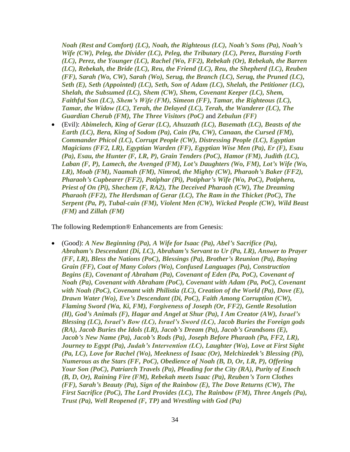*Noah (Rest and Comfort) (LC), Noah, the Righteous (LC), Noah's Sons (Pa), Noah's Wife (CW), Peleg, the Divider (LC), Peleg, the Tributary (LC), Perez, Bursting Forth (LC), Perez, the Younger (LC), Rachel (Wo, FF2), Rebekah (Or), Rebekah, the Barren (LC), Rebekah, the Bride (LC), Reu, the Friend (LC), Reu, the Shepherd (LC), Reuben (FF), Sarah (Wo, CW), Sarah (Wo), Serug, the Branch (LC), Serug, the Pruned (LC), Seth (E), Seth (Appointed) (LC), Seth, Son of Adam (LC), Shelah, the Petitioner (LC), Shelah, the Subsumed (LC), Shem (CW), Shem, Covenant Keeper (LC), Shem, Faithful Son (LC), Shem's Wife (FM), Simeon (FF), Tamar, the Righteous (LC), Tamar, the Widow (LC), Terah, the Delayed (LC), Terah, the Wanderer (LC), The Guardian Cherub (FM), The Three Visitors (PoC)* and *Zebulun (FF)*

• (Evil): *Abimelech, King of Gerar (LC), Ahuzzath (LC), Basemath (LC), Beasts of the Earth (LC), Bera, King of Sodom (Pa), Cain (Pa, CW), Canaan, the Cursed (FM), Commander Phicol (LC), Corrupt People (CW), Distressing People (LC), Egyptian Magicians (FF2, LR), Egyptian Warden (FF), Egyptian Wise Men (Pa), Er (F), Esau (Pa), Esau, the Hunter (F, LR, P), Grain Tenders (PoC), Hamor (FM), Judith (LC), Laban (F, P), Lamech, the Avenged (FM), Lot's Daughters (Wo, FM), Lot's Wife (Wo, LR), Moab (FM), Naamah (FM), Nimrod, the Mighty (CW), Pharaoh's Baker (FF2), Pharaoh's Cupbearer (FF2), Potiphar (Pi), Potiphar's Wife (Wo, PoC), Potiphera, Priest of On (Pi), Shechem (F, RA2), The Deceived Pharaoh (CW), The Dreaming Pharaoh (FF2), The Herdsman of Gerar (LC), The Ram in the Thicket (PoC), The Serpent (Pa, P), Tubal-cain (FM), Violent Men (CW), Wicked People (CW), Wild Beast (FM)* and *Zillah (FM)*

The following Redemption® Enhancements are from Genesis:

• (Good): *A New Beginning (Pa), A Wife for Isaac (Pa), Abel's Sacrifice (Pa), Abraham's Descendant (Di, LC), Abraham's Servant to Ur (Pa, LR), Answer to Prayer (FF, LR), Bless the Nations (PoC), Blessings (Pa), Brother's Reunion (Pa), Buying Grain (FF), Coat of Many Colors (Wo), Confused Languages (Pa), Construction Begins (E), Covenant of Abraham (Pa), Covenant of Eden (Pa, PoC), Covenant of Noah (Pa), Covenant with Abraham (PoC), Covenant with Adam (Pa, PoC), Covenant with Noah (PoC), Covenant with Philistia (LC), Creation of the World (Pa), Dove (E), Drawn Water (Wo), Eve's Descendant (Di, PoC), Faith Among Corruption (CW), Flaming Sword (Wa, Ki, FM), Forgiveness of Joseph (Or, FF2), Gentle Resolution (H), God's Animals (F), Hagar and Angel at Shur (Pa), I Am Creator (AW), Israel's Blessing (LC), Israel's Bow (LC), Israel's Sword (LC), Jacob Buries the Foreign gods (RA), Jacob Buries the Idols (LR), Jacob's Dream (Pa), Jacob's Grandsons (E), Jacob's New Name (Pa), Jacob's Rods (Pa), Joseph Before Pharaoh (Pa, FF2, LR), Journey to Egypt (Pa), Judah's Intervention (LC), Laughter (Wo), Love at First Sight (Pa, LC), Love for Rachel (Wo), Meekness of Isaac (Or), Melchizedek's Blessing (Pi), Numerous as the Stars (FF, PoC), Obedience of Noah (B, D, Or, LR, P), Offering Your Son (PoC), Patriarch Travels (Pa), Pleading for the City (RA), Purity of Enoch (B, D, Or), Raining Fire (FM), Rebekah meets Isaac (Pa), Reuben's Torn Clothes (FF), Sarah's Beauty (Pa), Sign of the Rainbow (E), The Dove Returns (CW), The First Sacrifice (PoC), The Lord Provides (LC), The Rainbow (FM), Three Angels (Pa), Trust (Pa), Well Reopened (F, TP)* and *Wrestling with God (Pa)*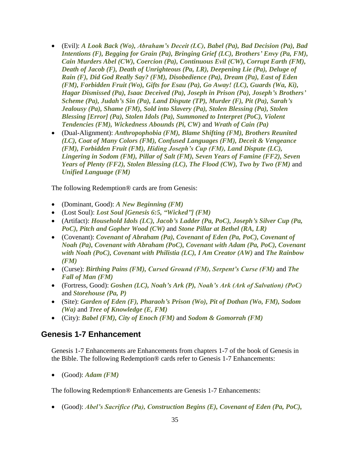- (Evil): *A Look Back (Wo), Abraham's Deceit (LC), Babel (Pa), Bad Decision (Pa), Bad Intentions (F), Begging for Grain (Pa), Bringing Grief (LC), Brothers' Envy (Pa, FM), Cain Murders Abel (CW), Coercion (Pa), Continuous Evil (CW), Corrupt Earth (FM), Death of Jacob (F), Death of Unrighteous (Pa, LR), Deepening Lie (Pa), Deluge of Rain (F), Did God Really Say? (FM), Disobedience (Pa), Dream (Pa), East of Eden (FM), Forbidden Fruit (Wo), Gifts for Esau (Pa), Go Away! (LC), Guards (Wa, Ki), Hagar Dismissed (Pa), Isaac Deceived (Pa), Joseph in Prison (Pa), Joseph's Brothers' Scheme (Pa), Judah's Sin (Pa), Land Dispute (TP), Murder (F), Pit (Pa), Sarah's Jealousy (Pa), Shame (FM), Sold into Slavery (Pa), Stolen Blessing (Pa), Stolen Blessing [Error] (Pa), Stolen Idols (Pa), Summoned to Interpret (PoC), Violent Tendencies (FM), Wickedness Abounds (Pi, CW)* and *Wrath of Cain (Pa)*
- (Dual-Alignment): *Anthropophobia (FM), Blame Shifting (FM), Brothers Reunited (LC), Coat of Many Colors (FM), Confused Languages (FM), Deceit & Vengeance (FM), Forbidden Fruit (FM), Hiding Joseph's Cup (FM), Land Dispute (LC), Lingering in Sodom (FM), Pillar of Salt (FM), Seven Years of Famine (FF2), Seven Years of Plenty (FF2), Stolen Blessing (LC), The Flood (CW), Two by Two (FM)* and *Unified Language (FM)*

The following Redemption® cards are from Genesis:

- (Dominant, Good): *A New Beginning (FM)*
- (Lost Soul): *Lost Soul [Genesis 6:5, "Wicked"] (FM)*
- (Artifact): *Household Idols (LC), Jacob's Ladder (Pa, PoC), Joseph's Silver Cup (Pa, PoC), Pitch and Gopher Wood (CW)* and *Stone Pillar at Bethel (RA, LR)*
- (Covenant): *Covenant of Abraham (Pa), Covenant of Eden (Pa, PoC), Covenant of Noah (Pa), Covenant with Abraham (PoC), Covenant with Adam (Pa, PoC), Covenant with Noah (PoC), Covenant with Philistia (LC), I Am Creator (AW)* and *The Rainbow (FM)*
- (Curse): *Birthing Pains (FM), Cursed Ground (FM), Serpent's Curse (FM)* and *The Fall of Man (FM)*
- (Fortress, Good): *Goshen (LC), Noah's Ark (P), Noah's Ark (Ark of Salvation) (PoC)* and *Storehouse (Pa, P)*
- (Site): *Garden of Eden (F), Pharaoh's Prison (Wo), Pit of Dothan (Wo, FM), Sodom (Wa)* and *Tree of Knowledge (E, FM)*
- (City): *Babel (FM), City of Enoch (FM)* and *Sodom & Gomorrah (FM)*

#### **Genesis 1-7 Enhancement**

Genesis 1-7 Enhancements are Enhancements from chapters 1-7 of the book of Genesis in the Bible. The following Redemption® cards refer to Genesis 1-7 Enhancements:

• (Good): *Adam (FM)*

The following Redemption® Enhancements are Genesis 1-7 Enhancements:

• (Good): *Abel's Sacrifice (Pa), Construction Begins (E), Covenant of Eden (Pa, PoC),*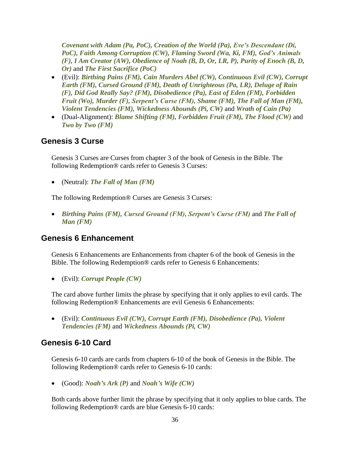*Covenant with Adam (Pa, PoC), Creation of the World (Pa), Eve's Descendant (Di, PoC), Faith Among Corruption (CW), Flaming Sword (Wa, Ki, FM), God's Animals (F), I Am Creator (AW), Obedience of Noah (B, D, Or, LR, P), Purity of Enoch (B, D, Or)* and *The First Sacrifice (PoC)*

- (Evil): *Birthing Pains (FM), Cain Murders Abel (CW), Continuous Evil (CW), Corrupt Earth (FM), Cursed Ground (FM), Death of Unrighteous (Pa, LR), Deluge of Rain (F), Did God Really Say? (FM), Disobedience (Pa), East of Eden (FM), Forbidden Fruit (Wo), Murder (F), Serpent's Curse (FM), Shame (FM), The Fall of Man (FM), Violent Tendencies (FM), Wickedness Abounds (Pi, CW)* and *Wrath of Cain (Pa)*
- (Dual-Alignment): *Blame Shifting (FM), Forbidden Fruit (FM), The Flood (CW)* and *Two by Two (FM)*

#### **Genesis 3 Curse**

Genesis 3 Curses are Curses from chapter 3 of the book of Genesis in the Bible. The following Redemption® cards refer to Genesis 3 Curses:

• (Neutral): *The Fall of Man (FM)*

The following Redemption® Curses are Genesis 3 Curses:

• *Birthing Pains (FM), Cursed Ground (FM), Serpent's Curse (FM)* and *The Fall of Man (FM)*

#### **Genesis 6 Enhancement**

Genesis 6 Enhancements are Enhancements from chapter 6 of the book of Genesis in the Bible. The following Redemption® cards refer to Genesis 6 Enhancements:

• (Evil): *Corrupt People (CW)*

The card above further limits the phrase by specifying that it only applies to evil cards. The following Redemption® Enhancements are evil Genesis 6 Enhancements:

• (Evil): *Continuous Evil (CW), Corrupt Earth (FM), Disobedience (Pa), Violent Tendencies (FM)* and *Wickedness Abounds (Pi, CW)*

#### **Genesis 6-10 Card**

Genesis 6-10 cards are cards from chapters 6-10 of the book of Genesis in the Bible. The following Redemption® cards refer to Genesis 6-10 cards:

• (Good): *Noah's Ark (P)* and *Noah's Wife (CW)*

Both cards above further limit the phrase by specifying that it only applies to blue cards. The following Redemption® cards are blue Genesis 6-10 cards: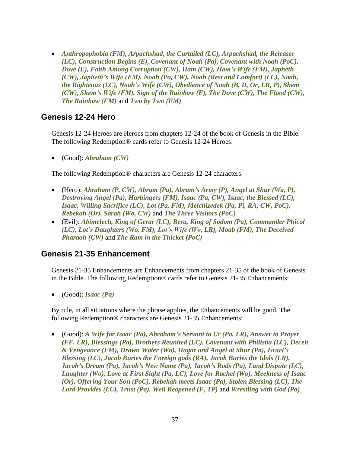• *Anthropophobia (FM), Arpachshad, the Curtailed (LC), Arpachshad, the Releaser (LC), Construction Begins (E), Covenant of Noah (Pa), Covenant with Noah (PoC), Dove (E), Faith Among Corruption (CW), Ham (CW), Ham's Wife (FM), Japheth (CW), Japheth's Wife (FM), Noah (Pa, CW), Noah (Rest and Comfort) (LC), Noah, the Righteous (LC), Noah's Wife (CW), Obedience of Noah (B, D, Or, LR, P), Shem (CW), Shem's Wife (FM), Sign of the Rainbow (E), The Dove (CW), The Flood (CW), The Rainbow (FM)* and *Two by Two (FM)*

#### **Genesis 12-24 Hero**

Genesis 12-24 Heroes are Heroes from chapters 12-24 of the book of Genesis in the Bible. The following Redemption® cards refer to Genesis 12-24 Heroes:

• (Good): *Abraham (CW)*

The following Redemption® characters are Genesis 12-24 characters:

- (Hero): *Abraham (P, CW), Abram (Pa), Abram's Army (P), Angel at Shur (Wa, P), Destroying Angel (Pa), Harbingers (FM), Isaac (Pa, CW), Isaac, the Blessed (LC), Isaac, Willing Sacrifice (LC), Lot (Pa, FM), Melchizedek (Pa, Pi, RA, CW, PoC), Rebekah (Or), Sarah (Wo, CW)* and *The Three Visitors (PoC)*
- (Evil): *Abimelech, King of Gerar (LC), Bera, King of Sodom (Pa), Commander Phicol (LC), Lot's Daughters (Wo, FM), Lot's Wife (Wo, LR), Moab (FM), The Deceived Pharaoh (CW)* and *The Ram in the Thicket (PoC)*

## **Genesis 21-35 Enhancement**

Genesis 21-35 Enhancements are Enhancements from chapters 21-35 of the book of Genesis in the Bible. The following Redemption® cards refer to Genesis 21-35 Enhancements:

• (Good): *Isaac (Pa)*

By rule, in all situations where the phrase applies, the Enhancements will be good. The following Redemption® characters are Genesis 21-35 Enhancements:

• (Good): *A Wife for Isaac (Pa), Abraham's Servant to Ur (Pa, LR), Answer to Prayer (FF, LR), Blessings (Pa), Brothers Reunited (LC), Covenant with Philistia (LC), Deceit & Vengeance (FM), Drawn Water (Wo), Hagar and Angel at Shur (Pa), Israel's Blessing (LC), Jacob Buries the Foreign gods (RA), Jacob Buries the Idols (LR), Jacob's Dream (Pa), Jacob's New Name (Pa), Jacob's Rods (Pa), Land Dispute (LC), Laughter (Wo), Love at First Sight (Pa, LC), Love for Rachel (Wo), Meekness of Isaac (Or), Offering Your Son (PoC), Rebekah meets Isaac (Pa), Stolen Blessing (LC), The Lord Provides (LC), Trust (Pa), Well Reopened (F, TP)* and *Wrestling with God (Pa)*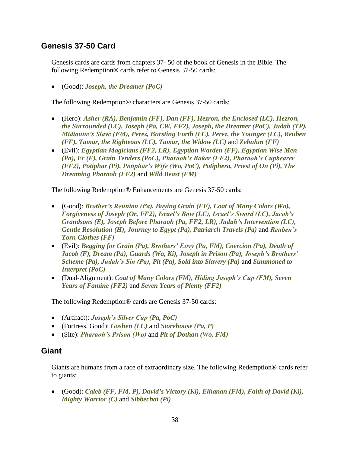## **Genesis 37-50 Card**

Genesis cards are cards from chapters 37- 50 of the book of Genesis in the Bible. The following Redemption® cards refer to Genesis 37-50 cards:

• (Good): *Joseph, the Dreamer (PoC)*

The following Redemption® characters are Genesis 37-50 cards:

- (Hero): *Asher (RA), Benjamin (FF), Dan (FF), Hezron, the Enclosed (LC), Hezron, the Surrounded (LC), Joseph (Pa, CW, FF2), Joseph, the Dreamer (PoC), Judah (TP), Midianite's Slave (FM), Perez, Bursting Forth (LC), Perez, the Younger (LC), Reuben (FF), Tamar, the Righteous (LC), Tamar, the Widow (LC)* and *Zebulun (FF)*
- (Evil): *Egyptian Magicians (FF2, LR), Egyptian Warden (FF), Egyptian Wise Men (Pa), Er (F), Grain Tenders (PoC), Pharaoh's Baker (FF2), Pharaoh's Cupbearer (FF2), Potiphar (Pi), Potiphar's Wife (Wo, PoC), Potiphera, Priest of On (Pi), The Dreaming Pharaoh (FF2)* and *Wild Beast (FM)*

The following Redemption® Enhancements are Genesis 37-50 cards:

- (Good): *Brother's Reunion (Pa), Buying Grain (FF), Coat of Many Colors (Wo), Forgiveness of Joseph (Or, FF2), Israel's Bow (LC), Israel's Sword (LC), Jacob's Grandsons (E), Joseph Before Pharaoh (Pa, FF2, LR), Judah's Intervention (LC), Gentle Resolution (H), Journey to Egypt (Pa), Patriarch Travels (Pa)* and *Reuben's Torn Clothes (FF)*
- (Evil): *Begging for Grain (Pa), Brothers' Envy (Pa, FM), Coercion (Pa), Death of Jacob (F), Dream (Pa), Guards (Wa, Ki), Joseph in Prison (Pa), Joseph's Brothers' Scheme (Pa), Judah's Sin (Pa), Pit (Pa), Sold into Slavery (Pa)* and *Summoned to Interpret (PoC)*
- (Dual-Alignment): *Coat of Many Colors (FM), Hiding Joseph's Cup (FM), Seven Years of Famine (FF2)* and *Seven Years of Plenty (FF2)*

The following Redemption® cards are Genesis 37-50 cards:

- (Artifact): *Joseph's Silver Cup (Pa, PoC)*
- (Fortress, Good): *Goshen (LC)* and *Storehouse (Pa, P)*
- (Site): *Pharaoh's Prison (Wo)* and *Pit of Dothan (Wo, FM)*

## **Giant**

Giants are humans from a race of extraordinary size. The following Redemption® cards refer to giants:

• (Good): *Caleb (FF, FM, P), David's Victory (Ki), Elhanan (FM), Faith of David (Ki), Mighty Warrior (C)* and *Sibbechai (Pi)*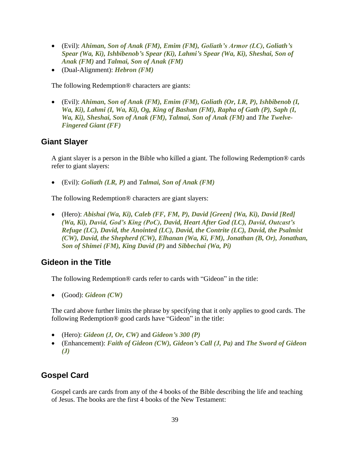- (Evil): *Ahiman, Son of Anak (FM), Emim (FM), Goliath's Armor (LC), Goliath's Spear (Wa, Ki), Ishbibenob's Spear (Ki), Lahmi's Spear (Wa, Ki), Sheshai, Son of Anak (FM)* and *Talmai, Son of Anak (FM)*
- (Dual-Alignment): *Hebron (FM)*

The following Redemption® characters are giants:

• (Evil): *Ahiman, Son of Anak (FM), Emim (FM), Goliath (Or, LR, P), Ishbibenob (I, Wa, Ki), Lahmi (I, Wa, Ki), Og, King of Bashan (FM), Rapha of Gath (P), Saph (I, Wa, Ki), Sheshai, Son of Anak (FM), Talmai, Son of Anak (FM)* and *The Twelve-Fingered Giant (FF)*

#### **Giant Slayer**

A giant slayer is a person in the Bible who killed a giant. The following Redemption® cards refer to giant slayers:

• (Evil): *Goliath (LR, P)* and *Talmai, Son of Anak (FM)*

The following Redemption® characters are giant slayers:

• (Hero): *Abishai (Wa, Ki), Caleb (FF, FM, P), David [Green] (Wa, Ki), David [Red] (Wa, Ki), David, God's King (PoC), David, Heart After God (LC), David, Outcast's Refuge (LC), David, the Anointed (LC), David, the Contrite (LC), David, the Psalmist (CW), David, the Shepherd (CW), Elhanan (Wa, Ki, FM), Jonathan (B, Or), Jonathan, Son of Shimei (FM), King David (P)* and *Sibbechai (Wa, Pi)*

#### **Gideon in the Title**

The following Redemption® cards refer to cards with "Gideon" in the title:

• (Good): *Gideon (CW)*

The card above further limits the phrase by specifying that it only applies to good cards. The following Redemption® good cards have "Gideon" in the title:

- (Hero): *Gideon (J, Or, CW)* and *Gideon's 300 (P)*
- (Enhancement): *Faith of Gideon (CW), Gideon's Call (J, Pa)* and *The Sword of Gideon (J)*

## **Gospel Card**

Gospel cards are cards from any of the 4 books of the Bible describing the life and teaching of Jesus. The books are the first 4 books of the New Testament: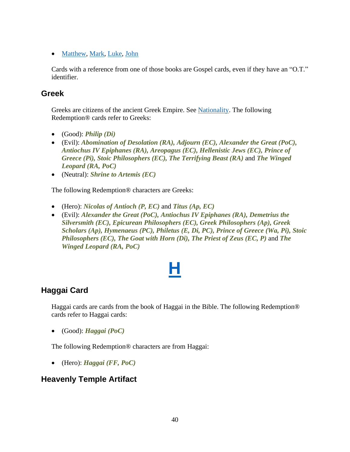• [Matthew,](#page-71-0) [Mark,](#page-69-0) [Luke,](#page-66-0) [John](#page-57-0)

Cards with a reference from one of those books are Gospel cards, even if they have an "O.T." identifier.

#### **Greek**

Greeks are citizens of the ancient Greek Empire. See [Nationality.](#page-76-0) The following Redemption® cards refer to Greeks:

- (Good): *Philip (Di)*
- (Evil): *Abomination of Desolation (RA), Adjourn (EC), Alexander the Great (PoC), Antiochus IV Epiphanes (RA), Areopagus (EC), Hellenistic Jews (EC), Prince of Greece (Pi), Stoic Philosophers (EC), The Terrifying Beast (RA)* and *The Winged Leopard (RA, PoC)*
- (Neutral): *Shrine to Artemis (EC)*

The following Redemption® characters are Greeks:

- (Hero): *Nicolas of Antioch (P, EC)* and *Titus (Ap, EC)*
- (Evil): *Alexander the Great (PoC), Antiochus IV Epiphanes (RA), Demetrius the Silversmith (EC), Epicurean Philosophers (EC), Greek Philosophers (Ap), Greek Scholars (Ap), Hymenaeus (PC), Philetus (E, Di, PC), Prince of Greece (Wa, Pi), Stoic Philosophers (EC), The Goat with Horn (Di), The Priest of Zeus (EC, P)* and *The Winged Leopard (RA, PoC)*

## **[H](#page-1-0)**

## **Haggai Card**

Haggai cards are cards from the book of Haggai in the Bible. The following Redemption® cards refer to Haggai cards:

• (Good): *Haggai (PoC)*

The following Redemption® characters are from Haggai:

• (Hero): *Haggai (FF, PoC)*

#### **Heavenly Temple Artifact**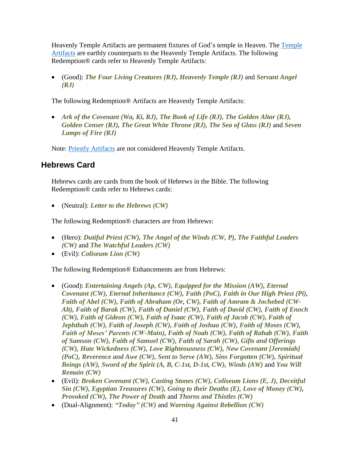Heavenly Temple Artifacts are permanent fixtures of God's temple in Heaven. The [Temple](#page-100-0)  [Artifacts](#page-100-0) are earthly counterparts to the Heavenly Temple Artifacts. The following Redemption® cards refer to Heavenly Temple Artifacts:

• (Good): *The Four Living Creatures (RJ), Heavenly Temple (RJ)* and *Servant Angel (RJ)*

The following Redemption® Artifacts are Heavenly Temple Artifacts:

• *Ark of the Covenant (Wa, Ki, RJ), The Book of Life (RJ), The Golden Altar (RJ), Golden Censer (RJ), The Great White Throne (RJ), The Sea of Glass (RJ)* and *Seven Lamps of Fire (RJ)*

Note: [Priestly Artifacts](#page-84-0) are not considered Heavenly Temple Artifacts.

## **Hebrews Card**

Hebrews cards are cards from the book of Hebrews in the Bible. The following Redemption® cards refer to Hebrews cards:

• (Neutral): *Letter to the Hebrews (CW)*

The following Redemption® characters are from Hebrews:

- (Hero): *Dutiful Priest (CW), The Angel of the Winds (CW, P), The Faithful Leaders (CW)* and *The Watchful Leaders (CW)*
- (Evil): *Coliseum Lion (CW)*

The following Redemption® Enhancements are from Hebrews:

- (Good): *Entertaining Angels (Ap, CW), Equipped for the Mission (AW), Eternal Covenant (CW), Eternal Inheritance (CW), Faith (PoC), Faith in Our High Priest (Pi), Faith of Abel (CW), Faith of Abraham (Or, CW), Faith of Amram & Jochebed (CW-Alt), Faith of Barak (CW), Faith of Daniel (CW), Faith of David (CW), Faith of Enoch (CW), Faith of Gideon (CW), Faith of Isaac (CW), Faith of Jacob (CW), Faith of Jephthah (CW), Faith of Joseph (CW), Faith of Joshua (CW), Faith of Moses (CW), Faith of Moses' Parents (CW-Main), Faith of Noah (CW), Faith of Rahab (CW), Faith of Samson (CW), Faith of Samuel (CW), Faith of Sarah (CW), Gifts and Offerings (CW), Hate Wickedness (CW), Love Righteousness (CW), New Covenant [Jeremiah] (PoC), Reverence and Awe (CW), Sent to Serve (AW), Sins Forgotten (CW), Spiritual Beings (AW), Sword of the Spirit (A, B, C-1st, D-1st, CW), Winds (AW)* and *You Will Remain (CW)*
- (Evil): *Broken Covenant (CW), Casting Stones (CW), Coliseum Lions (E, J), Deceitful Sin (CW), Egyptian Treasures (CW), Going to their Deaths (E), Love of Money (CW), Provoked (CW), The Power of Death* and *Thorns and Thistles (CW)*
- (Dual-Alignment): *"Today" (CW)* and *Warning Against Rebellion (CW)*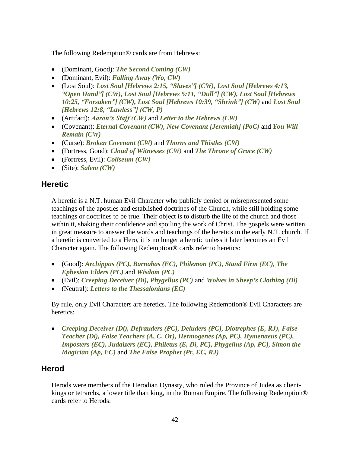The following Redemption® cards are from Hebrews:

- (Dominant, Good): *The Second Coming (CW)*
- (Dominant, Evil): *Falling Away (Wo, CW)*
- (Lost Soul): *Lost Soul [Hebrews 2:15, "Slaves"] (CW), Lost Soul [Hebrews 4:13, "Open Hand"] (CW), Lost Soul [Hebrews 5:11, "Dull"] (CW), Lost Soul [Hebrews 10:25, "Forsaken"] (CW), Lost Soul [Hebrews 10:39, "Shrink"] (CW)* and *Lost Soul [Hebrews 12:8, "Lawless"] (CW, P)*
- (Artifact): *Aaron's Staff (CW)* and *Letter to the Hebrews (CW)*
- (Covenant): *Eternal Covenant (CW), New Covenant [Jeremiah] (PoC)* and *You Will Remain (CW)*
- (Curse): *Broken Covenant (CW)* and *Thorns and Thistles (CW)*
- (Fortress, Good): *Cloud of Witnesses (CW)* and *The Throne of Grace (CW)*
- (Fortress, Evil): *Coliseum (CW)*
- (Site): *Salem (CW)*

#### **Heretic**

A heretic is a N.T. human Evil Character who publicly denied or misrepresented some teachings of the apostles and established doctrines of the Church, while still holding some teachings or doctrines to be true. Their object is to disturb the life of the church and those within it, shaking their confidence and spoiling the work of Christ. The gospels were written in great measure to answer the words and teachings of the heretics in the early N.T. church. If a heretic is converted to a Hero, it is no longer a heretic unless it later becomes an Evil Character again. The following Redemption® cards refer to heretics:

- (Good): *Archippus (PC), Barnabas (EC), Philemon (PC), Stand Firm (EC), The Ephesian Elders (PC)* and *Wisdom (PC)*
- (Evil): *Creeping Deceiver (Di), Phygellus (PC)* and *Wolves in Sheep's Clothing (Di)*
- (Neutral): *Letters to the Thessalonians (EC)*

By rule, only Evil Characters are heretics. The following Redemption® Evil Characters are heretics:

• *Creeping Deceiver (Di), Defrauders (PC), Deluders (PC), Diotrephes (E, RJ), False Teacher (Di), False Teachers (A, C, Or), Hermogenes (Ap, PC), Hymenaeus (PC), Imposters (EC), Judaizers (EC), Philetus (E, Di, PC), Phygellus (Ap, PC), Simon the Magician (Ap, EC)* and *The False Prophet (Pr, EC, RJ)*

## **Herod**

Herods were members of the Herodian Dynasty, who ruled the Province of Judea as clientkings or tetrarchs, a lower title than king, in the Roman Empire. The following Redemption® cards refer to Herods: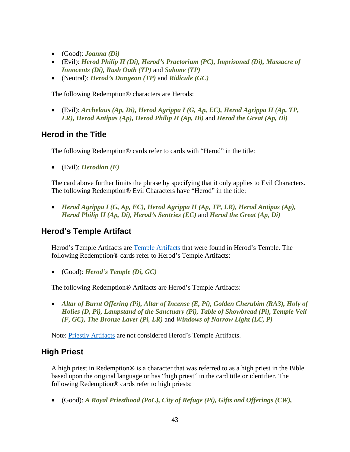- (Good): *Joanna (Di)*
- (Evil): *Herod Philip II (Di), Herod's Praetorium (PC), Imprisoned (Di), Massacre of Innocents (Di), Rash Oath (TP)* and *Salome (TP)*
- (Neutral): *Herod's Dungeon (TP)* and *Ridicule (GC)*

The following Redemption® characters are Herods:

• (Evil): *Archelaus (Ap, Di), Herod Agrippa I (G, Ap, EC), Herod Agrippa II (Ap, TP, LR), Herod Antipas (Ap), Herod Philip II (Ap, Di)* and *Herod the Great (Ap, Di)*

## **Herod in the Title**

The following Redemption® cards refer to cards with "Herod" in the title:

• (Evil): *Herodian (E)*

The card above further limits the phrase by specifying that it only applies to Evil Characters. The following Redemption® Evil Characters have "Herod" in the title:

• *Herod Agrippa I (G, Ap, EC), Herod Agrippa II (Ap, TP, LR), Herod Antipas (Ap), Herod Philip II (Ap, Di), Herod's Sentries (EC)* and *Herod the Great (Ap, Di)*

## **Herod's Temple Artifact**

Herod's [Temple Artifacts](#page-100-0) are Temple Artifacts that were found in Herod's Temple. The following Redemption® cards refer to Herod's Temple Artifacts:

• (Good): *Herod's Temple (Di, GC)*

The following Redemption® Artifacts are Herod's Temple Artifacts:

• *Altar of Burnt Offering (Pi), Altar of Incense (E, Pi), Golden Cherubim (RA3), Holy of Holies (D, Pi), Lampstand of the Sanctuary (Pi), Table of Showbread (Pi), Temple Veil (F, GC), The Bronze Laver (Pi, LR)* and *Windows of Narrow Light (LC, P)*

Note: [Priestly Artifacts](#page-84-0) are not considered Herod's Temple Artifacts.

## **High Priest**

A high priest in Redemption® is a character that was referred to as a high priest in the Bible based upon the original language or has "high priest" in the card title or identifier. The following Redemption® cards refer to high priests:

• (Good): *A Royal Priesthood (PoC), City of Refuge (Pi), Gifts and Offerings (CW),*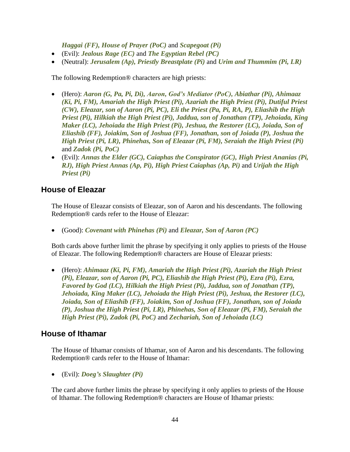*Haggai (FF), House of Prayer (PoC)* and *Scapegoat (Pi)*

- (Evil): *Jealous Rage (EC)* and *The Egyptian Rebel (PC)*
- (Neutral): *Jerusalem (Ap), Priestly Breastplate (Pi)* and *Urim and Thummim (Pi, LR)*

The following Redemption® characters are high priests:

- (Hero): *Aaron (G, Pa, Pi, Di), Aaron, God's Mediator (PoC), Abiathar (Pi), Ahimaaz (Ki, Pi, FM), Amariah the High Priest (Pi), Azariah the High Priest (Pi), Dutiful Priest (CW), Eleazar, son of Aaron (Pi, PC), Eli the Priest (Pa, Pi, RA, P), Eliashib the High Priest (Pi), Hilkiah the High Priest (Pi), Jaddua, son of Jonathan (TP), Jehoiada, King Maker (LC), Jehoiada the High Priest (Pi), Jeshua, the Restorer (LC), Joiada, Son of Eliashib (FF), Joiakim, Son of Joshua (FF), Jonathan, son of Joiada (P), Joshua the High Priest (Pi, LR), Phinehas, Son of Eleazar (Pi, FM), Seraiah the High Priest (Pi)* and *Zadok (Pi, PoC)*
- (Evil): *Annas the Elder (GC), Caiaphas the Conspirator (GC), High Priest Ananias (Pi, RJ), High Priest Annas (Ap, Pi), High Priest Caiaphas (Ap, Pi)* and *Urijah the High Priest (Pi)*

#### **House of Eleazar**

The House of Eleazar consists of Eleazar, son of Aaron and his descendants. The following Redemption® cards refer to the House of Eleazar:

• (Good): *Covenant with Phinehas (Pi)* and *Eleazar, Son of Aaron (PC)*

Both cards above further limit the phrase by specifying it only applies to priests of the House of Eleazar. The following Redemption® characters are House of Eleazar priests:

• (Hero): *Ahimaaz (Ki, Pi, FM), Amariah the High Priest (Pi), Azariah the High Priest (Pi), Eleazar, son of Aaron (Pi, PC), Eliashib the High Priest (Pi), Ezra (Pi), Ezra, Favored by God (LC), Hilkiah the High Priest (Pi), Jaddua, son of Jonathan (TP), Jehoiada, King Maker (LC), Jehoiada the High Priest (Pi), Jeshua, the Restorer (LC), Joiada, Son of Eliashib (FF), Joiakim, Son of Joshua (FF), Jonathan, son of Joiada (P), Joshua the High Priest (Pi, LR), Phinehas, Son of Eleazar (Pi, FM), Seraiah the High Priest (Pi), Zadok (Pi, PoC)* and *Zechariah, Son of Jehoiada (LC)*

## **House of Ithamar**

The House of Ithamar consists of Ithamar, son of Aaron and his descendants. The following Redemption® cards refer to the House of Ithamar:

• (Evil): *Doeg's Slaughter (Pi)*

The card above further limits the phrase by specifying it only applies to priests of the House of Ithamar. The following Redemption® characters are House of Ithamar priests: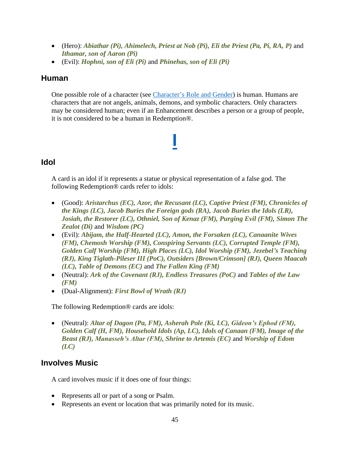- (Hero): *Abiathar (Pi), Ahimelech, Priest at Nob (Pi), Eli the Priest (Pa, Pi, RA, P)* and *Ithamar, son of Aaron (Pi)*
- (Evil): *Hophni, son of Eli (Pi)* and *Phinehas, son of Eli (Pi)*

#### **Human**

One possible role of a character (see [Character's Role and Gender\)](#page-14-0) is human. Humans are characters that are not angels, animals, demons, and symbolic characters. Only characters may be considered human; even if an Enhancement describes a person or a group of people, it is not considered to be a human in Redemption®.

**[I](#page-1-0)**

## **Idol**

A card is an idol if it represents a statue or physical representation of a false god. The following Redemption® cards refer to idols:

- (Good): *Aristarchus (EC), Azor, the Recusant (LC), Captive Priest (FM), Chronicles of the Kings (LC), Jacob Buries the Foreign gods (RA), Jacob Buries the Idols (LR), Josiah, the Restorer (LC), Othniel, Son of Kenaz (FM), Purging Evil (FM), Simon The Zealot (Di)* and *Wisdom (PC)*
- (Evil): *Abijam, the Half-Hearted (LC), Amon, the Forsaken (LC), Canaanite Wives (FM), Chemosh Worship (FM), Conspiring Servants (LC), Corrupted Temple (FM), Golden Calf Worship (FM), High Places (LC), Idol Worship (FM), Jezebel's Teaching (RJ), King Tiglath-Pileser III (PoC), Outsiders [Brown/Crimson] (RJ), Queen Maacah (LC), Table of Demons (EC)* and *The Fallen King (FM)*
- (Neutral): *Ark of the Covenant (RJ), Endless Treasures (PoC)* and *Tables of the Law (FM)*
- (Dual-Alignment): *First Bowl of Wrath (RJ)*

The following Redemption® cards are idols:

• (Neutral): *Altar of Dagon (Pa, FM), Asherah Pole (Ki, LC), Gideon's Ephod (FM), Golden Calf (H, FM), Household Idols (Ap, LC), Idols of Canaan (FM), Image of the Beast (RJ), Manasseh's Altar (FM), Shrine to Artemis (EC)* and *Worship of Edom (LC)*

## **Involves Music**

A card involves music if it does one of four things:

- Represents all or part of a song or Psalm.
- Represents an event or location that was primarily noted for its music.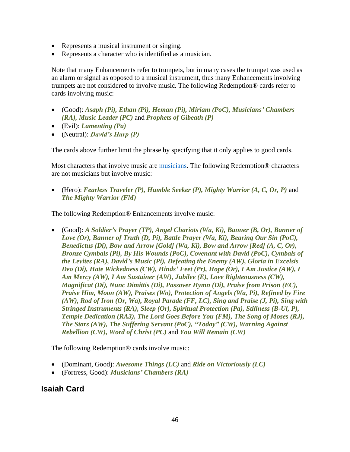- Represents a musical instrument or singing.
- Represents a character who is identified as a musician.

Note that many Enhancements refer to trumpets, but in many cases the trumpet was used as an alarm or signal as opposed to a musical instrument, thus many Enhancements involving trumpets are not considered to involve music. The following Redemption® cards refer to cards involving music:

- (Good): *Asaph (Pi), Ethan (Pi), Heman (Pi), Miriam (PoC), Musicians' Chambers (RA), Music Leader (PC)* and *Prophets of Gibeath (P)*
- (Evil): *Lamenting (Pa)*
- (Neutral): *David's Harp (P)*

The cards above further limit the phrase by specifying that it only applies to good cards.

Most characters that involve music are **musicians**. The following Redemption<sup>®</sup> characters are not musicians but involve music:

• (Hero): *Fearless Traveler (P), Humble Seeker (P), Mighty Warrior (A, C, Or, P)* and *The Mighty Warrior (FM)*

The following Redemption® Enhancements involve music:

• (Good): *A Soldier's Prayer (TP), Angel Chariots (Wa, Ki), Banner (B, Or), Banner of Love (Or), Banner of Truth (D, Pi), Battle Prayer (Wa, Ki), Bearing Our Sin (PoC), Benedictus (Di), Bow and Arrow [Gold] (Wa, Ki), Bow and Arrow [Red] (A, C, Or), Bronze Cymbals (Pi), By His Wounds (PoC), Covenant with David (PoC), Cymbals of the Levites (RA), David's Music (Pi), Defeating the Enemy (AW), Gloria in Excelsis Deo (Di), Hate Wickedness (CW), Hinds' Feet (Pr), Hope (Or), I Am Justice (AW), I Am Mercy (AW), I Am Sustainer (AW), Jubilee (E), Love Righteousness (CW), Magnificat (Di), Nunc Dimittis (Di), Passover Hymn (Di), Praise from Prison (EC), Praise Him, Moon (AW), Praises (Wo), Protection of Angels (Wa, Pi), Refined by Fire (AW), Rod of Iron (Or, Wa), Royal Parade (FF, LC), Sing and Praise (J, Pi), Sing with Stringed Instruments (RA), Sleep (Or), Spiritual Protection (Pa), Stillness (B-Ul, P), Temple Dedication (RA3), The Lord Goes Before You (FM), The Song of Moses (RJ), The Stars (AW), The Suffering Servant (PoC), "Today" (CW), Warning Against Rebellion (CW), Word of Christ (PC)* and *You Will Remain (CW)*

The following Redemption® cards involve music:

- (Dominant, Good): *Awesome Things (LC)* and *Ride on Victoriously (LC)*
- (Fortress, Good): *Musicians' Chambers (RA)*

## **Isaiah Card**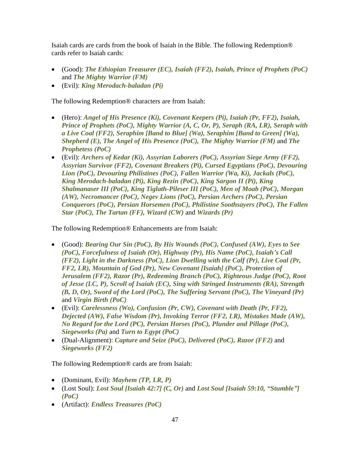Isaiah cards are cards from the book of Isaiah in the Bible. The following Redemption® cards refer to Isaiah cards:

- (Good): *The Ethiopian Treasurer (EC), Isaiah (FF2), Isaiah, Prince of Prophets (PoC)* and *The Mighty Warrior (FM)*
- (Evil): *King Merodach-baladan (Pi)*

The following Redemption® characters are from Isaiah:

- (Hero): *Angel of His Presence (Ki), Covenant Keepers (Pi), Isaiah (Pr, FF2), Isaiah, Prince of Prophets (PoC), Mighty Warrior (A, C, Or, P), Seraph (RA, LR), Seraph with a Live Coal (FF2), Seraphim [Band to Blue] (Wa), Seraphim [Band to Green] (Wa), Shepherd (E), The Angel of His Presence (PoC), The Mighty Warrior (FM)* and *The Prophetess (PoC)*
- (Evil): *Archers of Kedar (Ki), Assyrian Laborers (PoC), Assyrian Siege Army (FF2), Assyrian Survivor (FF2), Covenant Breakers (Pi), Cursed Egyptians (PoC), Devouring Lion (PoC), Devouring Philistines (PoC), Fallen Warrior (Wa, Ki), Jackals (PoC), King Merodach-baladan (Pi), King Rezin (PoC), King Sargon II (Pi), King Shalmanaser III (PoC), King Tiglath-Pileser III (PoC), Men of Moab (PoC), Morgan (AW), Necromancer (PoC), Negev Lions (PoC), Persian Archers (PoC), Persian Conquerors (PoC), Persian Horsemen (PoC), Philistine Soothsayers (PoC), The Fallen Star (PoC), The Tartan (FF), Wizard (CW)* and *Wizards (Pr)*

The following Redemption® Enhancements are from Isaiah:

- (Good): *Bearing Our Sin (PoC), By His Wounds (PoC), Confused (AW), Eyes to See (PoC), Forcefulness of Isaiah (Or), Highway (Pr), His Name (PoC), Isaiah's Call (FF2), Light in the Darkness (PoC), Lion Dwelling with the Calf (Pr), Live Coal (Pr, FF2, LR), Mountain of God (Pr), New Covenant [Isaiah] (PoC), Protection of Jerusalem (FF2), Razor (Pr), Redeeming Branch (PoC), Righteous Judge (PoC), Root of Jesse (LC, P), Scroll of Isaiah (EC), Sing with Stringed Instruments (RA), Strength (B, D, Or), Sword of the Lord (PoC), The Suffering Servant (PoC), The Vineyard (Pr)* and *Virgin Birth (PoC)*
- (Evil): *Carelessness (Wo), Confusion (Pr, CW), Covenant with Death (Pr, FF2), Dejected (AW), False Wisdom (Pr), Invoking Terror (FF2, LR), Mistakes Made (AW), No Regard for the Lord (PC), Persian Horses (PoC), Plunder and Pillage (PoC), Siegeworks (Pa)* and *Turn to Egypt (PoC)*
- (Dual-Alignment): *Capture and Seize (PoC), Delivered (PoC), Razor (FF2)* and *Siegeworks (FF2)*

The following Redemption® cards are from Isaiah:

- (Dominant, Evil): *Mayhem (TP, LR, P)*
- (Lost Soul): *Lost Soul [Isaiah 42:7] (C, Or)* and *Lost Soul [Isaiah 59:10, "Stumble"] (PoC)*
- (Artifact): *Endless Treasures (PoC)*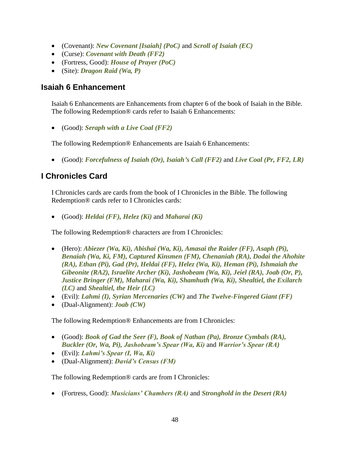- (Covenant): *New Covenant [Isaiah] (PoC)* and *Scroll of Isaiah (EC)*
- (Curse): *Covenant with Death (FF2)*
- (Fortress, Good): *House of Prayer (PoC)*
- (Site): *Dragon Raid (Wa, P)*

## **Isaiah 6 Enhancement**

Isaiah 6 Enhancements are Enhancements from chapter 6 of the book of Isaiah in the Bible. The following Redemption® cards refer to Isaiah 6 Enhancements:

• (Good): *Seraph with a Live Coal (FF2)*

The following Redemption® Enhancements are Isaiah 6 Enhancements:

• (Good): *Forcefulness of Isaiah (Or), Isaiah's Call (FF2)* and *Live Coal (Pr, FF2, LR)*

## **I Chronicles Card**

I Chronicles cards are cards from the book of I Chronicles in the Bible. The following Redemption® cards refer to I Chronicles cards:

• (Good): *Heldai (FF), Helez (Ki)* and *Maharai (Ki)*

The following Redemption® characters are from I Chronicles:

- (Hero): *Abiezer (Wa, Ki), Abishai (Wa, Ki), Amasai the Raider (FF), Asaph (Pi), Benaiah (Wa, Ki, FM), Captured Kinsmen (FM), Chenaniah (RA), Dodai the Ahohite (RA), Ethan (Pi), Gad (Pr), Heldai (FF), Helez (Wa, Ki), Heman (Pi), Ishmaiah the Gibeonite (RA2), Israelite Archer (Ki), Jashobeam (Wa, Ki), Jeiel (RA), Joab (Or, P), Justice Bringer (FM), Maharai (Wa, Ki), Shamhuth (Wa, Ki), Shealtiel, the Exilarch (LC)* and *Shealtiel, the Heir (LC)*
- (Evil): *Lahmi (I), Syrian Mercenaries (CW)* and *The Twelve-Fingered Giant (FF)*
- (Dual-Alignment): *Joab (CW)*

The following Redemption® Enhancements are from I Chronicles:

- (Good): *Book of Gad the Seer (F), Book of Nathan (Pa), Bronze Cymbals (RA), Buckler (Or, Wa, Pi), Jashobeam's Spear (Wa, Ki)* and *Warrior's Spear (RA)*
- (Evil): *Lahmi's Spear (I, Wa, Ki)*
- (Dual-Alignment): *David's Census (FM)*

The following Redemption® cards are from I Chronicles:

• (Fortress, Good): *Musicians' Chambers (RA)* and *Stronghold in the Desert (RA)*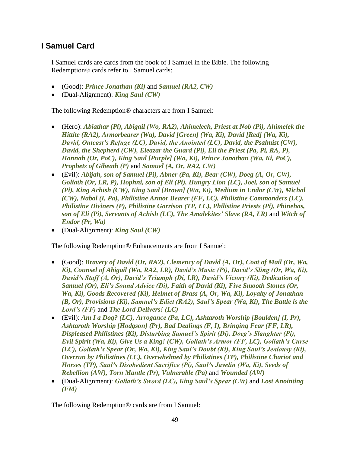## **I Samuel Card**

I Samuel cards are cards from the book of I Samuel in the Bible. The following Redemption® cards refer to I Samuel cards:

- (Good): *Prince Jonathan (Ki)* and *Samuel (RA2, CW)*
- (Dual-Alignment): *King Saul (CW)*

The following Redemption® characters are from I Samuel:

- (Hero): *Abiathar (Pi), Abigail (Wo, RA2), Ahimelech, Priest at Nob (Pi), Ahimelek the Hittite (RA2), Armorbearer (Wa), David [Green] (Wa, Ki), David [Red] (Wa, Ki), David, Outcast's Refuge (LC), David, the Anointed (LC), David, the Psalmist (CW), David, the Shepherd (CW), Eleazar the Guard (Pi), Eli the Priest (Pa, Pi, RA, P), Hannah (Or, PoC), King Saul [Purple] (Wa, Ki), Prince Jonathan (Wa, Ki, PoC), Prophets of Gibeath (P)* and *Samuel (A, Or, RA2, CW)*
- (Evil): *Abijah, son of Samuel (Pi), Abner (Pa, Ki), Bear (CW), Doeg (A, Or, CW), Goliath (Or, LR, P), Hophni, son of Eli (Pi), Hungry Lion (LC), Joel, son of Samuel (Pi), King Achish (CW), King Saul [Brown] (Wa, Ki), Medium in Endor (CW), Michal (CW), Nabal (I, Pa), Philistine Armor Bearer (FF, LC), Philistine Commanders (LC), Philistine Diviners (P), Philistine Garrison (TP, LC), Philistine Priests (Pi), Phinehas, son of Eli (Pi), Servants of Achish (LC), The Amalekites' Slave (RA, LR)* and *Witch of Endor (Pr, Wa)*
- (Dual-Alignment): *King Saul (CW)*

The following Redemption® Enhancements are from I Samuel:

- (Good): *Bravery of David (Or, RA2), Clemency of David (A, Or), Coat of Mail (Or, Wa, Ki), Counsel of Abigail (Wo, RA2, LR), David's Music (Pi), David's Sling (Or, Wa, Ki), David's Staff (A, Or), David's Triumph (Di, LR), David's Victory (Ki), Dedication of Samuel (Or), Eli's Sound Advice (Di), Faith of David (Ki), Five Smooth Stones (Or, Wa, Ki), Goods Recovered (Ki), Helmet of Brass (A, Or, Wa, Ki), Loyalty of Jonathan (B, Or), Provisions (Ki), Samuel's Edict (RA2), Saul's Spear (Wa, Ki), The Battle is the Lord's (FF)* and *The Lord Delivers! (LC)*
- (Evil): *Am I a Dog? (LC), Arrogance (Pa, LC), Ashtaroth Worship [Boulden] (I, Pr), Ashtaroth Worship [Hodgson] (Pr), Bad Dealings (F, I), Bringing Fear (FF, LR), Displeased Philistines (Ki), Disturbing Samuel's Spirit (Di), Doeg's Slaughter (Pi), Evil Spirit (Wa, Ki), Give Us a King! (CW), Goliath's Armor (FF, LC), Goliath's Curse (LC), Goliath's Spear (Or, Wa, Ki), King Saul's Doubt (Ki), King Saul's Jealousy (Ki), Overrun by Philistines (LC), Overwhelmed by Philistines (TP), Philistine Chariot and Horses (TP), Saul's Disobedient Sacrifice (Pi), Saul's Javelin (Wa, Ki), Seeds of Rebellion (AW), Torn Mantle (Pr), Vulnerable (Pa)* and *Wounded (AW)*
- (Dual-Alignment): *Goliath's Sword (LC), King Saul's Spear (CW)* and *Lost Anointing (FM)*

The following Redemption® cards are from I Samuel: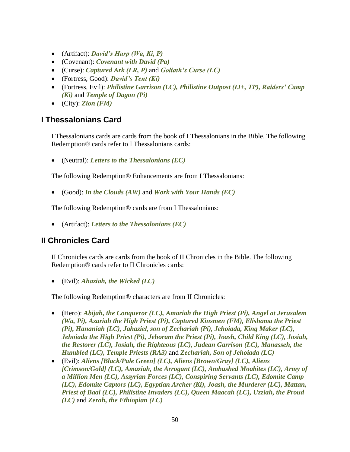- (Artifact): *David's Harp (Wa, Ki, P)*
- (Covenant): *Covenant with David (Pa)*
- (Curse): *Captured Ark (LR, P)* and *Goliath's Curse (LC)*
- (Fortress, Good): *David's Tent (Ki)*
- (Fortress, Evil): *Philistine Garrison (LC), Philistine Outpost (IJ+, TP), Raiders' Camp (Ki)* and *Temple of Dagon (Pi)*
- (City): *Zion (FM)*

## **I Thessalonians Card**

I Thessalonians cards are cards from the book of I Thessalonians in the Bible. The following Redemption® cards refer to I Thessalonians cards:

• (Neutral): *Letters to the Thessalonians (EC)*

The following Redemption® Enhancements are from I Thessalonians:

• (Good): *In the Clouds (AW)* and *Work with Your Hands (EC)*

The following Redemption® cards are from I Thessalonians:

• (Artifact): *Letters to the Thessalonians (EC)*

## **II Chronicles Card**

II Chronicles cards are cards from the book of II Chronicles in the Bible. The following Redemption® cards refer to II Chronicles cards:

• (Evil): *Ahaziah, the Wicked (LC)*

The following Redemption® characters are from II Chronicles:

- (Hero): *Abijah, the Conqueror (LC), Amariah the High Priest (Pi), Angel at Jerusalem (Wa, Pi), Azariah the High Priest (Pi), Captured Kinsmen (FM), Elishama the Priest (Pi), Hananiah (LC), Jahaziel, son of Zechariah (Pi), Jehoiada, King Maker (LC), Jehoiada the High Priest (Pi), Jehoram the Priest (Pi), Joash, Child King (LC), Josiah, the Restorer (LC), Josiah, the Righteous (LC), Judean Garrison (LC), Manasseh, the Humbled (LC), Temple Priests (RA3)* and *Zechariah, Son of Jehoiada (LC)*
- (Evil): *Aliens [Black/Pale Green] (LC), Aliens [Brown/Gray] (LC), Aliens [Crimson/Gold] (LC), Amaziah, the Arrogant (LC), Ambushed Moabites (LC), Army of a Million Men (LC), Assyrian Forces (LC), Conspiring Servants (LC), Edomite Camp (LC), Edomite Captors (LC), Egyptian Archer (Ki), Joash, the Murderer (LC), Mattan, Priest of Baal (LC), Philistine Invaders (LC), Queen Maacah (LC), Uzziah, the Proud (LC)* and *Zerah, the Ethiopian (LC)*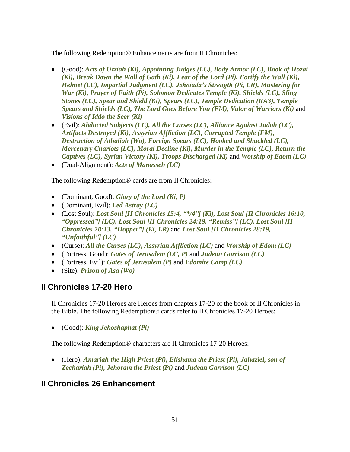The following Redemption® Enhancements are from II Chronicles:

- (Good): *Acts of Uzziah (Ki), Appointing Judges (LC), Body Armor (LC), Book of Hozai (Ki), Break Down the Wall of Gath (Ki), Fear of the Lord (Pi), Fortify the Wall (Ki), Helmet (LC), Impartial Judgment (LC), Jehoiada's Strength (Pi, LR), Mustering for War (Ki), Prayer of Faith (Pi), Solomon Dedicates Temple (Ki), Shields (LC), Sling Stones (LC), Spear and Shield (Ki), Spears (LC), Temple Dedication (RA3), Temple Spears and Shields (LC), The Lord Goes Before You (FM), Valor of Warriors (Ki)* and *Visions of Iddo the Seer (Ki)*
- (Evil): *Abducted Subjects (LC), All the Curses (LC), Alliance Against Judah (LC), Artifacts Destroyed (Ki), Assyrian Affliction (LC), Corrupted Temple (FM), Destruction of Athaliah (Wo), Foreign Spears (LC), Hooked and Shackled (LC), Mercenary Chariots (LC), Moral Decline (Ki), Murder in the Temple (LC), Return the Captives (LC), Syrian Victory (Ki), Troops Discharged (Ki)* and *Worship of Edom (LC)*
- (Dual-Alignment): *Acts of Manasseh (LC)*

The following Redemption® cards are from II Chronicles:

- (Dominant, Good): *Glory of the Lord (Ki, P)*
- (Dominant, Evil): *Led Astray (LC)*
- (Lost Soul): *Lost Soul [II Chronicles 15:4, "\*/4"] (Ki), Lost Soul [II Chronicles 16:10, "Oppressed"] (LC), Lost Soul [II Chronicles 24:19, "Remiss"] (LC), Lost Soul [II Chronicles 28:13, "Hopper"] (Ki, LR)* and *Lost Soul [II Chronicles 28:19, "Unfaithful"] (LC)*
- (Curse): *All the Curses (LC), Assyrian Affliction (LC)* and *Worship of Edom (LC)*
- (Fortress, Good): *Gates of Jerusalem (LC, P)* and *Judean Garrison (LC)*
- (Fortress, Evil): *Gates of Jerusalem (P)* and *Edomite Camp (LC)*
- (Site): *Prison of Asa (Wo)*

## **II Chronicles 17-20 Hero**

II Chronicles 17-20 Heroes are Heroes from chapters 17-20 of the book of II Chronicles in the Bible. The following Redemption® cards refer to II Chronicles 17-20 Heroes:

• (Good): *King Jehoshaphat (Pi)*

The following Redemption® characters are II Chronicles 17-20 Heroes:

• (Hero): *Amariah the High Priest (Pi), Elishama the Priest (Pi), Jahaziel, son of Zechariah (Pi), Jehoram the Priest (Pi)* and *Judean Garrison (LC)*

## **II Chronicles 26 Enhancement**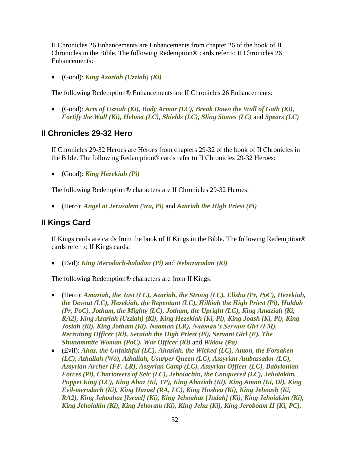II Chronicles 26 Enhancements are Enhancements from chapter 26 of the book of II Chronicles in the Bible. The following Redemption® cards refer to II Chronicles 26 Enhancements:

• (Good): *King Azariah (Uzziah) (Ki)*

The following Redemption® Enhancements are II Chronicles 26 Enhancements:

• (Good): *Acts of Uzziah (Ki), Body Armor (LC), Break Down the Wall of Gath (Ki), Fortify the Wall (Ki), Helmet (LC), Shields (LC), Sling Stones (LC)* and *Spears (LC)*

#### **II Chronicles 29-32 Hero**

II Chronicles 29-32 Heroes are Heroes from chapters 29-32 of the book of II Chronicles in the Bible. The following Redemption® cards refer to II Chronicles 29-32 Heroes:

• (Good): *King Hezekiah (Pi)*

The following Redemption® characters are II Chronicles 29-32 Heroes:

• (Hero): *Angel at Jerusalem (Wa, Pi)* and *Azariah the High Priest (Pi)*

#### **II Kings Card**

II Kings cards are cards from the book of II Kings in the Bible. The following Redemption® cards refer to II Kings cards:

• (Evil): *King Merodach-baladan (Pi)* and *Nebuzaradan (Ki)*

The following Redemption® characters are from II Kings:

- (Hero): *Amaziah, the Just (LC), Azariah, the Strong (LC), Elisha (Pr, PoC), Hezekiah, the Devout (LC), Hezekiah, the Repentant (LC), Hilkiah the High Priest (Pi), Huldah (Pr, PoC), Jotham, the Mighty (LC), Jotham, the Upright (LC), King Amaziah (Ki, RA2), King Azariah (Uzziah) (Ki), King Hezekiah (Ki, Pi), King Joash (Ki, Pi), King Josiah (Ki), King Jotham (Ki), Naaman (LR), Naaman's Servant Girl (FM), Recruiting Officer (Ki), Seraiah the High Priest (Pi), Servant Girl (E), The Shunammite Woman (PoC), War Officer (Ki)* and *Widow (Pa)*
- (Evil): *Ahaz, the Unfaithful (LC), Ahaziah, the Wicked (LC), Amon, the Forsaken (LC), Athaliah (Wo), Athaliah, Usurper Queen (LC), Assyrian Ambassador (LC), Assyrian Archer (FF, LR), Assyrian Camp (LC), Assyrian Officer (LC), Babylonian Forces (Pi), Charioteers of Seir (LC), Jehoiachin, the Conquered (LC), Jehoiakim, Puppet King (LC), King Ahaz (Ki, TP), King Ahaziah (Ki), King Amon (Ki, Di), King Evil-merodach (Ki), King Hazael (RA, LC), King Hoshea (Ki), King Jehoash (Ki, RA2), King Jehoahaz [Israel] (Ki), King Jehoahaz [Judah] (Ki), King Jehoiakim (Ki), King Jehoiakin (Ki), King Jehoram (Ki), King Jehu (Ki), King Jeroboam II (Ki, PC),*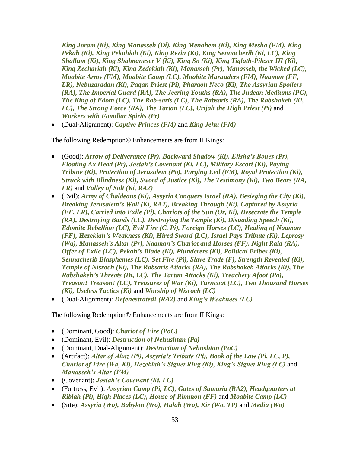*King Joram (Ki), King Manasseh (Di), King Menahem (Ki), King Mesha (FM), King Pekah (Ki), King Pekahiah (Ki), King Rezin (Ki), King Sennacherib (Ki, LC), King Shallum (Ki), King Shalmaneser V (Ki), King So (Ki), King Tiglath-Pileser III (Ki), King Zechariah (Ki), King Zedekiah (Ki), Manasseh (Pr), Manasseh, the Wicked (LC), Moabite Army (FM), Moabite Camp (LC), Moabite Marauders (FM), Naaman (FF, LR), Nebuzaradan (Ki), Pagan Priest (Pi), Pharaoh Neco (Ki), The Assyrian Spoilers (RA), The Imperial Guard (RA), The Jeering Youths (RA), The Judean Mediums (PC), The King of Edom (LC), The Rab-saris (LC), The Rabsaris (RA), The Rabshakeh (Ki, LC), The Strong Force (RA), The Tartan (LC), Urijah the High Priest (Pi)* and *Workers with Familiar Spirits (Pr)*

• (Dual-Alignment): *Captive Princes (FM)* and *King Jehu (FM)*

The following Redemption® Enhancements are from II Kings:

- (Good): *Arrow of Deliverance (Pr), Backward Shadow (Ki), Elisha's Bones (Pr), Floating Ax Head (Pr), Josiah's Covenant (Ki, LC), Military Escort (Ki), Paying Tribute (Ki), Protection of Jerusalem (Pa), Purging Evil (FM), Royal Protection (Ki), Struck with Blindness (Ki), Sword of Justice (Ki), The Testimony (Ki), Two Bears (RA, LR)* and *Valley of Salt (Ki, RA2)*
- (Evil): *Army of Chaldeans (Ki), Assyria Conquers Israel (RA), Besieging the City (Ki), Breaking Jerusalem's Wall (Ki, RA2), Breaking Through (Ki), Captured by Assyria (FF, LR), Carried into Exile (Pi), Chariots of the Sun (Or, Ki), Desecrate the Temple (RA), Destroying Bands (LC), Destroying the Temple (Ki), Disuading Speech (Ki), Edomite Rebellion (LC), Evil Fire (C, Pi), Foreign Horses (LC), Healing of Naaman (FF), Hezekiah's Weakness (Ki), Hired Sword (LC), Israel Pays Tribute (Ki), Leprosy (Wa), Manasseh's Altar (Pr), Naaman's Chariot and Horses (FF), Night Raid (RA), Offer of Exile (LC), Pekah's Blade (Ki), Plunderers (Ki), Political Bribes (Ki), Sennacherib Blasphemes (LC), Set Fire (Pi), Slave Trade (F), Strength Revealed (Ki), Temple of Nisroch (Ki), The Rabsaris Attacks (RA), The Rabshakeh Attacks (Ki), The Rabshakeh's Threats (Di, LC), The Tartan Attacks (Ki), Treachery Afoot (Pa), Treason! Treason! (LC), Treasures of War (Ki), Turncoat (LC), Two Thousand Horses (Ki), Useless Tactics (Ki)* and *Worship of Nisroch (LC)*
- (Dual-Alignment): *Defenestrated! (RA2)* and *King's Weakness (LC)*

The following Redemption® Enhancements are from II Kings:

- (Dominant, Good): *Chariot of Fire (PoC)*
- (Dominant, Evil): *Destruction of Nehushtan (Pa)*
- (Dominant, Dual-Alignment): *Destruction of Nehushtan (PoC)*
- (Artifact): *Altar of Ahaz (Pi), Assyria's Tribute (Pi), Book of the Law (Pi, LC, P), Chariot of Fire (Wa, Ki), Hezekiah's Signet Ring (Ki), King's Signet Ring (LC)* and *Manasseh's Altar (FM)*
- (Covenant): *Josiah's Covenant (Ki, LC)*
- (Fortress, Evil): *Assyrian Camp (Pi, LC), Gates of Samaria (RA2), Headquarters at Riblah (Pi), High Places (LC), House of Rimmon (FF)* and *Moabite Camp (LC)*
- (Site): *Assyria (Wo), Babylon (Wo), Halah (Wo), Kir (Wo, TP)* and *Media (Wo)*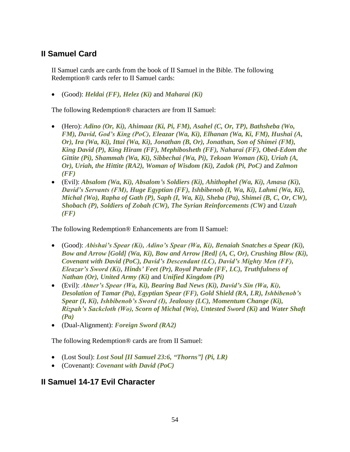## **II Samuel Card**

II Samuel cards are cards from the book of II Samuel in the Bible. The following Redemption® cards refer to II Samuel cards:

• (Good): *Heldai (FF), Helez (Ki)* and *Maharai (Ki)*

The following Redemption® characters are from II Samuel:

- (Hero): *Adino (Or, Ki), Ahimaaz (Ki, Pi, FM), Asahel (C, Or, TP), Bathsheba (Wo, FM), David, God's King (PoC), Eleazar (Wa, Ki), Elhanan (Wa, Ki, FM), Hushai (A, Or), Ira (Wa, Ki), Ittai (Wa, Ki), Jonathan (B, Or), Jonathan, Son of Shimei (FM), King David (P), King Hiram (FF), Mephibosheth (FF), Naharai (FF), Obed-Edom the Gittite (Pi), Shammah (Wa, Ki), Sibbechai (Wa, Pi), Tekoan Woman (Ki), Uriah (A, Or), Uriah, the Hittite (RA2), Woman of Wisdom (Ki), Zadok (Pi, PoC)* and *Zalmon (FF)*
- (Evil): *Absalom (Wa, Ki), Absalom's Soldiers (Ki), Ahithophel (Wa, Ki), Amasa (Ki), David's Servants (FM), Huge Egyptian (FF), Ishbibenob (I, Wa, Ki), Lahmi (Wa, Ki), Michal (Wo), Rapha of Gath (P), Saph (I, Wa, Ki), Sheba (Pa), Shimei (B, C, Or, CW), Shobach (P), Soldiers of Zobah (CW), The Syrian Reinforcements (CW)* and *Uzzah (FF)*

The following Redemption® Enhancements are from II Samuel:

- (Good): *Abishai's Spear (Ki), Adino's Spear (Wa, Ki), Benaiah Snatches a Spear (Ki), Bow and Arrow [Gold] (Wa, Ki), Bow and Arrow [Red] (A, C, Or), Crushing Blow (Ki), Covenant with David (PoC), David's Descendant (LC), David's Mighty Men (FF), Eleazar's Sword (Ki), Hinds' Feet (Pr), Royal Parade (FF, LC), Truthfulness of Nathan (Or), United Army (Ki)* and *Unified Kingdom (Pi)*
- (Evil): *Abner's Spear (Wa, Ki), Bearing Bad News (Ki), David's Sin (Wa, Ki), Desolation of Tamar (Pa), Egyptian Spear (FF), Gold Shield (RA, LR), Ishbibenob's Spear (I, Ki), Ishbibenob's Sword (I), Jealousy (LC), Momentum Change (Ki), Rizpah's Sackcloth (Wo), Scorn of Michal (Wo), Untested Sword (Ki)* and *Water Shaft (Pa)*
- (Dual-Alignment): *Foreign Sword (RA2)*

The following Redemption® cards are from II Samuel:

- (Lost Soul): *Lost Soul [II Samuel 23:6, "Thorns"] (Pi, LR)*
- (Covenant): *Covenant with David (PoC)*

## **II Samuel 14-17 Evil Character**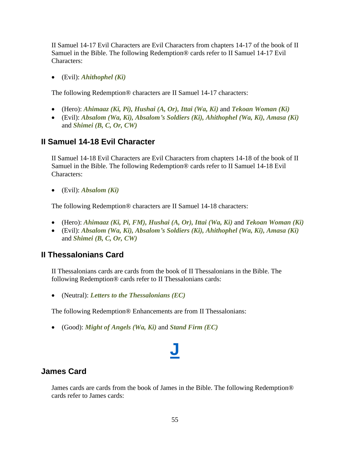II Samuel 14-17 Evil Characters are Evil Characters from chapters 14-17 of the book of II Samuel in the Bible. The following Redemption® cards refer to II Samuel 14-17 Evil Characters:

• (Evil): *Ahithophel (Ki)*

The following Redemption® characters are II Samuel 14-17 characters:

- (Hero): *Ahimaaz (Ki, Pi), Hushai (A, Or), Ittai (Wa, Ki)* and *Tekoan Woman (Ki)*
- (Evil): *Absalom (Wa, Ki), Absalom's Soldiers (Ki), Ahithophel (Wa, Ki), Amasa (Ki)* and *Shimei (B, C, Or, CW)*

## **II Samuel 14-18 Evil Character**

II Samuel 14-18 Evil Characters are Evil Characters from chapters 14-18 of the book of II Samuel in the Bible. The following Redemption® cards refer to II Samuel 14-18 Evil Characters:

• (Evil): *Absalom (Ki)*

The following Redemption® characters are II Samuel 14-18 characters:

- (Hero): *Ahimaaz (Ki, Pi, FM), Hushai (A, Or), Ittai (Wa, Ki)* and *Tekoan Woman (Ki)*
- (Evil): *Absalom (Wa, Ki), Absalom's Soldiers (Ki), Ahithophel (Wa, Ki), Amasa (Ki)* and *Shimei (B, C, Or, CW)*

## **II Thessalonians Card**

II Thessalonians cards are cards from the book of II Thessalonians in the Bible. The following Redemption® cards refer to II Thessalonians cards:

• (Neutral): *Letters to the Thessalonians (EC)*

The following Redemption® Enhancements are from II Thessalonians:

• (Good): *Might of Angels (Wa, Ki)* and *Stand Firm (EC)*

## **[J](#page-1-0)**

## **James Card**

James cards are cards from the book of James in the Bible. The following Redemption® cards refer to James cards: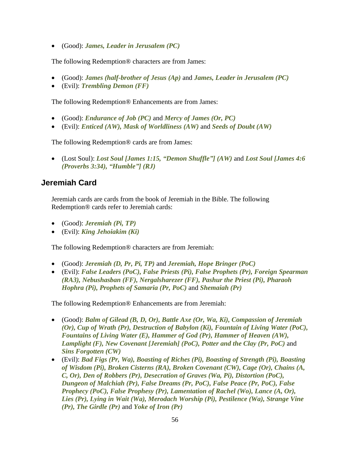• (Good): *James, Leader in Jerusalem (PC)*

The following Redemption® characters are from James:

- (Good): *James (half-brother of Jesus (Ap)* and *James, Leader in Jerusalem (PC)*
- (Evil): *Trembling Demon (FF)*

The following Redemption® Enhancements are from James:

- (Good): *Endurance of Job (PC)* and *Mercy of James (Or, PC)*
- (Evil): *Enticed (AW), Mask of Worldliness (AW)* and *Seeds of Doubt (AW)*

The following Redemption® cards are from James:

• (Lost Soul): *Lost Soul [James 1:15, "Demon Shuffle"] (AW)* and *Lost Soul [James 4:6 (Proverbs 3:34), "Humble"] (RJ)*

#### **Jeremiah Card**

Jeremiah cards are cards from the book of Jeremiah in the Bible. The following Redemption® cards refer to Jeremiah cards:

- (Good): *Jeremiah (Pi, TP)*
- (Evil): *King Jehoiakim (Ki)*

The following Redemption® characters are from Jeremiah:

- (Good): *Jeremiah (D, Pr, Pi, TP)* and *Jeremiah, Hope Bringer (PoC)*
- (Evil): *False Leaders (PoC), False Priests (Pi), False Prophets (Pr), Foreign Spearman (RA3), Nebushasban (FF), Nergalsharezer (FF), Pashur the Priest (Pi), Pharaoh Hophra (Pi), Prophets of Samaria (Pr, PoC)* and *Shemaiah (Pr)*

The following Redemption® Enhancements are from Jeremiah:

- (Good): *Balm of Gilead (B, D, Or), Battle Axe (Or, Wa, Ki), Compassion of Jeremiah (Or), Cup of Wrath (Pr), Destruction of Babylon (Ki), Fountain of Living Water (PoC), Fountains of Living Water (E), Hammer of God (Pr), Hammer of Heaven (AW), Lamplight (F), New Covenant [Jeremiah] (PoC), Potter and the Clay (Pr, PoC)* and *Sins Forgotten (CW)*
- (Evil): *Bad Figs (Pr, Wa), Boasting of Riches (Pi), Boasting of Strength (Pi), Boasting of Wisdom (Pi), Broken Cisterns (RA), Broken Covenant (CW), Cage (Or), Chains (A, C, Or), Den of Robbers (Pr), Desecration of Graves (Wa, Pi), Distortion (PoC), Dungeon of Malchiah (Pr), False Dreams (Pr, PoC), False Peace (Pr, PoC), False Prophecy (PoC), False Prophesy (Pr), Lamentation of Rachel (Wo), Lance (A, Or), Lies (Pr), Lying in Wait (Wa), Merodach Worship (Pi), Pestilence (Wa), Strange Vine (Pr), The Girdle (Pr)* and *Yoke of Iron (Pr)*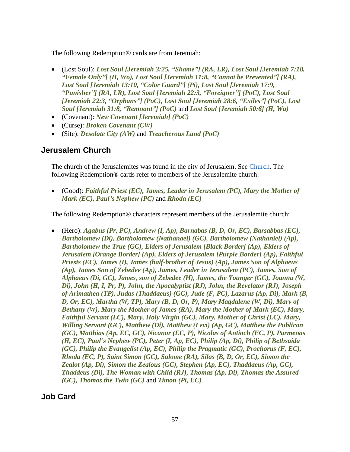The following Redemption® cards are from Jeremiah:

- (Lost Soul): *Lost Soul [Jeremiah 3:25, "Shame"] (RA, LR), Lost Soul [Jeremiah 7:18, "Female Only"] (H, Wo), Lost Soul [Jeremiah 11:8, "Cannot be Prevented"] (RA), Lost Soul [Jeremiah 13:10, "Color Guard"] (Pi), Lost Soul [Jeremiah 17:9, "Punisher"] (RA, LR), Lost Soul [Jeremiah 22:3, "Foreigner"] (PoC), Lost Soul [Jeremiah 22:3, "Orphans"] (PoC), Lost Soul [Jeremiah 28:6, "Exiles"] (PoC), Lost Soul [Jeremiah 31:8, "Remnant"] (PoC)* and *Lost Soul [Jeremiah 50:6] (H, Wa)*
- (Covenant): *New Covenant [Jeremiah] (PoC)*
- (Curse): *Broken Covenant (CW)*
- (Site): *Desolate City (AW)* and *Treacherous Land (PoC)*

## **Jerusalem Church**

The church of the Jerusalemites was found in the city of Jerusalem. See [Church.](#page-15-0) The following Redemption® cards refer to members of the Jerusalemite church:

• (Good): *Faithful Priest (EC), James, Leader in Jerusalem (PC), Mary the Mother of Mark (EC), Paul's Nephew (PC)* and *Rhoda (EC)*

The following Redemption® characters represent members of the Jerusalemite church:

• (Hero): *Agabus (Pr, PC), Andrew (I, Ap), Barnabas (B, D, Or, EC), Barsabbas (EC), Bartholomew (Di), Bartholomew (Nathanael) (GC), Bartholomew (Nathaniel) (Ap), Bartholomew the True (GC), Elders of Jerusalem [Black Border] (Ap), Elders of Jerusalem [Orange Border] (Ap), Elders of Jerusalem [Purple Border] (Ap), Faithful Priests (EC), James (I), James (half-brother of Jesus) (Ap), James Son of Alphaeus (Ap), James Son of Zebedee (Ap), James, Leader in Jerusalem (PC), James, Son of Alphaeus (Di, GC), James, son of Zebedee (H), James, the Younger (GC), Joanna (W, Di), John (H, I, Pr, P), John, the Apocalyptist (RJ), John, the Revelator (RJ), Joseph of Arimathea (TP), Judas (Thaddaeus) (GC), Jude (F, PC), Lazarus (Ap, Di), Mark (B, D, Or, EC), Martha (W, TP), Mary (B, D, Or, P), Mary Magdalene (W, Di), Mary of Bethany (W), Mary the Mother of James (RA), Mary the Mother of Mark (EC), Mary, Faithful Servant (LC), Mary, Holy Virgin (GC), Mary, Mother of Christ (LC), Mary, Willing Servant (GC), Matthew (Di), Matthew (Levi) (Ap, GC), Matthew the Publican (GC), Matthias (Ap, EC, GC), Nicanor (EC, P), Nicolas of Antioch (EC, P), Parmenas (H, EC), Paul's Nephew (PC), Peter (I, Ap, EC), Philip (Ap, Di), Philip of Bethsaida (GC), Philip the Evangelist (Ap, EC), Philip the Pragmatic (GC), Prochorus (F, EC), Rhoda (EC, P), Saint Simon (GC), Salome (RA), Silas (B, D, Or, EC), Simon the Zealot (Ap, Di), Simon the Zealous (GC), Stephen (Ap, EC), Thaddaeus (Ap, GC), Thaddeus (Di), The Woman with Child (RJ), Thomas (Ap, Di), Thomas the Assured (GC), Thomas the Twin (GC)* and *Timon (Pi, EC)*

**Job Card**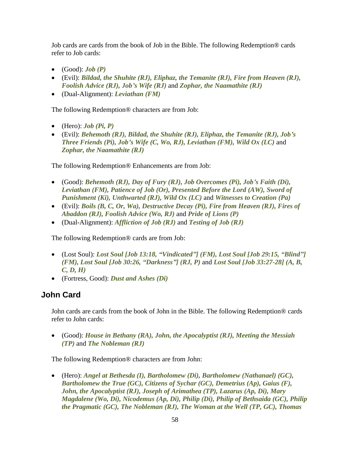Job cards are cards from the book of Job in the Bible. The following Redemption® cards refer to Job cards:

- $\bullet$  (Good): *Job* (**P**)
- (Evil): *Bildad, the Shuhite (RJ), Eliphaz, the Temanite (RJ), Fire from Heaven (RJ), Foolish Advice (RJ), Job's Wife (RJ)* and *Zophar, the Naamathite (RJ)*
- (Dual-Alignment): *Leviathan (FM)*

The following Redemption® characters are from Job:

- $\bullet$  (Hero): *Job (Pi, P)*
- (Evil): *Behemoth (RJ), Bildad, the Shuhite (RJ), Eliphaz, the Temanite (RJ), Job's Three Friends (Pi), Job's Wife (C, Wo, RJ), Leviathan (FM), Wild Ox (LC)* and *Zophar, the Naamathite (RJ)*

The following Redemption® Enhancements are from Job:

- (Good): *Behemoth (RJ), Day of Fury (RJ), Job Overcomes (Pi), Job's Faith (Di), Leviathan (FM), Patience of Job (Or), Presented Before the Lord (AW), Sword of Punishment (Ki), Unthwarted (RJ), Wild Ox (LC)* and *Witnesses to Creation (Pa)*
- (Evil): *Boils (B, C, Or, Wa), Destructive Decay (Pi), Fire from Heaven (RJ), Fires of Abaddon (RJ), Foolish Advice (Wo, RJ)* and *Pride of Lions (P)*
- (Dual-Alignment): *Affliction of Job (RJ)* and *Testing of Job (RJ)*

The following Redemption® cards are from Job:

- (Lost Soul): *Lost Soul [Job 13:18, "Vindicated"] (FM), Lost Soul [Job 29:15, "Blind"] (FM), Lost Soul [Job 30:26, "Darkness"] (RJ, P)* and *Lost Soul [Job 33:27-28] (A, B, C, D, H)*
- (Fortress, Good): *Dust and Ashes (Di)*

## <span id="page-57-0"></span>**John Card**

John cards are cards from the book of John in the Bible. The following Redemption® cards refer to John cards:

• (Good): *House in Bethany (RA), John, the Apocalyptist (RJ), Meeting the Messiah (TP)* and *The Nobleman (RJ)*

The following Redemption® characters are from John:

• (Hero): *Angel at Bethesda (I), Bartholomew (Di), Bartholomew (Nathanael) (GC), Bartholomew the True (GC), Citizens of Sychar (GC), Demetrius (Ap), Gaius (F), John, the Apocalyptist (RJ), Joseph of Arimathea (TP), Lazarus (Ap, Di), Mary Magdalene (Wo, Di), Nicodemus (Ap, Di), Philip (Di), Philip of Bethsaida (GC), Philip the Pragmatic (GC), The Nobleman (RJ), The Woman at the Well (TP, GC), Thomas*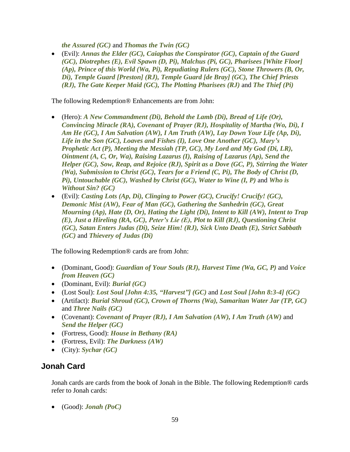*the Assured (GC)* and *Thomas the Twin (GC)*

• (Evil): *Annas the Elder (GC), Caiaphas the Conspirator (GC), Captain of the Guard (GC), Diotrephes (E), Evil Spawn (D, Pi), Malchus (Pi, GC), Pharisees [White Floor] (Ap), Prince of this World (Wa, Pi), Repudiating Rulers (GC), Stone Throwers (B, Or, Di), Temple Guard [Preston] (RJ), Temple Guard [de Bray] (GC), The Chief Priests (RJ), The Gate Keeper Maid (GC), The Plotting Pharisees (RJ)* and *The Thief (Pi)*

The following Redemption® Enhancements are from John:

- (Hero): *A New Commandment (Di), Behold the Lamb (Di), Bread of Life (Or), Convincing Miracle (RA), Covenant of Prayer (RJ), Hospitality of Martha (Wo, Di), I Am He (GC), I Am Salvation (AW), I Am Truth (AW), Lay Down Your Life (Ap, Di), Life in the Son (GC), Loaves and Fishes (I), Love One Another (GC), Mary's Prophetic Act (P), Meeting the Messiah (TP, GC), My Lord and My God (Di, LR), Ointment (A, C, Or, Wa), Raising Lazarus (I), Raising of Lazarus (Ap), Send the Helper (GC), Sow, Reap, and Rejoice (RJ), Spirit as a Dove (GC, P), Stirring the Water (Wa), Submission to Christ (GC), Tears for a Friend (C, Pi), The Body of Christ (D, Pi), Untouchable (GC), Washed by Christ (GC), Water to Wine (I, P)* and *Who is Without Sin? (GC)*
- (Evil): *Casting Lots (Ap, Di), Clinging to Power (GC), Crucify! Crucify! (GC), Demonic Mist (AW), Fear of Man (GC), Gathering the Sanhedrin (GC), Great Mourning (Ap), Hate (D, Or), Hating the Light (Di), Intent to Kill (AW), Intent to Trap (E), Just a Hireling (RA, GC), Peter's Lie (E), Plot to Kill (RJ), Questioning Christ (GC), Satan Enters Judas (Di), Seize Him! (RJ), Sick Unto Death (E), Strict Sabbath (GC)* and *Thievery of Judas (Di)*

The following Redemption® cards are from John:

- (Dominant, Good): *Guardian of Your Souls (RJ), Harvest Time (Wa, GC, P)* and *Voice from Heaven (GC)*
- (Dominant, Evil): *Burial (GC)*
- (Lost Soul): *Lost Soul [John 4:35, "Harvest"] (GC)* and *Lost Soul [John 8:3-4] (GC)*
- (Artifact): *Burial Shroud (GC), Crown of Thorns (Wa), Samaritan Water Jar (TP, GC)* and *Three Nails (GC)*
- (Covenant): *Covenant of Prayer (RJ), I Am Salvation (AW), I Am Truth (AW)* and *Send the Helper (GC)*
- (Fortress, Good): *House in Bethany (RA)*
- (Fortress, Evil): *The Darkness (AW)*
- (City): *Sychar (GC)*

## **Jonah Card**

Jonah cards are cards from the book of Jonah in the Bible. The following Redemption® cards refer to Jonah cards:

• (Good): *Jonah (PoC)*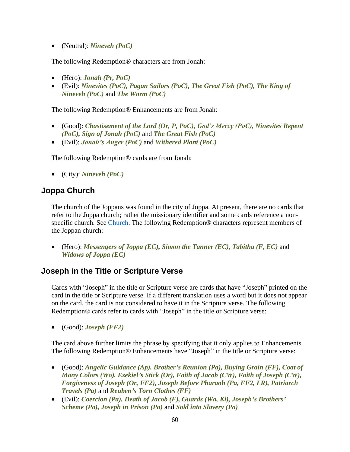• (Neutral): *Nineveh (PoC)*

The following Redemption® characters are from Jonah:

- (Hero): *Jonah (Pr, PoC)*
- (Evil): *Ninevites (PoC), Pagan Sailors (PoC), The Great Fish (PoC), The King of Nineveh (PoC)* and *The Worm (PoC)*

The following Redemption® Enhancements are from Jonah:

- (Good): *Chastisement of the Lord (Or, P, PoC), God's Mercy (PoC), Ninevites Repent (PoC), Sign of Jonah (PoC)* and *The Great Fish (PoC)*
- (Evil): *Jonah's Anger (PoC)* and *Withered Plant (PoC)*

The following Redemption® cards are from Jonah:

• (City): *Nineveh (PoC)*

## **Joppa Church**

The church of the Joppans was found in the city of Joppa. At present, there are no cards that refer to the Joppa church; rather the missionary identifier and some cards reference a non-specific church. See [Church.](#page-15-0) The following Redemption® characters represent members of the Joppan church:

• (Hero): *Messengers of Joppa (EC), Simon the Tanner (EC), Tabitha (F, EC)* and *Widows of Joppa (EC)*

## **Joseph in the Title or Scripture Verse**

Cards with "Joseph" in the title or Scripture verse are cards that have "Joseph" printed on the card in the title or Scripture verse. If a different translation uses a word but it does not appear on the card, the card is not considered to have it in the Scripture verse. The following Redemption® cards refer to cards with "Joseph" in the title or Scripture verse:

• (Good): *Joseph (FF2)*

The card above further limits the phrase by specifying that it only applies to Enhancements. The following Redemption® Enhancements have "Joseph" in the title or Scripture verse:

- (Good): *Angelic Guidance (Ap), Brother's Reunion (Pa), Buying Grain (FF), Coat of Many Colors (Wo), Ezekiel's Stick (Or), Faith of Jacob (CW), Faith of Joseph (CW), Forgiveness of Joseph (Or, FF2), Joseph Before Pharaoh (Pa, FF2, LR), Patriarch Travels (Pa)* and *Reuben's Torn Clothes (FF)*
- (Evil): *Coercion (Pa), Death of Jacob (F), Guards (Wa, Ki), Joseph's Brothers' Scheme (Pa), Joseph in Prison (Pa)* and *Sold into Slavery (Pa)*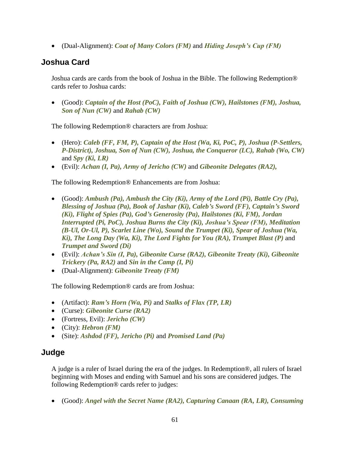• (Dual-Alignment): *Coat of Many Colors (FM)* and *Hiding Joseph's Cup (FM)*

## **Joshua Card**

Joshua cards are cards from the book of Joshua in the Bible. The following Redemption® cards refer to Joshua cards:

• (Good): *Captain of the Host (PoC), Faith of Joshua (CW), Hailstones (FM), Joshua, Son of Nun (CW)* and *Rahab (CW)*

The following Redemption® characters are from Joshua:

- (Hero): *Caleb (FF, FM, P), Captain of the Host (Wa, Ki, PoC, P), Joshua (P-Settlers, P-District), Joshua, Son of Nun (CW), Joshua, the Conqueror (LC), Rahab (Wo, CW)* and *Spy (Ki, LR)*
- (Evil): *Achan (I, Pa), Army of Jericho (CW)* and *Gibeonite Delegates (RA2),*

The following Redemption® Enhancements are from Joshua:

- (Good): *Ambush (Pa), Ambush the City (Ki), Army of the Lord (Pi), Battle Cry (Pa), Blessing of Joshua (Pa), Book of Jashar (Ki), Caleb's Sword (FF), Captain's Sword (Ki), Flight of Spies (Pa), God's Generosity (Pa), Hailstones (Ki, FM), Jordan Interrupted (Pi, PoC), Joshua Burns the City (Ki), Joshua's Spear (FM), Meditation (B-Ul, Or-Ul, P), Scarlet Line (Wo), Sound the Trumpet (Ki), Spear of Joshua (Wa, Ki), The Long Day (Wa, Ki), The Lord Fights for You (RA), Trumpet Blast (P)* and *Trumpet and Sword (Di)*
- (Evil): *Achan's Sin (I, Pa), Gibeonite Curse (RA2), Gibeonite Treaty (Ki), Gibeonite Trickery (Pa, RA2)* and *Sin in the Camp (I, Pi)*
- (Dual-Alignment): *Gibeonite Treaty (FM)*

The following Redemption® cards are from Joshua:

- (Artifact): *Ram's Horn (Wa, Pi)* and *Stalks of Flax (TP, LR)*
- (Curse): *Gibeonite Curse (RA2)*
- (Fortress, Evil): *Jericho (CW)*
- (City): *Hebron (FM)*
- (Site): *Ashdod (FF), Jericho (Pi)* and *Promised Land (Pa)*

## **Judge**

A judge is a ruler of Israel during the era of the judges. In Redemption®, all rulers of Israel beginning with Moses and ending with Samuel and his sons are considered judges. The following Redemption® cards refer to judges:

• (Good): *Angel with the Secret Name (RA2), Capturing Canaan (RA, LR), Consuming*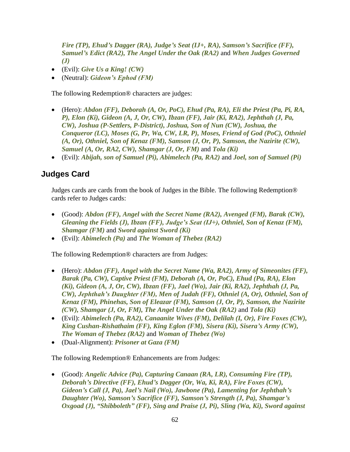*Fire (TP), Ehud's Dagger (RA), Judge's Seat (IJ+, RA), Samson's Sacrifice (FF), Samuel's Edict (RA2), The Angel Under the Oak (RA2)* and *When Judges Governed (J)*

- (Evil): *Give Us a King! (CW)*
- (Neutral): *Gideon's Ephod (FM)*

The following Redemption® characters are judges:

- (Hero): *Abdon (FF), Deborah (A, Or, PoC), Ehud (Pa, RA), Eli the Priest (Pa, Pi, RA, P), Elon (Ki), Gideon (A, J, Or, CW), Ibzan (FF), Jair (Ki, RA2), Jephthah (J, Pa, CW), Joshua (P-Settlers, P-District), Joshua, Son of Nun (CW), Joshua, the Conqueror (LC), Moses (G, Pr, Wa, CW, LR, P), Moses, Friend of God (PoC), Othniel (A, Or), Othniel, Son of Kenaz (FM), Samson (J, Or, P), Samson, the Nazirite (CW), Samuel (A, Or, RA2, CW), Shamgar (J, Or, FM)* and *Tola (Ki)*
- (Evil): *Abijah, son of Samuel (Pi), Abimelech (Pa, RA2)* and *Joel, son of Samuel (Pi)*

## **Judges Card**

Judges cards are cards from the book of Judges in the Bible. The following Redemption® cards refer to Judges cards:

- (Good): *Abdon (FF), Angel with the Secret Name (RA2), Avenged (FM), Barak (CW), Gleaning the Fields (J), Ibzan (FF), Judge's Seat (IJ+), Othniel, Son of Kenaz (FM), Shamgar (FM)* and *Sword against Sword (Ki)*
- (Evil): *Abimelech (Pa)* and *The Woman of Thebez (RA2)*

The following Redemption® characters are from Judges:

- (Hero): *Abdon (FF), Angel with the Secret Name (Wa, RA2), Army of Simeonites (FF), Barak (Pa, CW), Captive Priest (FM), Deborah (A, Or, PoC), Ehud (Pa, RA), Elon (Ki), Gideon (A, J, Or, CW), Ibzan (FF), Jael (Wo), Jair (Ki, RA2), Jephthah (J, Pa, CW), Jephthah's Daughter (FM), Men of Judah (FF), Othniel (A, Or), Othniel, Son of Kenaz (FM), Phinehas, Son of Eleazar (FM), Samson (J, Or, P), Samson, the Nazirite (CW), Shamgar (J, Or, FM), The Angel Under the Oak (RA2)* and *Tola (Ki)*
- (Evil): *Abimelech (Pa, RA2), Canaanite Wives (FM), Delilah (I, Or), Fire Foxes (CW), King Cushan-Rishathaim (FF), King Eglon (FM), Sisera (Ki), Sisera's Army (CW), The Woman of Thebez (RA2)* and *Woman of Thebez (Wo)*
- (Dual-Alignment): *Prisoner at Gaza (FM)*

The following Redemption® Enhancements are from Judges:

• (Good): *Angelic Advice (Pa), Capturing Canaan (RA, LR), Consuming Fire (TP), Deborah's Directive (FF), Ehud's Dagger (Or, Wa, Ki, RA), Fire Foxes (CW), Gideon's Call (J, Pa), Jael's Nail (Wo), Jawbone (Pa), Lamenting for Jephthah's Daughter (Wo), Samson's Sacrifice (FF), Samson's Strength (J, Pa), Shamgar's Oxgoad (J), "Shibboleth" (FF), Sing and Praise (J, Pi), Sling (Wa, Ki), Sword against*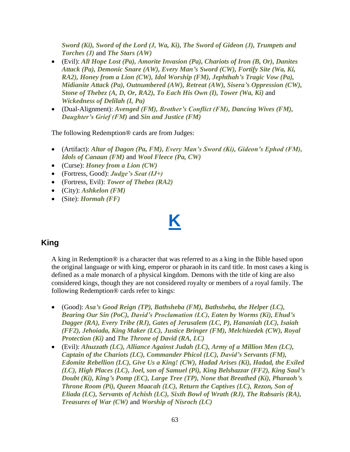*Sword (Ki), Sword of the Lord (J, Wa, Ki), The Sword of Gideon (J), Trumpets and Torches (J)* and *The Stars (AW)*

- (Evil): *All Hope Lost (Pa), Amorite Invasion (Pa), Chariots of Iron (B, Or), Danites Attack (Pa), Demonic Snare (AW), Every Man's Sword (CW), Fortify Site (Wa, Ki, RA2), Honey from a Lion (CW), Idol Worship (FM), Jephthah's Tragic Vow (Pa), Midianite Attack (Pa), Outnumbered (AW), Retreat (AW), Sisera's Oppression (CW), Stone of Thebez (A, D, Or, RA2), To Each His Own (I), Tower (Wa, Ki)* and *Wickedness of Delilah (I, Pa)*
- (Dual-Alignment): *Avenged (FM), Brother's Conflict (FM), Dancing Wives (FM), Daughter's Grief (FM)* and *Sin and Justice (FM)*

The following Redemption® cards are from Judges:

- (Artifact): *Altar of Dagon (Pa, FM), Every Man's Sword (Ki), Gideon's Ephod (FM), Idols of Canaan (FM)* and *Wool Fleece (Pa, CW)*
- (Curse): *Honey from a Lion (CW)*
- (Fortress, Good): *Judge's Seat (IJ+)*
- (Fortress, Evil): *Tower of Thebez (RA2)*
- (City): *Ashkelon (FM)*
- (Site): *Hormah (FF)*

# **[K](#page-1-0)**

## **King**

A king in Redemption® is a character that was referred to as a king in the Bible based upon the original language or with king, emperor or pharaoh in its card title. In most cases a king is defined as a male monarch of a physical kingdom. Demons with the title of king are also considered kings, though they are not considered royalty or members of a royal family. The following Redemption® cards refer to kings:

- (Good): *Asa's Good Reign (TP), Bathsheba (FM), Bathsheba, the Helper (LC), Bearing Our Sin (PoC), David's Proclamation (LC), Eaten by Worms (Ki), Ehud's Dagger (RA), Every Tribe (RJ), Gates of Jerusalem (LC, P), Hananiah (LC), Isaiah (FF2), Jehoiada, King Maker (LC), Justice Bringer (FM), Melchizedek (CW), Royal Protection (Ki)* and *The Throne of David (RA, LC)*
- (Evil): *Ahuzzath (LC), Alliance Against Judah (LC), Army of a Million Men (LC), Captain of the Chariots (LC), Commander Phicol (LC), David's Servants (FM), Edomite Rebellion (LC), Give Us a King! (CW), Hadad Arises (Ki), Hadad, the Exiled (LC), High Places (LC), Joel, son of Samuel (Pi), King Belshazzar (FF2), King Saul's Doubt (Ki), King's Pomp (EC), Large Tree (TP), None that Breathed (Ki), Pharaoh's Throne Room (Pi), Queen Maacah (LC), Return the Captives (LC), Rezon, Son of Eliada (LC), Servants of Achish (LC), Sixth Bowl of Wrath (RJ), The Rabsaris (RA), Treasures of War (CW)* and *Worship of Nisroch (LC)*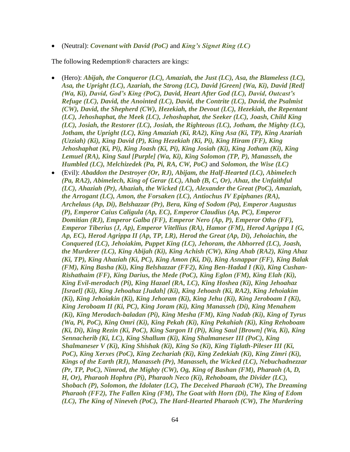• (Neutral): *Covenant with David (PoC)* and *King's Signet Ring (LC)*

The following Redemption® characters are kings:

- (Hero): *Abijah, the Conqueror (LC), Amaziah, the Just (LC), Asa, the Blameless (LC), Asa, the Upright (LC), Azariah, the Strong (LC), David [Green] (Wa, Ki), David [Red] (Wa, Ki), David, God's King (PoC), David, Heart After God (LC), David, Outcast's Refuge (LC), David, the Anointed (LC), David, the Contrite (LC), David, the Psalmist (CW), David, the Shepherd (CW), Hezekiah, the Devout (LC), Hezekiah, the Repentant (LC), Jehoshaphat, the Meek (LC), Jehoshaphat, the Seeker (LC), Joash, Child King (LC), Josiah, the Restorer (LC), Josiah, the Righteous (LC), Jotham, the Mighty (LC), Jotham, the Upright (LC), King Amaziah (Ki, RA2), King Asa (Ki, TP), King Azariah (Uzziah) (Ki), King David (P), King Hezekiah (Ki, Pi), King Hiram (FF), King Jehoshaphat (Ki, Pi), King Joash (Ki, Pi), King Josiah (Ki), King Jotham (Ki), King Lemuel (RA), King Saul [Purple] (Wa, Ki), King Solomon (TP, P), Manasseh, the Humbled (LC), Melchizedek (Pa, Pi, RA, CW, PoC)* and *Solomon, the Wise (LC)* • (Evil): *Abaddon the Destroyer (Or, RJ), Abijam, the Half-Hearted (LC), Abimelech (Pa, RA2), Abimelech, King of Gerar (LC), Ahab (B, C, Or), Ahaz, the Unfaithful (LC), Ahaziah (Pr), Ahaziah, the Wicked (LC), Alexander the Great (PoC), Amaziah, the Arrogant (LC), Amon, the Forsaken (LC), Antiochus IV Epiphanes (RA), Archelaus (Ap, Di), Belshazzar (Pr), Bera, King of Sodom (Pa), Emperor Augustus (P), Emperor Caius Caligula (Ap, EC), Emperor Claudius (Ap, PC), Emperor Domitian (RJ), Emperor Galba (FF), Emperor Nero (Ap, P), Emperor Otho (FF), Emperor Tiberius (J, Ap), Emperor Vitellius (RA), Hamor (FM), Herod Agrippa I (G, Ap, EC), Herod Agrippa II (Ap, TP, LR), Herod the Great (Ap, Di), Jehoiachin, the Conquered (LC), Jehoiakim, Puppet King (LC), Jehoram, the Abhorred (LC), Joash, the Murderer (LC), King Abijah (Ki), King Achish (CW), King Ahab (RA2), King Ahaz (Ki, TP), King Ahaziah (Ki, PC), King Amon (Ki, Di), King Asnappar (FF), King Balak (FM), King Basha (Ki), King Belshazzar (FF2), King Ben-Hadad I (Ki), King Cushan-Rishathaim (FF), King Darius, the Mede (PoC), King Eglon (FM), King Elah (Ki), King Evil-merodach (Pi), King Hazael (RA, LC), King Hoshea (Ki), King Jehoahaz [Israel] (Ki), King Jehoahaz [Judah] (Ki), King Jehoash (Ki, RA2), King Jehoiakim (Ki), King Jehoiakin (Ki), King Jehoram (Ki), King Jehu (Ki), King Jeroboam I (Ki), King Jeroboam II (Ki, PC), King Joram (Ki), King Manasseh (Di), King Menahem (Ki), King Merodach-baladan (Pi), King Mesha (FM), King Nadab (Ki), King of Tyrus (Wa, Pi, PoC), King Omri (Ki), King Pekah (Ki), King Pekahiah (Ki), King Rehoboam (Ki, Di), King Rezin (Ki, PoC), King Sargon II (Pi), King Saul [Brown] (Wa, Ki), King Sennacherib (Ki, LC), King Shallum (Ki), King Shalmaneser III (PoC), King Shalmaneser V (Ki), King Shishak (Ki), King So (Ki), King Tiglath-Pileser III (Ki, PoC), King Xerxes (PoC), King Zechariah (Ki), King Zedekiah (Ki), King Zimri (Ki), Kings of the Earth (RJ), Manasseh (Pr), Manasseh, the Wicked (LC), Nebuchadnezzar (Pr, TP, PoC), Nimrod, the Mighty (CW), Og, King of Bashan (FM), Pharaoh (A, D, H, Or), Pharaoh Hophra (Pi), Pharaoh Neco (Ki), Rehoboam, the Divider (LC),* 
	- *Shobach (P), Solomon, the Idolater (LC), The Deceived Pharaoh (CW), The Dreaming Pharaoh (FF2), The Fallen King (FM), The Goat with Horn (Di), The King of Edom (LC), The King of Nineveh (PoC), The Hard-Hearted Pharaoh (CW), The Murdering*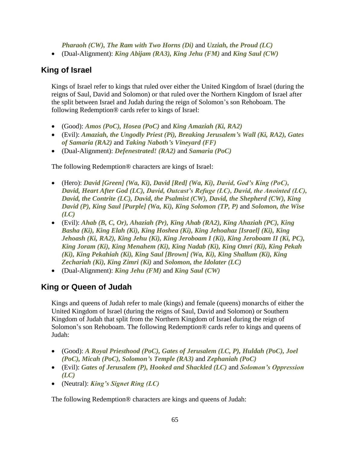*Pharaoh (CW), The Ram with Two Horns (Di)* and *Uzziah, the Proud (LC)*

• (Dual-Alignment): *King Abijam (RA3), King Jehu (FM)* and *King Saul (CW)*

## **King of Israel**

Kings of Israel refer to kings that ruled over either the United Kingdom of Israel (during the reigns of Saul, David and Solomon) or that ruled over the Northern Kingdom of Israel after the split between Israel and Judah during the reign of Solomon's son Rehoboam. The following Redemption® cards refer to kings of Israel:

- (Good): *Amos (PoC), Hosea (PoC)* and *King Amaziah (Ki, RA2)*
- (Evil): *Amaziah, the Ungodly Priest (Pi), Breaking Jerusalem's Wall (Ki, RA2), Gates of Samaria (RA2)* and *Taking Naboth's Vineyard (FF)*
- (Dual-Alignment): *Defenestrated! (RA2)* and *Samaria (PoC)*

The following Redemption® characters are kings of Israel:

- (Hero): *David [Green] (Wa, Ki), David [Red] (Wa, Ki), David, God's King (PoC), David, Heart After God (LC), David, Outcast's Refuge (LC), David, the Anointed (LC), David, the Contrite (LC), David, the Psalmist (CW), David, the Shepherd (CW), King David (P), King Saul [Purple] (Wa, Ki), King Solomon (TP, P)* and *Solomon, the Wise (LC)*
- (Evil): *Ahab (B, C, Or), Ahaziah (Pr), King Ahab (RA2), King Ahaziah (PC), King Basha (Ki), King Elah (Ki), King Hoshea (Ki), King Jehoahaz [Israel] (Ki), King Jehoash (Ki, RA2), King Jehu (Ki), King Jeroboam I (Ki), King Jeroboam II (Ki, PC), King Joram (Ki), King Menahem (Ki), King Nadab (Ki), King Omri (Ki), King Pekah (Ki), King Pekahiah (Ki), King Saul [Brown] (Wa, Ki), King Shallum (Ki), King Zechariah (Ki), King Zimri (Ki)* and *Solomon, the Idolater (LC)*
- (Dual-Alignment): *King Jehu (FM)* and *King Saul (CW)*

## **King or Queen of Judah**

Kings and queens of Judah refer to male (kings) and female (queens) monarchs of either the United Kingdom of Israel (during the reigns of Saul, David and Solomon) or Southern Kingdom of Judah that split from the Northern Kingdom of Israel during the reign of Solomon's son Rehoboam. The following Redemption® cards refer to kings and queens of Judah:

- (Good): *A Royal Priesthood (PoC), Gates of Jerusalem (LC, P), Huldah (PoC), Joel (PoC), Micah (PoC), Solomon's Temple (RA3)* and *Zephaniah (PoC)*
- (Evil): *Gates of Jerusalem (P), Hooked and Shackled (LC)* and *Solomon's Oppression (LC)*
- (Neutral): *King's Signet Ring (LC)*

The following Redemption® characters are kings and queens of Judah: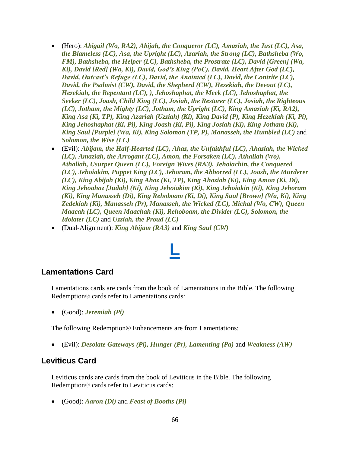- (Hero): *Abigail (Wo, RA2), Abijah, the Conqueror (LC), Amaziah, the Just (LC), Asa, the Blameless (LC), Asa, the Upright (LC), Azariah, the Strong (LC), Bathsheba (Wo, FM), Bathsheba, the Helper (LC), Bathsheba, the Prostrate (LC), David [Green] (Wa, Ki), David [Red] (Wa, Ki), David, God's King (PoC), David, Heart After God (LC), David, Outcast's Refuge (LC), David, the Anointed (LC), David, the Contrite (LC), David, the Psalmist (CW), David, the Shepherd (CW), Hezekiah, the Devout (LC), Hezekiah, the Repentant (LC), ), Jehoshaphat, the Meek (LC), Jehoshaphat, the Seeker (LC), Joash, Child King (LC), Josiah, the Restorer (LC), Josiah, the Righteous (LC), Jotham, the Mighty (LC), Jotham, the Upright (LC), King Amaziah (Ki, RA2), King Asa (Ki, TP), King Azariah (Uzziah) (Ki), King David (P), King Hezekiah (Ki, Pi), King Jehoshaphat (Ki, Pi), King Joash (Ki, Pi), King Josiah (Ki), King Jotham (Ki), King Saul [Purple] (Wa, Ki), King Solomon (TP, P), Manasseh, the Humbled (LC)* and *Solomon, the Wise (LC)*
- (Evil): *Abijam, the Half-Hearted (LC), Ahaz, the Unfaithful (LC), Ahaziah, the Wicked (LC), Amaziah, the Arrogant (LC), Amon, the Forsaken (LC), Athaliah (Wo), Athaliah, Usurper Queen (LC), Foreign Wives (RA3), Jehoiachin, the Conquered (LC), Jehoiakim, Puppet King (LC), Jehoram, the Abhorred (LC), Joash, the Murderer (LC), King Abijah (Ki), King Ahaz (Ki, TP), King Ahaziah (Ki), King Amon (Ki, Di), King Jehoahaz [Judah] (Ki), King Jehoiakim (Ki), King Jehoiakin (Ki), King Jehoram (Ki), King Manasseh (Di), King Rehoboam (Ki, Di), King Saul [Brown] (Wa, Ki), King Zedekiah (Ki), Manasseh (Pr), Manasseh, the Wicked (LC), Michal (Wo, CW), Queen Maacah (LC), Queen Maachah (Ki), Rehoboam, the Divider (LC), Solomon, the Idolater (LC)* and *Uzziah, the Proud (LC)*
- (Dual-Alignment): *King Abijam (RA3)* and *King Saul (CW)*

# **[L](#page-1-0)**

#### **Lamentations Card**

Lamentations cards are cards from the book of Lamentations in the Bible. The following Redemption® cards refer to Lamentations cards:

• (Good): *Jeremiah (Pi)*

The following Redemption® Enhancements are from Lamentations:

• (Evil): *Desolate Gateways (Pi), Hunger (Pr), Lamenting (Pa)* and *Weakness (AW)*

#### **Leviticus Card**

Leviticus cards are cards from the book of Leviticus in the Bible. The following Redemption® cards refer to Leviticus cards:

• (Good): *Aaron (Di)* and *Feast of Booths (Pi)*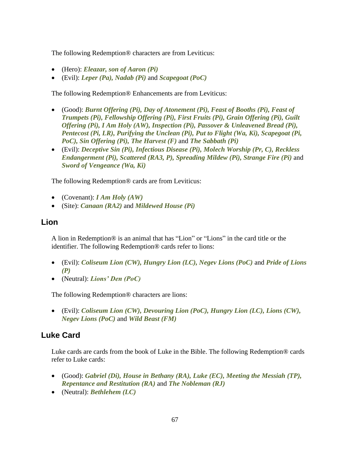The following Redemption® characters are from Leviticus:

- (Hero): *Eleazar, son of Aaron (Pi)*
- (Evil): *Leper (Pa), Nadab (Pi)* and *Scapegoat (PoC)*

The following Redemption® Enhancements are from Leviticus:

- (Good): *Burnt Offering (Pi), Day of Atonement (Pi), Feast of Booths (Pi), Feast of Trumpets (Pi), Fellowship Offering (Pi), First Fruits (Pi), Grain Offering (Pi), Guilt Offering (Pi), I Am Holy (AW), Inspection (Pi), Passover & Unleavened Bread (Pi), Pentecost (Pi, LR), Purifying the Unclean (Pi), Put to Flight (Wa, Ki), Scapegoat (Pi, PoC), Sin Offering (Pi), The Harvest (F)* and *The Sabbath (Pi)*
- (Evil): *Deceptive Sin (Pi), Infectious Disease (Pi), Molech Worship (Pr, C), Reckless Endangerment (Pi), Scattered (RA3, P), Spreading Mildew (Pi), Strange Fire (Pi)* and *Sword of Vengeance (Wa, Ki)*

The following Redemption® cards are from Leviticus:

- (Covenant): *I Am Holy (AW)*
- (Site): *Canaan (RA2)* and *Mildewed House (Pi)*

#### **Lion**

A lion in Redemption® is an animal that has "Lion" or "Lions" in the card title or the identifier. The following Redemption® cards refer to lions:

- (Evil): *Coliseum Lion (CW), Hungry Lion (LC), Negev Lions (PoC)* and *Pride of Lions (P)*
- (Neutral): *Lions' Den (PoC)*

The following Redemption® characters are lions:

• (Evil): *Coliseum Lion (CW), Devouring Lion (PoC), Hungry Lion (LC), Lions (CW), Negev Lions (PoC)* and *Wild Beast (FM)*

## <span id="page-66-0"></span>**Luke Card**

Luke cards are cards from the book of Luke in the Bible. The following Redemption® cards refer to Luke cards:

- (Good): *Gabriel (Di), House in Bethany (RA), Luke (EC), Meeting the Messiah (TP), Repentance and Restitution (RA)* and *The Nobleman (RJ)*
- (Neutral): *Bethlehem (LC)*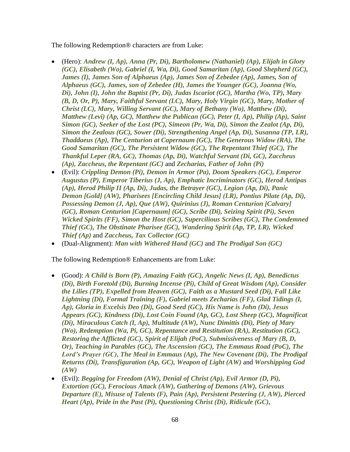The following Redemption® characters are from Luke:

- (Hero): *Andrew (I, Ap), Anna (Pr, Di), Bartholomew (Nathaniel) (Ap), Elijah in Glory (GC), Elisabeth (Wo), Gabriel (I, Wa, Di), Good Samaritan (Ap), Good Shepherd (GC), James (I), James Son of Alphaeus (Ap), James Son of Zebedee (Ap), James, Son of Alphaeus (GC), James, son of Zebedee (H), James the Younger (GC), Joanna (Wo, Di), John (I), John the Baptist (Pr, Di), Judas Iscariot (GC), Martha (Wo, TP), Mary (B, D, Or, P), Mary, Faithful Servant (LC), Mary, Holy Virgin (GC), Mary, Mother of Christ (LC), Mary, Willing Servant (GC), Mary of Bethany (Wo), Matthew (Di), Matthew (Levi) (Ap, GC), Matthew the Publican (GC), Peter (I, Ap), Philip (Ap), Saint Simon (GC), Seeker of the Lost (PC), Simeon (Pr, Wa, Di), Simon the Zealot (Ap, Di), Simon the Zealous (GC), Sower (Di), Strengthening Angel (Ap, Di), Susanna (TP, LR), Thaddaeus (Ap), The Centurion at Capernaum (GC), The Generous Widow (RA), The Good Samaritan (GC), The Persistent Widow (GC), The Repentant Thief (GC), The Thankful Leper (RA, GC), Thomas (Ap, Di), Watchful Servant (Di, GC), Zaccheus (Ap), Zaccheus, the Repentant (GC)* and *Zecharias, Father of John (Pi)*
- (Evil): *Crippling Demon (Pi), Demon in Armor (Pa), Doom Speakers (GC), Emperor Augustus (P), Emperor Tiberius (J, Ap), Emphatic Incriminators (GC), Herod Antipas (Ap), Herod Philip II (Ap, Di), Judas, the Betrayer (GC), Legion (Ap, Di), Panic Demon [Gold] (AW), Pharisees [Encircling Child Jesus] (LR), Pontius Pilate (Ap, Di), Possessing Demon (J, Ap), Que (AW), Quirinius (J), Roman Centurion [Calvary] (GC), Roman Centurion [Capernaum] (GC), Scribe (Di), Seizing Spirit (Pi), Seven Wicked Spirits (FF), Simon the Host (GC), Supercilious Scribes (GC), The Condemned Thief (GC), The Obstinate Pharisee (GC), Wandering Spirit (Ap, TP, LR), Wicked Thief (Ap)* and *Zaccheus, Tax Collector (GC)*
- (Dual-Alignment): *Man with Withered Hand (GC)* and *The Prodigal Son (GC)*

The following Redemption® Enhancements are from Luke:

- (Good): *A Child is Born (P), Amazing Faith (GC), Angelic News (I, Ap), Benedictus (Di), Birth Foretold (Di), Burning Incense (Pi), Child of Great Wisdom (Ap), Consider the Lilies (TP), Expelled from Heaven (GC), Faith as a Mustard Seed (Di), Fall Like Lightning (Di), Formal Training (F), Gabriel meets Zecharias (FF), Glad Tidings (I, Ap), Gloria in Excelsis Deo (Di), Good Seed (GC), His Name is John (Di), Jesus Appears (GC), Kindness (Di), Lost Coin Found (Ap, GC), Lost Sheep (GC), Magnificat (Di), Miraculous Catch (I, Ap), Multitude (AW), Nunc Dimittis (Di), Piety of Mary (Wo), Redemption (Wa, Pi, GC), Repentance and Restitution (RA), Restitution (GC), Restoring the Afflicted (GC), Spirit of Elijah (PoC), Submissiveness of Mary (B, D, Or), Teaching in Parables (GC), The Ascension (GC), The Emmaus Road (PoC), The Lord's Prayer (GC), The Meal in Emmaus (Ap), The New Covenant (Di), The Prodigal Returns (Di), Transfiguration (Ap, GC), Weapon of Light (AW)* and *Worshipping God (AW)*
- (Evil): *Begging for Freedom (AW), Denial of Christ (Ap), Evil Armor (D, Pi), Extortion (GC), Ferocious Attack (AW), Gathering of Demons (AW), Grievous Departure (E), Misuse of Talents (F), Pain (Ap), Persistent Pestering (J, AW), Pierced Heart (Ap), Pride in the Past (Pi), Questioning Christ (Di), Ridicule (GC),*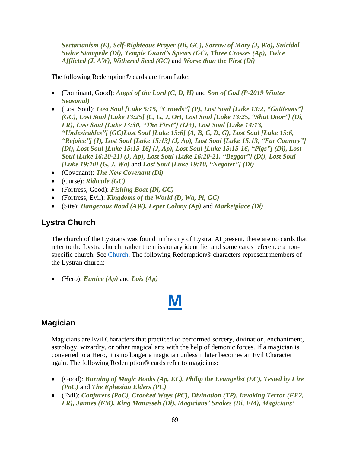*Sectarianism (E), Self-Righteous Prayer (Di, GC), Sorrow of Mary (J, Wo), Suicidal Swine Stampede (Di), Temple Guard's Spears (GC), Three Crosses (Ap), Twice Afflicted (J, AW), Withered Seed (GC)* and *Worse than the First (Di)*

The following Redemption® cards are from Luke:

- (Dominant, Good): *Angel of the Lord (C, D, H)* and *Son of God (P-2019 Winter Seasonal)*
- (Lost Soul): *Lost Soul [Luke 5:15, "Crowds"] (P), Lost Soul [Luke 13:2, "Galileans"] (GC), Lost Soul [Luke 13:25] (C, G, J, Or), Lost Soul [Luke 13:25, "Shut Door"] (Di, LR), Lost Soul [Luke 13:30, "The First"] (IJ+), Lost Soul [Luke 14:13, "Undesirables"] (GC)Lost Soul [Luke 15:6] (A, B, C, D, G), Lost Soul [Luke 15:6, "Rejoice"] (J), Lost Soul [Luke 15:13] (J, Ap), Lost Soul [Luke 15:13, "Far Country"] (Di), Lost Soul [Luke 15:15-16] (J, Ap), Lost Soul [Luke 15:15-16, "Pigs"] (Di), Lost Soul [Luke 16:20-21] (J, Ap), Lost Soul [Luke 16:20-21, "Beggar"] (Di), Lost Soul [Luke 19:10] (G, J, Wa)* and *Lost Soul [Luke 19:10, "Negater"] (Di)*
- (Covenant): *The New Covenant (Di)*
- (Curse): *Ridicule (GC)*
- (Fortress, Good): *Fishing Boat (Di, GC)*
- (Fortress, Evil): *Kingdoms of the World (D, Wa, Pi, GC)*
- (Site): *Dangerous Road (AW), Leper Colony (Ap)* and *Marketplace (Di)*

## **Lystra Church**

The church of the Lystrans was found in the city of Lystra. At present, there are no cards that refer to the Lystra church; rather the missionary identifier and some cards reference a nonspecific church. See [Church.](#page-15-0) The following Redemption® characters represent members of the Lystran church:

• (Hero): *Eunice (Ap)* and *Lois (Ap)*

## **Magician**

Magicians are Evil Characters that practiced or performed sorcery, divination, enchantment, astrology, wizardry, or other magical arts with the help of demonic forces. If a magician is converted to a Hero, it is no longer a magician unless it later becomes an Evil Character again. The following Redemption® cards refer to magicians:

**[M](#page-1-0)**

- (Good): *Burning of Magic Books (Ap, EC), Philip the Evangelist (EC), Tested by Fire (PoC)* and *The Ephesian Elders (PC)*
- (Evil): *Conjurers (PoC), Crooked Ways (PC), Divination (TP), Invoking Terror (FF2, LR), Jannes (FM), King Manasseh (Di), Magicians' Snakes (Di, FM), Magicians'*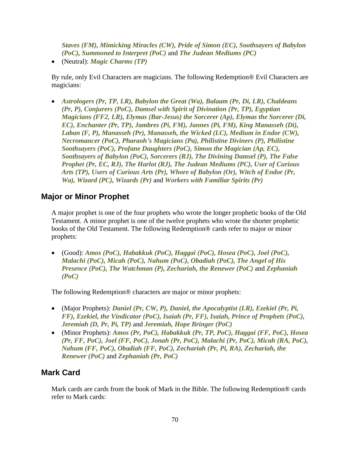*Staves (FM), Mimicking Miracles (CW), Pride of Simon (EC), Soothsayers of Babylon (PoC), Summoned to Interpret (PoC)* and *The Judean Mediums (PC)*

• (Neutral): *Magic Charms (TP)*

By rule, only Evil Characters are magicians. The following Redemption® Evil Characters are magicians:

• *Astrologers (Pr, TP, LR), Babylon the Great (Wa), Balaam (Pr, Di, LR), Chaldeans (Pr, P), Conjurers (PoC), Damsel with Spirit of Divination (Pr, TP), Egyptian Magicians (FF2, LR), Elymas (Bar-Jesus) the Sorcerer (Ap), Elymas the Sorcerer (Di, EC), Enchanter (Pr, TP), Jambres (Pi, FM), Jannes (Pi, FM), King Manasseh (Di), Laban (F, P), Manasseh (Pr), Manasseh, the Wicked (LC), Medium in Endor (CW), Necromancer (PoC), Pharaoh's Magicians (Pa), Philistine Diviners (P), Philistine Soothsayers (PoC), Profane Daughters (PoC), Simon the Magician (Ap, EC), Soothsayers of Babylon (PoC), Sorcerers (RJ), The Divining Damsel (P), The False Prophet (Pr, EC, RJ), The Harlot (RJ), The Judean Mediums (PC), User of Curious Arts (TP), Users of Curious Arts (Pr), Whore of Babylon (Or), Witch of Endor (Pr, Wa), Wizard (PC), Wizards (Pr)* and *Workers with Familiar Spirits (Pr)*

## **Major or Minor Prophet**

A major prophet is one of the four prophets who wrote the longer prophetic books of the Old Testament. A minor prophet is one of the twelve prophets who wrote the shorter prophetic books of the Old Testament. The following Redemption® cards refer to major or minor prophets:

• (Good): *Amos (PoC), Habakkuk (PoC), Haggai (PoC), Hosea (PoC), Joel (PoC), Malachi (PoC), Micah (PoC), Nahum (PoC), Obadiah (PoC), The Angel of His Presence (PoC), The Watchman (P), Zechariah, the Renewer (PoC)* and *Zephaniah (PoC)*

The following Redemption® characters are major or minor prophets:

- (Major Prophets): *Daniel (Pr, CW, P), Daniel, the Apocalyptist (LR), Ezekiel (Pr, Pi, FF), Ezekiel, the Vindicator (PoC), Isaiah (Pr, FF), Isaiah, Prince of Prophets (PoC), Jeremiah (D, Pr, Pi, TP)* and *Jeremiah, Hope Bringer (PoC)*
- (Minor Prophets): *Amos (Pr, PoC), Habakkuk (Pr, TP, PoC), Haggai (FF, PoC), Hosea (Pr, FF, PoC), Joel (FF, PoC), Jonah (Pr, PoC), Malachi (Pr, PoC), Micah (RA, PoC), Nahum (FF, PoC), Obadiah (FF, PoC), Zechariah (Pr, Pi, RA), Zechariah, the Renewer (PoC)* and *Zephaniah (Pr, PoC)*

## <span id="page-69-0"></span>**Mark Card**

Mark cards are cards from the book of Mark in the Bible. The following Redemption® cards refer to Mark cards: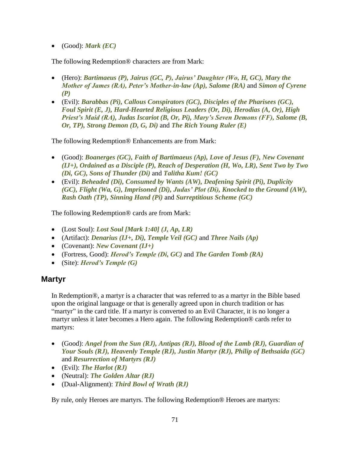• (Good): *Mark (EC)*

The following Redemption® characters are from Mark:

- (Hero): *Bartimaeus (P), Jairus (GC, P), Jairus' Daughter (Wo, H, GC), Mary the Mother of James (RA), Peter's Mother-in-law (Ap), Salome (RA)* and *Simon of Cyrene (P)*
- (Evil): *Barabbas (Pi), Callous Conspirators (GC), Disciples of the Pharisees (GC), Foul Spirit (E, J), Hard-Hearted Religious Leaders (Or, Di), Herodias (A, Or), High Priest's Maid (RA), Judas Iscariot (B, Or, Pi), Mary's Seven Demons (FF), Salome (B, Or, TP), Strong Demon (D, G, Di)* and *The Rich Young Ruler (E)*

The following Redemption® Enhancements are from Mark:

- (Good): *Boanerges (GC), Faith of Bartimaeus (Ap), Love of Jesus (F), New Covenant (IJ+), Ordained as a Disciple (P), Reach of Desperation (H, Wo, LR), Sent Two by Two (Di, GC), Sons of Thunder (Di)* and *Talitha Kum! (GC)*
- (Evil): *Beheaded (Di), Consumed by Wants (AW), Deafening Spirit (Pi), Duplicity (GC), Flight (Wa, G), Imprisoned (Di), Judas' Plot (Di), Knocked to the Ground (AW), Rash Oath (TP), Sinning Hand (Pi)* and *Surreptitious Scheme (GC)*

The following Redemption® cards are from Mark:

- (Lost Soul): *Lost Soul [Mark 1:40] (J, Ap, LR)*
- (Artifact): *Denarius (IJ+, Di), Temple Veil (GC)* and *Three Nails (Ap)*
- (Covenant): *New Covenant (IJ+)*
- (Fortress, Good): *Herod's Temple (Di, GC)* and *The Garden Tomb (RA)*
- (Site): *Herod's Temple (G)*

#### **Martyr**

In Redemption®, a martyr is a character that was referred to as a martyr in the Bible based upon the original language or that is generally agreed upon in church tradition or has "martyr" in the card title. If a martyr is converted to an Evil Character, it is no longer a martyr unless it later becomes a Hero again. The following Redemption® cards refer to martyrs:

- (Good): *Angel from the Sun (RJ), Antipas (RJ), Blood of the Lamb (RJ), Guardian of Your Souls (RJ), Heavenly Temple (RJ), Justin Martyr (RJ), Philip of Bethsaida (GC)* and *Resurrection of Martyrs (RJ)*
- (Evil): *The Harlot (RJ)*
- (Neutral): *The Golden Altar (RJ)*
- (Dual-Alignment): *Third Bowl of Wrath (RJ)*

By rule, only Heroes are martyrs. The following Redemption® Heroes are martyrs: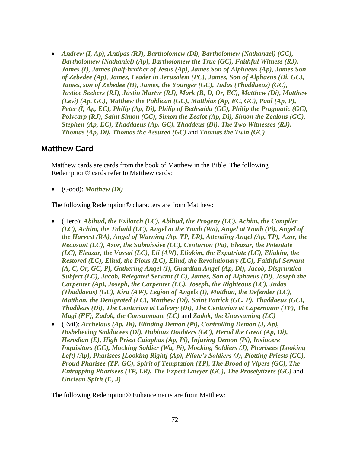• *Andrew (I, Ap), Antipas (RJ), Bartholomew (Di), Bartholomew (Nathanael) (GC), Bartholomew (Nathaniel) (Ap), Bartholomew the True (GC), Faithful Witness (RJ), James (I), James (half-brother of Jesus (Ap), James Son of Alphaeus (Ap), James Son of Zebedee (Ap), James, Leader in Jerusalem (PC), James, Son of Alphaeus (Di, GC), James, son of Zebedee (H), James, the Younger (GC), Judas (Thaddaeus) (GC), Justice Seekers (RJ), Justin Martyr (RJ), Mark (B, D, Or, EC), Matthew (Di), Matthew (Levi) (Ap, GC), Matthew the Publican (GC), Matthias (Ap, EC, GC), Paul (Ap, P), Peter (I, Ap, EC), Philip (Ap, Di), Philip of Bethsaida (GC), Philip the Pragmatic (GC), Polycarp (RJ), Saint Simon (GC), Simon the Zealot (Ap, Di), Simon the Zealous (GC), Stephen (Ap, EC), Thaddaeus (Ap, GC), Thaddeus (Di), The Two Witnesses (RJ), Thomas (Ap, Di), Thomas the Assured (GC)* and *Thomas the Twin (GC)*

#### <span id="page-71-0"></span>**Matthew Card**

Matthew cards are cards from the book of Matthew in the Bible. The following Redemption® cards refer to Matthew cards:

• (Good): *Matthew (Di)*

The following Redemption® characters are from Matthew:

- (Hero): *Abihud, the Exilarch (LC), Abihud, the Progeny (LC), Achim, the Compiler (LC), Achim, the Talmid (LC), Angel at the Tomb (Wa), Angel at Tomb (Pi), Angel of the Harvest (RA), Angel of Warning (Ap, TP, LR), Attending Angel (Ap, TP), Azor, the Recusant (LC), Azor, the Submissive (LC), Centurion (Pa), Eleazar, the Potentate (LC), Eleazar, the Vassal (LC), Eli (AW), Eliakim, the Expatriate (LC), Eliakim, the Restored (LC), Eliud, the Pious (LC), Eliud, the Revolutionary (LC), Faithful Servant (A, C, Or, GC, P), Gathering Angel (I), Guardian Angel (Ap, Di), Jacob, Disgruntled Subject (LC), Jacob, Relegated Servant (LC), James, Son of Alphaeus (Di), Joseph the Carpenter (Ap), Joseph, the Carpenter (LC), Joseph, the Righteous (LC), Judas (Thaddaeus) (GC), Kira (AW), Legion of Angels (I), Matthan, the Defender (LC), Matthan, the Denigrated (LC), Matthew (Di), Saint Patrick (GC, P), Thaddaeus (GC), Thaddeus (Di), The Centurion at Calvary (Di), The Centurion at Capernaum (TP), The Magi (FF), Zadok, the Consummate (LC)* and *Zadok, the Unassuming (LC)*
- (Evil): *Archelaus (Ap, Di), Blinding Demon (Pi), Controlling Demon (J, Ap), Disbelieving Sadducees (Di), Dubious Doubters (GC), Herod the Great (Ap, Di), Herodian (E), High Priest Caiaphas (Ap, Pi), Injuring Demon (Pi), Insincere Inquisitors (GC), Mocking Soldier (Wa, Pi), Mocking Soldiers (J), Pharisees [Looking Left] (Ap), Pharisees [Looking Right] (Ap), Pilate's Soldiers (J), Plotting Priests (GC), Proud Pharisee (TP, GC), Spirit of Temptation (TP), The Brood of Vipers (GC), The Entrapping Pharisees (TP, LR), The Expert Lawyer (GC), The Proselytizers (GC)* and *Unclean Spirit (E, J)*

The following Redemption® Enhancements are from Matthew: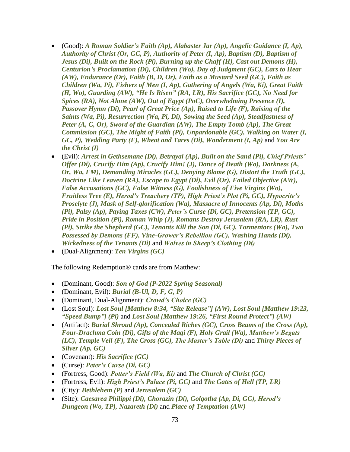- (Good): *A Roman Soldier's Faith (Ap), Alabaster Jar (Ap), Angelic Guidance (I, Ap), Authority of Christ (Or, GC, P), Authority of Peter (I, Ap), Baptism (D), Baptism of Jesus (Di), Built on the Rock (Pi), Burning up the Chaff (H), Cast out Demons (H), Centurion's Proclamation (Di), Children (Wo), Day of Judgment (GC), Ears to Hear (AW), Endurance (Or), Faith (B, D, Or), Faith as a Mustard Seed (GC), Faith as Children (Wa, Pi), Fishers of Men (I, Ap), Gathering of Angels (Wa, Ki), Great Faith (H, Wo), Guarding (AW), "He Is Risen" (RA, LR), His Sacrifice (GC), No Need for Spices (RA), Not Alone (AW), Out of Egypt (PoC), Overwhelming Presence (I), Passover Hymn (Di), Pearl of Great Price (Ap), Raised to Life (F), Raising of the Saints (Wa, Pi), Resurrection (Wa, Pi, Di), Sowing the Seed (Ap), Steadfastness of Peter (A, C, Or), Sword of the Guardian (AW), The Empty Tomb (Ap), The Great Commission (GC), The Might of Faith (Pi), Unpardonable (GC), Walking on Water (I, GC, P), Wedding Party (F), Wheat and Tares (Di), Wonderment (I, Ap)* and *You Are the Christ (I)*
- (Evil): *Arrest in Gethsemane (Di), Betrayal (Ap), Built on the Sand (Pi), Chief Priests' Offer (Di), Crucify Him (Ap), Crucify Him! (J), Dance of Death (Wo), Darkness (A, Or, Wa, FM), Demanding Miracles (GC), Denying Blame (G), Distort the Truth (GC), Doctrine Like Leaven (RA), Escape to Egypt (Di), Evil (Or), Failed Objective (AW), False Accusations (GC), False Witness (G), Foolishness of Five Virgins (Wo), Fruitless Tree (E), Herod's Treachery (TP), High Priest's Plot (Pi, GC), Hypocrite's Proselyte (J), Mask of Self-glorification (Wa), Massacre of Innocents (Ap, Di), Moths (Pi), Palsy (Ap), Paying Taxes (CW), Peter's Curse (Di, GC), Pretension (TP, GC), Pride in Position (Pi), Roman Whip (J), Romans Destroy Jerusalem (RA, LR), Rust (Pi), Strike the Shepherd (GC), Tenants Kill the Son (Di, GC), Tormentors (Wa), Two Possessed by Demons (FF), Vine-Grower's Rebellion (GC), Washing Hands (Di), Wickedness of the Tenants (Di)* and *Wolves in Sheep's Clothing (Di)*
- (Dual-Alignment): *Ten Virgins (GC)*

The following Redemption® cards are from Matthew:

- (Dominant, Good): *Son of God (P-2022 Spring Seasonal)*
- (Dominant, Evil): *Burial (B-Ul, D, F, G, P)*
- (Dominant, Dual-Alignment): *Crowd's Choice (GC)*
- (Lost Soul): *Lost Soul [Matthew 8:34, "Site Release"] (AW), Lost Soul [Matthew 19:23, "Speed Bump"] (Pi)* and *Lost Soul [Matthew 19:26, "First Round Protect"] (AW)*
- (Artifact): *Burial Shroud (Ap), Concealed Riches (GC), Cross Beams of the Cross (Ap), Four-Drachma Coin (Di), Gifts of the Magi (F), Holy Grail (Wa), Matthew's Begats (LC), Temple Veil (F), The Cross (GC), The Master's Table (Di)* and *Thirty Pieces of Silver (Ap, GC)*
- (Covenant): *His Sacrifice (GC)*
- (Curse): *Peter's Curse (Di, GC)*
- (Fortress, Good): *Potter's Field (Wa, Ki)* and *The Church of Christ (GC)*
- (Fortress, Evil): *High Priest's Palace (Pi, GC)* and *The Gates of Hell (TP, LR)*
- (City): *Bethlehem (P)* and *Jerusalem (GC)*
- (Site): *Caesarea Philippi (Di), Chorazin (Di), Golgotha (Ap, Di, GC), Herod's Dungeon (Wo, TP), Nazareth (Di)* and *Place of Temptation (AW)*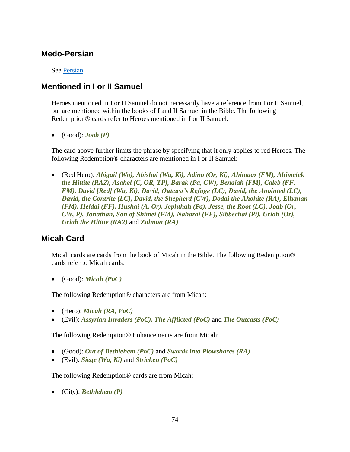### **Medo-Persian**

See [Persian.](#page-79-0)

# **Mentioned in I or II Samuel**

Heroes mentioned in I or II Samuel do not necessarily have a reference from I or II Samuel, but are mentioned within the books of I and II Samuel in the Bible. The following Redemption® cards refer to Heroes mentioned in I or II Samuel:

• (Good): *Joab (P)*

The card above further limits the phrase by specifying that it only applies to red Heroes. The following Redemption® characters are mentioned in I or II Samuel:

• (Red Hero): *Abigail (Wo), Abishai (Wa, Ki), Adino (Or, Ki), Ahimaaz (FM), Ahimelek the Hittite (RA2), Asahel (C, OR, TP), Barak (Pa, CW), Benaiah (FM), Caleb (FF, FM), David [Red] (Wa, Ki), David, Outcast's Refuge (LC), David, the Anointed (LC), David, the Contrite (LC), David, the Shepherd (CW), Dodai the Ahohite (RA), Elhanan (FM), Heldai (FF), Hushai (A, Or), Jephthah (Pa), Jesse, the Root (LC), Joab (Or, CW, P), Jonathan, Son of Shimei (FM), Naharai (FF), Sibbechai (Pi), Uriah (Or), Uriah the Hittite (RA2)* and *Zalmon (RA)*

# <span id="page-73-0"></span>**Micah Card**

Micah cards are cards from the book of Micah in the Bible. The following Redemption® cards refer to Micah cards:

• (Good): *Micah (PoC)*

The following Redemption® characters are from Micah:

- (Hero): *Micah (RA, PoC)*
- (Evil): *Assyrian Invaders (PoC), The Afflicted (PoC)* and *The Outcasts (PoC)*

The following Redemption® Enhancements are from Micah:

- (Good): *Out of Bethlehem (PoC)* and *Swords into Plowshares (RA)*
- (Evil): *Siege (Wa, Ki)* and *Stricken (PoC)*

The following Redemption® cards are from Micah:

• (City): *Bethlehem (P)*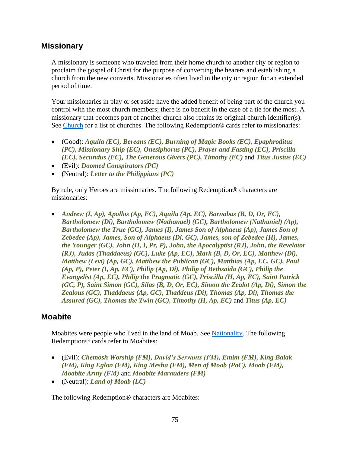#### **Missionary**

A missionary is someone who traveled from their home church to another city or region to proclaim the gospel of Christ for the purpose of converting the hearers and establishing a church from the new converts. Missionaries often lived in the city or region for an extended period of time.

Your missionaries in play or set aside have the added benefit of being part of the church you control with the most church members; there is no benefit in the case of a tie for the most. A missionary that becomes part of another church also retains its original church identifier(s). See [Church](#page-15-0) for a list of churches. The following Redemption<sup>®</sup> cards refer to missionaries:

- (Good): *Aquila (EC), Bereans (EC), Burning of Magic Books (EC), Epaphroditus (PC), Missionary Ship (EC), Onesiphorus (PC), Prayer and Fasting (EC), Priscilla (EC), Secundus (EC), The Generous Givers (PC), Timothy (EC)* and *Titus Justus (EC)*
- (Evil): *Doomed Conspirators (PC)*
- (Neutral): *Letter to the Philippians (PC)*

By rule, only Heroes are missionaries. The following Redemption® characters are missionaries:

• *Andrew (I, Ap), Apollos (Ap, EC), Aquila (Ap, EC), Barnabas (B, D, Or, EC), Bartholomew (Di), Bartholomew (Nathanael) (GC), Bartholomew (Nathaniel) (Ap), Bartholomew the True (GC), James (I), James Son of Alphaeus (Ap), James Son of Zebedee (Ap), James, Son of Alphaeus (Di, GC), James, son of Zebedee (H), James, the Younger (GC), John (H, I, Pr, P), John, the Apocalyptist (RJ), John, the Revelator (RJ), Judas (Thaddaeus) (GC), Luke (Ap, EC), Mark (B, D, Or, EC), Matthew (Di), Matthew (Levi) (Ap, GC), Matthew the Publican (GC), Matthias (Ap, EC, GC), Paul (Ap, P), Peter (I, Ap, EC), Philip (Ap, Di), Philip of Bethsaida (GC), Philip the Evangelist (Ap, EC), Philip the Pragmatic (GC), Priscilla (H, Ap, EC), Saint Patrick (GC, P), Saint Simon (GC), Silas (B, D, Or, EC), Simon the Zealot (Ap, Di), Simon the Zealous (GC), Thaddaeus (Ap, GC), Thaddeus (Di), Thomas (Ap, Di), Thomas the Assured (GC), Thomas the Twin (GC), Timothy (H, Ap, EC)* and *Titus (Ap, EC)*

#### <span id="page-74-0"></span>**Moabite**

Moabites were people who lived in the land of Moab. See [Nationality.](#page-76-0) The following Redemption® cards refer to Moabites:

- (Evil): *Chemosh Worship (FM), David's Servants (FM), Emim (FM), King Balak (FM), King Eglon (FM), King Mesha (FM), Men of Moab (PoC), Moab (FM), Moabite Army (FM)* and *Moabite Marauders (FM)*
- (Neutral): *Land of Moab (LC)*

The following Redemption® characters are Moabites: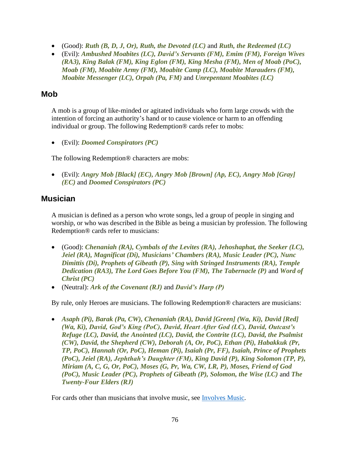- (Good): *Ruth (B, D, J, Or), Ruth, the Devoted (LC)* and *Ruth, the Redeemed (LC)*
- (Evil): *Ambushed Moabites (LC), David's Servants (FM), Emim (FM), Foreign Wives (RA3), King Balak (FM), King Eglon (FM), King Mesha (FM), Men of Moab (PoC), Moab (FM), Moabite Army (FM), Moabite Camp (LC), Moabite Marauders (FM), Moabite Messenger (LC), Orpah (Pa, FM)* and *Unrepentant Moabites (LC)*

# **Mob**

A mob is a group of like-minded or agitated individuals who form large crowds with the intention of forcing an authority's hand or to cause violence or harm to an offending individual or group. The following Redemption® cards refer to mobs:

• (Evil): *Doomed Conspirators (PC)*

The following Redemption® characters are mobs:

• (Evil): *Angry Mob [Black] (EC), Angry Mob [Brown] (Ap, EC), Angry Mob [Gray] (EC)* and *Doomed Conspirators (PC)*

# **Musician**

A musician is defined as a person who wrote songs, led a group of people in singing and worship, or who was described in the Bible as being a musician by profession. The following Redemption® cards refer to musicians:

- (Good): *Chenaniah (RA), Cymbals of the Levites (RA), Jehoshaphat, the Seeker (LC), Jeiel (RA), Magnificat (Di), Musicians' Chambers (RA), Music Leader (PC), Nunc Dimittis (Di), Prophets of Gibeath (P), Sing with Stringed Instruments (RA), Temple Dedication (RA3), The Lord Goes Before You (FM), The Tabernacle (P)* and *Word of Christ (PC)*
- (Neutral): *Ark of the Covenant (RJ)* and *David's Harp (P)*

By rule, only Heroes are musicians. The following Redemption® characters are musicians:

• *Asaph (Pi), Barak (Pa, CW), Chenaniah (RA), David [Green] (Wa, Ki), David [Red] (Wa, Ki), David, God's King (PoC), David, Heart After God (LC), David, Outcast's Refuge (LC), David, the Anointed (LC), David, the Contrite (LC), David, the Psalmist (CW), David, the Shepherd (CW), Deborah (A, Or, PoC), Ethan (Pi), Habakkuk (Pr, TP, PoC), Hannah (Or, PoC), Heman (Pi), Isaiah (Pr, FF), Isaiah, Prince of Prophets (PoC), Jeiel (RA), Jephthah's Daughter (FM), King David (P), King Solomon (TP, P), Miriam (A, C, G, Or, PoC), Moses (G, Pr, Wa, CW, LR, P), Moses, Friend of God (PoC), Music Leader (PC), Prophets of Gibeath (P), Solomon, the Wise (LC)* and *The Twenty-Four Elders (RJ)*

For cards other than musicians that involve music, see **Involves Music**.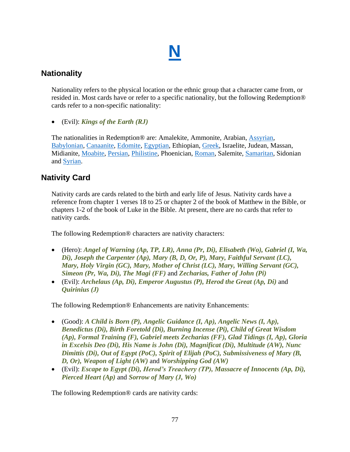# **[N](#page-1-0)**

# <span id="page-76-0"></span>**Nationality**

Nationality refers to the physical location or the ethnic group that a character came from, or resided in. Most cards have or refer to a specific nationality, but the following Redemption® cards refer to a non-specific nationality:

• (Evil): *Kings of the Earth (RJ)*

The nationalities in Redemption<sup>®</sup> are: Amalekite, Ammonite, Arabian, [Assyrian,](#page-10-0) [Babylonian,](#page-11-0) [Canaanite,](#page-13-0) [Edomite,](#page-22-0) [Egyptian,](#page-22-1) Ethiopian, [Greek,](#page-39-0) Israelite, Judean, Massan, Midianite, [Moabite,](#page-74-0) [Persian,](#page-79-0) [Philistine,](#page-81-0) Phoenician, [Roman,](#page-89-0) Salemite, [Samaritan,](#page-95-0) Sidonian and [Syrian.](#page-99-0)

# **Nativity Card**

Nativity cards are cards related to the birth and early life of Jesus. Nativity cards have a reference from chapter 1 verses 18 to 25 or chapter 2 of the book of Matthew in the Bible, or chapters 1-2 of the book of Luke in the Bible. At present, there are no cards that refer to nativity cards.

The following Redemption® characters are nativity characters:

- (Hero): *Angel of Warning (Ap, TP, LR), Anna (Pr, Di), Elisabeth (Wo), Gabriel (I, Wa, Di), Joseph the Carpenter (Ap), Mary (B, D, Or, P), Mary, Faithful Servant (LC), Mary, Holy Virgin (GC), Mary, Mother of Christ (LC), Mary, Willing Servant (GC), Simeon (Pr, Wa, Di), The Magi (FF)* and *Zecharias, Father of John (Pi)*
- (Evil): *Archelaus (Ap, Di), Emperor Augustus (P), Herod the Great (Ap, Di)* and *Quirinius (J)*

The following Redemption® Enhancements are nativity Enhancements:

- (Good): *A Child is Born (P), Angelic Guidance (I, Ap), Angelic News (I, Ap), Benedictus (Di), Birth Foretold (Di), Burning Incense (Pi), Child of Great Wisdom (Ap), Formal Training (F), Gabriel meets Zecharias (FF), Glad Tidings (I, Ap), Gloria in Excelsis Deo (Di), His Name is John (Di), Magnificat (Di), Multitude (AW), Nunc Dimittis (Di), Out of Egypt (PoC), Spirit of Elijah (PoC), Submissiveness of Mary (B, D, Or), Weapon of Light (AW)* and *Worshipping God (AW)*
- (Evil): *Escape to Egypt (Di), Herod's Treachery (TP), Massacre of Innocents (Ap, Di), Pierced Heart (Ap)* and *Sorrow of Mary (J, Wo)*

The following Redemption® cards are nativity cards: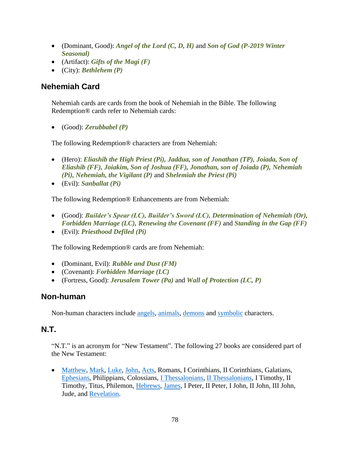- (Dominant, Good): *Angel of the Lord (C, D, H)* and *Son of God (P-2019 Winter Seasonal)*
- (Artifact): *Gifts of the Magi (F)*
- (City): *Bethlehem (P)*

# <span id="page-77-0"></span>**Nehemiah Card**

Nehemiah cards are cards from the book of Nehemiah in the Bible. The following Redemption® cards refer to Nehemiah cards:

• (Good): *Zerubbabel (P)*

The following Redemption® characters are from Nehemiah:

- (Hero): *Eliashib the High Priest (Pi), Jaddua, son of Jonathan (TP), Joiada, Son of Eliashib (FF), Joiakim, Son of Joshua (FF), Jonathan, son of Joiada (P), Nehemiah (Pi), Nehemiah, the Vigilant (P)* and *Shelemiah the Priest (Pi)*
- (Evil): *Sanballat (Pi)*

The following Redemption® Enhancements are from Nehemiah:

- (Good): *Builder's Spear (LC), Builder's Sword (LC), Determination of Nehemiah (Or), Forbidden Marriage (LC), Renewing the Covenant (FF)* and *Standing in the Gap (FF)*
- (Evil): *Priesthood Defiled (Pi)*

The following Redemption® cards are from Nehemiah:

- (Dominant, Evil): *Rubble and Dust (FM)*
- (Covenant): *Forbidden Marriage (LC)*
- (Fortress, Good): *Jerusalem Tower (Pa)* and *Wall of Protection (LC, P)*

#### **Non-human**

Non-human characters include [angels,](#page-8-0) [animals,](#page-8-1) [demons](#page-19-0) and [symbolic](#page-98-0) characters.

#### **N.T.**

"N.T." is an acronym for "New Testament". The following 27 books are considered part of the New Testament:

• [Matthew,](#page-71-0) [Mark,](#page-69-0) [Luke,](#page-66-0) [John,](#page-57-0) [Acts,](#page-6-0) Romans, I Corinthians, II Corinthians, Galatians, [Ephesians,](#page-24-0) Philippians, Colossians, [I Thessalonians,](#page-49-0) [II Thessalonians,](#page-54-0) I Timothy, II Timothy, Titus, Philemon, [Hebrews,](#page-40-0) [James,](#page-54-1) I Peter, II Peter, I John, II John, III John, Jude, and [Revelation.](#page-87-0)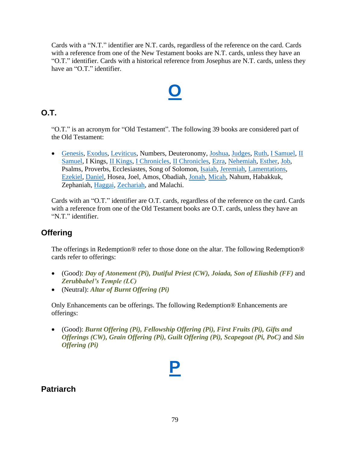Cards with a "N.T." identifier are N.T. cards, regardless of the reference on the card. Cards with a reference from one of the New Testament books are N.T. cards, unless they have an "O.T." identifier. Cards with a historical reference from Josephus are N.T. cards, unless they have an "O.T." identifier.

# **[O](#page-1-0)**

# **O.T.**

"O.T." is an acronym for "Old Testament". The following 39 books are considered part of the Old Testament:

• [Genesis,](#page-32-0) [Exodus,](#page-26-0) [Leviticus,](#page-65-0) Numbers, Deuteronomy, [Joshua,](#page-60-0) [Judges,](#page-61-0) [Ruth,](#page-93-0) [I Samuel,](#page-48-0) [II](#page-53-0)  [Samuel,](#page-53-0) I Kings, [II Kings,](#page-51-0) [I Chronicles,](#page-47-0) [II Chronicles,](#page-49-1) [Ezra,](#page-28-0) [Nehemiah,](#page-77-0) [Esther,](#page-25-0) [Job,](#page-56-0) Psalms, Proverbs, Ecclesiastes, Song of Solomon, [Isaiah,](#page-45-0) [Jeremiah,](#page-55-0) [Lamentations,](#page-65-1) [Ezekiel,](#page-27-0) [Daniel,](#page-17-0) Hosea, Joel, Amos, Obadiah, [Jonah,](#page-58-0) [Micah,](#page-73-0) Nahum, Habakkuk, Zephaniah, [Haggai,](#page-39-1) [Zechariah,](#page-102-0) and Malachi.

Cards with an "O.T." identifier are O.T. cards, regardless of the reference on the card. Cards with a reference from one of the Old Testament books are O.T. cards, unless they have an "N.T." identifier.

# **Offering**

The offerings in Redemption® refer to those done on the altar. The following Redemption® cards refer to offerings:

- (Good): *Day of Atonement (Pi), Dutiful Priest (CW), Joiada, Son of Eliashib (FF)* and *Zerubbabel's Temple (LC)*
- (Neutral): *Altar of Burnt Offering (Pi)*

Only Enhancements can be offerings. The following Redemption® Enhancements are offerings:

• (Good): *Burnt Offering (Pi), Fellowship Offering (Pi), First Fruits (Pi), Gifts and Offerings (CW), Grain Offering (Pi), Guilt Offering (Pi), Scapegoat (Pi, PoC)* and *Sin Offering (Pi)*

**[P](#page-1-0)**

# **Patriarch**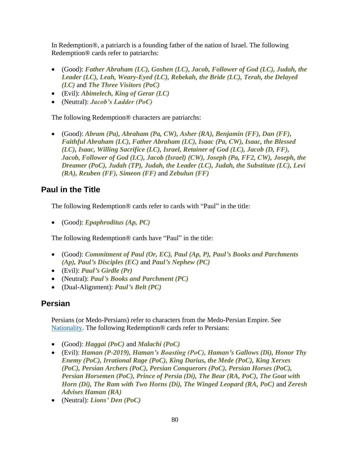In Redemption®, a patriarch is a founding father of the nation of Israel. The following Redemption® cards refer to patriarchs:

- (Good): *Father Abraham (LC), Goshen (LC), Jacob, Follower of God (LC), Judah, the Leader (LC), Leah, Weary-Eyed (LC), Rebekah, the Bride (LC), Terah, the Delayed (LC)* and *The Three Visitors (PoC)*
- (Evil): *Abimelech, King of Gerar (LC)*
- (Neutral): *Jacob's Ladder (PoC)*

The following Redemption® characters are patriarchs:

• (Good): *Abram (Pa), Abraham (Pa, CW), Asher (RA), Benjamin (FF), Dan (FF), Faithful Abraham (LC), Father Abraham (LC), Isaac (Pa, CW), Isaac, the Blessed (LC), Isaac, Willing Sacrifice (LC), Israel, Retainer of God (LC), Jacob (D, FF), Jacob, Follower of God (LC), Jacob (Israel) (CW), Joseph (Pa, FF2, CW), Joseph, the Dreamer (PoC), Judah (TP), Judah, the Leader (LC), Judah, the Substitute (LC), Levi (RA), Reuben (FF), Simeon (FF)* and *Zebulun (FF)*

### **Paul in the Title**

The following Redemption® cards refer to cards with "Paul" in the title:

• (Good): *Epaphroditus (Ap, PC)*

The following Redemption® cards have "Paul" in the title:

- (Good): *Commitment of Paul (Or, EC), Paul (Ap, P), Paul's Books and Parchments (Ap), Paul's Disciples (EC)* and *Paul's Nephew (PC)*
- (Evil): *Paul's Girdle (Pr)*
- (Neutral): *Paul's Books and Parchment (PC)*
- (Dual-Alignment): *Paul's Belt (PC)*

# <span id="page-79-0"></span>**Persian**

Persians (or Medo-Persians) refer to characters from the Medo-Persian Empire. See [Nationality.](#page-76-0) The following Redemption® cards refer to Persians:

- (Good): *Haggai (PoC)* and *Malachi (PoC)*
- (Evil): *Haman (P-2019), Haman's Boasting (PoC), Haman's Gallows (Di), Honor Thy Enemy (PoC), Irrational Rage (PoC), King Darius, the Mede (PoC), King Xerxes (PoC), Persian Archers (PoC), Persian Conquerors (PoC), Persian Horses (PoC), Persian Horsemen (PoC), Prince of Persia (Di), The Bear (RA, PoC), The Goat with Horn (Di), The Ram with Two Horns (Di), The Winged Leopard (RA, PoC)* and *Zeresh Advises Haman (RA)*
- (Neutral): *Lions' Den (PoC)*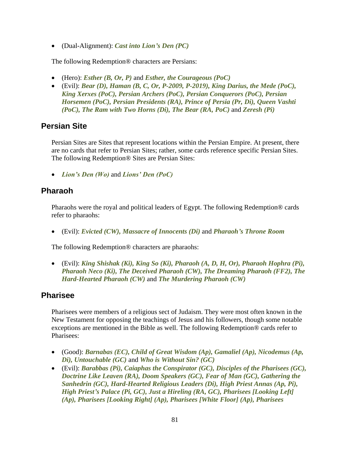• (Dual-Alignment): *Cast into Lion's Den (PC)*

The following Redemption® characters are Persians:

- (Hero): *Esther (B, Or, P)* and *Esther, the Courageous (PoC)*
- (Evil): *Bear (D), Haman (B, C, Or, P-2009, P-2019), King Darius, the Mede (PoC), King Xerxes (PoC), Persian Archers (PoC), Persian Conquerors (PoC), Persian Horsemen (PoC), Persian Presidents (RA), Prince of Persia (Pr, Di), Queen Vashti (PoC), The Ram with Two Horns (Di), The Bear (RA, PoC)* and *Zeresh (Pi)*

# **Persian Site**

Persian Sites are Sites that represent locations within the Persian Empire. At present, there are no cards that refer to Persian Sites; rather, some cards reference specific Persian Sites. The following Redemption® Sites are Persian Sites:

• *Lion's Den (Wo)* and *Lions' Den (PoC)*

### **Pharaoh**

Pharaohs were the royal and political leaders of Egypt. The following Redemption® cards refer to pharaohs:

• (Evil): *Evicted (CW), Massacre of Innocents (Di)* and *Pharaoh's Throne Room*

The following Redemption® characters are pharaohs:

• (Evil): *King Shishak (Ki), King So (Ki), Pharaoh (A, D, H, Or), Pharaoh Hophra (Pi), Pharaoh Neco (Ki), The Deceived Pharaoh (CW), The Dreaming Pharaoh (FF2), The Hard-Hearted Pharaoh (CW)* and *The Murdering Pharaoh (CW)*

# **Pharisee**

Pharisees were members of a religious sect of Judaism. They were most often known in the New Testament for opposing the teachings of Jesus and his followers, though some notable exceptions are mentioned in the Bible as well. The following Redemption® cards refer to Pharisees:

- (Good): *Barnabas (EC), Child of Great Wisdom (Ap), Gamaliel (Ap), Nicodemus (Ap, Di), Untouchable (GC)* and *Who is Without Sin? (GC)*
- (Evil): *Barabbas (Pi), Caiaphas the Conspirator (GC), Disciples of the Pharisees (GC), Doctrine Like Leaven (RA), Doom Speakers (GC), Fear of Man (GC), Gathering the Sanhedrin (GC), Hard-Hearted Religious Leaders (Di), High Priest Annas (Ap, Pi), High Priest's Palace (Pi, GC), Just a Hireling (RA, GC), Pharisees [Looking Left] (Ap), Pharisees [Looking Right] (Ap), Pharisees [White Floor] (Ap), Pharisees*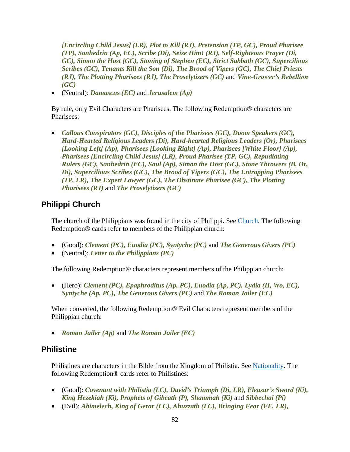*[Encircling Child Jesus] (LR), Plot to Kill (RJ), Pretension (TP, GC), Proud Pharisee (TP), Sanhedrin (Ap, EC), Scribe (Di), Seize Him! (RJ), Self-Righteous Prayer (Di, GC), Simon the Host (GC), Stoning of Stephen (EC), Strict Sabbath (GC), Supercilious Scribes (GC), Tenants Kill the Son (Di), The Brood of Vipers (GC), The Chief Priests (RJ), The Plotting Pharisees (RJ), The Proselytizers (GC)* and *Vine-Grower's Rebellion (GC)*

• (Neutral): *Damascus (EC)* and *Jerusalem (Ap)*

By rule, only Evil Characters are Pharisees. The following Redemption® characters are Pharisees:

• *Callous Conspirators (GC), Disciples of the Pharisees (GC), Doom Speakers (GC), Hard-Hearted Religious Leaders (Di), Hard-hearted Religious Leaders (Or), Pharisees [Looking Left] (Ap), Pharisees [Looking Right] (Ap), Pharisees [White Floor] (Ap), Pharisees [Encircling Child Jesus] (LR), Proud Pharisee (TP, GC), Repudiating Rulers (GC), Sanhedrin (EC), Saul (Ap), Simon the Host (GC), Stone Throwers (B, Or, Di), Supercilious Scribes (GC), The Brood of Vipers (GC), The Entrapping Pharisees (TP, LR), The Expert Lawyer (GC), The Obstinate Pharisee (GC), The Plotting Pharisees (RJ)* and *The Proselytizers (GC)*

### **Philippi Church**

The church of the Philippians was found in the city of Philippi. See [Church.](#page-15-0) The following Redemption® cards refer to members of the Philippian church:

- (Good): *Clement (PC), Euodia (PC), Syntyche (PC)* and *The Generous Givers (PC)*
- (Neutral): *Letter to the Philippians (PC)*

The following Redemption® characters represent members of the Philippian church:

• (Hero): *Clement (PC), Epaphroditus (Ap, PC), Euodia (Ap, PC), Lydia (H, Wo, EC), Syntyche (Ap, PC), The Generous Givers (PC)* and *The Roman Jailer (EC)*

When converted, the following Redemption® Evil Characters represent members of the Philippian church:

• *Roman Jailer (Ap)* and *The Roman Jailer (EC)*

#### <span id="page-81-0"></span>**Philistine**

Philistines are characters in the Bible from the Kingdom of Philistia. See [Nationality.](#page-76-0) The following Redemption® cards refer to Philistines:

- (Good): *Covenant with Philistia (LC), David's Triumph (Di, LR), Eleazar's Sword (Ki), King Hezekiah (Ki), Prophets of Gibeath (P), Shammah (Ki)* and *Sibbechai (Pi)*
- (Evil): *Abimelech, King of Gerar (LC), Ahuzzath (LC), Bringing Fear (FF, LR),*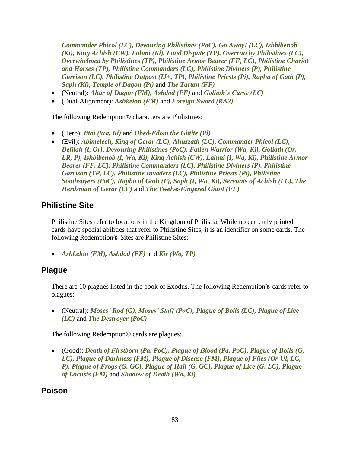*Commander Phicol (LC), Devouring Philistines (PoC), Go Away! (LC), Ishbibenob (Ki), King Achish (CW), Lahmi (Ki), Land Dispute (TP), Overrun by Philistines (LC), Overwhelmed by Philistines (TP), Philistine Armor Bearer (FF, LC), Philistine Chariot and Horses (TP), Philistine Commanders (LC), Philistine Diviners (P), Philistine Garrison (LC), Philistine Outpost (IJ+, TP), Philistine Priests (Pi), Rapha of Gath (P), Saph (Ki), Temple of Dagon (Pi)* and *The Tartan (FF)*

- (Neutral): *Altar of Dagon (FM), Ashdod (FF)* and *Goliath's Curse (LC)*
- (Dual-Alignment): *Ashkelon (FM)* and *Foreign Sword (RA2)*

The following Redemption® characters are Philistines:

- (Hero): *Ittai (Wa, Ki)* and *Obed-Edom the Gittite (Pi)*
- (Evil): *Abimelech, King of Gerar (LC), Ahuzzath (LC), Commander Phicol (LC), Delilah (I, Or), Devouring Philistines (PoC), Fallen Warrior (Wa, Ki), Goliath (Or, LR, P), Ishbibenob (I, Wa, Ki), King Achish (CW), Lahmi (I, Wa, Ki), Philistine Armor Bearer (FF, LC), Philistine Commanders (LC), Philistine Diviners (P), Philistine Garrison (TP, LC), Philistine Invaders (LC), Philistine Priests (Pi), Philistine Soothsayers (PoC), Rapha of Gath (P), Saph (I, Wa, Ki), Servants of Achish (LC), The Herdsman of Gerar (LC)* and *The Twelve-Fingered Giant (FF)*

### **Philistine Site**

Philistine Sites refer to locations in the Kingdom of Philistia. While no currently printed cards have special abilities that refer to Philistine Sites, it is an identifier on some cards. The following Redemption® Sites are Philistine Sites:

• *Ashkelon (FM), Ashdod (FF)* and *Kir (Wo, TP)*

# **Plague**

There are 10 plagues listed in the book of Exodus. The following Redemption® cards refer to plagues:

• (Neutral): *Moses' Rod (G), Moses' Staff (PoC), Plague of Boils (LC), Plague of Lice (LC)* and *The Destroyer (PoC)*

The following Redemption® cards are plagues:

• (Good): *Death of Firstborn (Pa, PoC), Plague of Blood (Pa, PoC), Plague of Boils (G, LC), Plague of Darkness (FM), Plague of Disease (FM), Plague of Flies (Or-Ul, LC, P), Plague of Frogs (G, GC), Plague of Hail (G, GC), Plague of Lice (G, LC), Plague of Locusts (FM)* and *Shadow of Death (Wa, Ki)*

#### **Poison**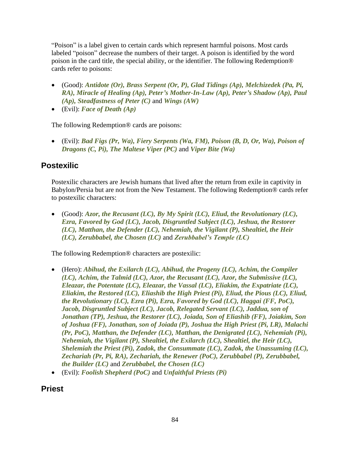"Poison" is a label given to certain cards which represent harmful poisons. Most cards labeled "poison" decrease the numbers of their target. A poison is identified by the word poison in the card title, the special ability, or the identifier. The following Redemption® cards refer to poisons:

- (Good): *Antidote (Or), Brass Serpent (Or, P), Glad Tidings (Ap), Melchizedek (Pa, Pi, RA), Miracle of Healing (Ap), Peter's Mother-In-Law (Ap), Peter's Shadow (Ap), Paul (Ap), Steadfastness of Peter (C)* and *Wings (AW)*
- (Evil): *Face of Death (Ap)*

The following Redemption® cards are poisons:

• (Evil): *Bad Figs (Pr, Wa), Fiery Serpents (Wa, FM), Poison (B, D, Or, Wa), Poison of Dragons (C, Pi), The Maltese Viper (PC)* and *Viper Bite (Wa)*

### **Postexilic**

Postexilic characters are Jewish humans that lived after the return from exile in captivity in Babylon/Persia but are not from the New Testament. The following Redemption® cards refer to postexilic characters:

• (Good): *Azor, the Recusant (LC), By My Spirit (LC), Eliud, the Revolutionary (LC), Ezra, Favored by God (LC), Jacob, Disgruntled Subject (LC), Jeshua, the Restorer (LC), Matthan, the Defender (LC), Nehemiah, the Vigilant (P), Shealtiel, the Heir (LC), Zerubbabel, the Chosen (LC)* and *Zerubbabel's Temple (LC)*

The following Redemption® characters are postexilic:

- (Hero): *Abihud, the Exilarch (LC), Abihud, the Progeny (LC), Achim, the Compiler (LC), Achim, the Talmid (LC), Azor, the Recusant (LC), Azor, the Submissive (LC), Eleazar, the Potentate (LC), Eleazar, the Vassal (LC), Eliakim, the Expatriate (LC), Eliakim, the Restored (LC), Eliashib the High Priest (Pi), Eliud, the Pious (LC), Eliud, the Revolutionary (LC), Ezra (Pi), Ezra, Favored by God (LC), Haggai (FF, PoC), Jacob, Disgruntled Subject (LC), Jacob, Relegated Servant (LC), Jaddua, son of Jonathan (TP), Jeshua, the Restorer (LC), Joiada, Son of Eliashib (FF), Joiakim, Son of Joshua (FF), Jonathan, son of Joiada (P), Joshua the High Priest (Pi, LR), Malachi (Pr, PoC), Matthan, the Defender (LC), Matthan, the Denigrated (LC), Nehemiah (Pi), Nehemiah, the Vigilant (P), Shealtiel, the Exilarch (LC), Shealtiel, the Heir (LC), Shelemiah the Priest (Pi), Zadok, the Consummate (LC), Zadok, the Unassuming (LC), Zechariah (Pr, Pi, RA), Zechariah, the Renewer (PoC), Zerubbabel (P), Zerubbabel, the Builder (LC)* and *Zerubbabel, the Chosen (LC)*
- (Evil): *Foolish Shepherd (PoC)* and *Unfaithful Priests (Pi)*

#### **Priest**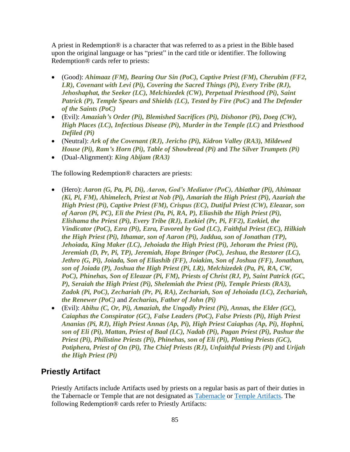A priest in Redemption® is a character that was referred to as a priest in the Bible based upon the original language or has "priest" in the card title or identifier. The following Redemption® cards refer to priests:

- (Good): *Ahimaaz (FM), Bearing Our Sin (PoC), Captive Priest (FM), Cherubim (FF2, LR), Covenant with Levi (Pi), Covering the Sacred Things (Pi), Every Tribe (RJ), Jehoshaphat, the Seeker (LC), Melchizedek (CW), Perpetual Priesthood (Pi), Saint Patrick (P), Temple Spears and Shields (LC), Tested by Fire (PoC)* and *The Defender of the Saints (PoC)*
- (Evil): *Amaziah's Order (Pi), Blemished Sacrifices (Pi), Dishonor (Pi), Doeg (CW), High Places (LC), Infectious Disease (Pi), Murder in the Temple (LC)* and *Priesthood Defiled (Pi)*
- (Neutral): *Ark of the Covenant (RJ), Jericho (Pi), Kidron Valley (RA3), Mildewed House (Pi), Ram's Horn (Pi), Table of Showbread (Pi)* and *The Silver Trumpets (Pi)*
- (Dual-Alignment): *King Abijam (RA3)*

The following Redemption® characters are priests:

- (Hero): *Aaron (G, Pa, Pi, Di), Aaron, God's Mediator (PoC), Abiathar (Pi), Ahimaaz (Ki, Pi, FM), Ahimelech, Priest at Nob (Pi), Amariah the High Priest (Pi), Azariah the High Priest (Pi), Captive Priest (FM), Crispus (EC), Dutiful Priest (CW), Eleazar, son of Aaron (Pi, PC), Eli the Priest (Pa, Pi, RA, P), Eliashib the High Priest (Pi), Elishama the Priest (Pi), Every Tribe (RJ), Ezekiel (Pr, Pi, FF2), Ezekiel, the Vindicator (PoC), Ezra (Pi), Ezra, Favored by God (LC), Faithful Priest (EC), Hilkiah the High Priest (Pi), Ithamar, son of Aaron (Pi), Jaddua, son of Jonathan (TP), Jehoiada, King Maker (LC), Jehoiada the High Priest (Pi), Jehoram the Priest (Pi), Jeremiah (D, Pr, Pi, TP), Jeremiah, Hope Bringer (PoC), Jeshua, the Restorer (LC), Jethro (G, Pi), Joiada, Son of Eliashib (FF), Joiakim, Son of Joshua (FF), Jonathan, son of Joiada (P), Joshua the High Priest (Pi, LR), Melchizedek (Pa, Pi, RA, CW, PoC), Phinehas, Son of Eleazar (Pi, FM), Priests of Christ (RJ, P), Saint Patrick (GC, P), Seraiah the High Priest (Pi), Shelemiah the Priest (Pi), Temple Priests (RA3), Zadok (Pi, PoC), Zechariah (Pr, Pi, RA), Zechariah, Son of Jehoiada (LC), Zechariah, the Renewer (PoC)* and *Zecharias, Father of John (Pi)*
- (Evil): *Abihu (C, Or, Pi), Amaziah, the Ungodly Priest (Pi), Annas, the Elder (GC), Caiaphas the Conspirator (GC), False Leaders (PoC), False Priests (Pi), High Priest Ananias (Pi, RJ), High Priest Annas (Ap, Pi), High Priest Caiaphas (Ap, Pi), Hophni, son of Eli (Pi), Mattan, Priest of Baal (LC), Nadab (Pi), Pagan Priest (Pi), Pashur the Priest (Pi), Philistine Priests (Pi), Phinehas, son of Eli (Pi), Plotting Priests (GC), Potiphera, Priest of On (Pi), The Chief Priests (RJ), Unfaithful Priests (Pi)* and *Urijah the High Priest (Pi)*

#### <span id="page-84-0"></span>**Priestly Artifact**

Priestly Artifacts include Artifacts used by priests on a regular basis as part of their duties in the Tabernacle or Temple that are not designated as [Tabernacle](#page-99-1) or [Temple Artifacts.](#page-100-0) The following Redemption® cards refer to Priestly Artifacts: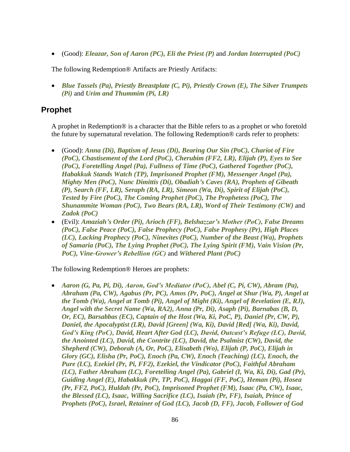• (Good): *Eleazar, Son of Aaron (PC), Eli the Priest (P)* and *Jordan Interrupted (PoC)*

The following Redemption® Artifacts are Priestly Artifacts:

• *Blue Tassels (Pa), Priestly Breastplate (C, Pi), Priestly Crown (E), The Silver Trumpets (Pi)* and *Urim and Thummim (Pi, LR)*

#### **Prophet**

A prophet in Redemption® is a character that the Bible refers to as a prophet or who foretold the future by supernatural revelation. The following Redemption® cards refer to prophets:

- (Good): *Anna (Di), Baptism of Jesus (Di), Bearing Our Sin (PoC), Chariot of Fire (PoC), Chastisement of the Lord (PoC), Cherubim (FF2, LR), Elijah (P), Eyes to See (PoC), Foretelling Angel (Pa), Fullness of Time (PoC), Gathered Together (PoC), Habakkuk Stands Watch (TP), Imprisoned Prophet (FM), Messenger Angel (Pa), Mighty Men (PoC), Nunc Dimittis (Di), Obadiah's Caves (RA), Prophets of Gibeath (P), Search (FF, LR), Seraph (RA, LR), Simeon (Wa, Di), Spirit of Elijah (PoC), Tested by Fire (PoC), The Coming Prophet (PoC), The Prophetess (PoC), The Shunammite Woman (PoC), Two Bears (RA, LR), Word of Their Testimony (CW)* and *Zadok (PoC)*
- (Evil): *Amaziah's Order (Pi), Arioch (FF), Belshazzar's Mother (PoC), False Dreams (PoC), False Peace (PoC), False Prophecy (PoC), False Prophesy (Pr), High Places (LC), Lacking Prophecy (PoC), Ninevites (PoC), Number of the Beast (Wa), Prophets of Samaria (PoC), The Lying Prophet (PoC), The Lying Spirit (FM), Vain Vision (Pr, PoC), Vine-Grower's Rebellion (GC)* and *Withered Plant (PoC)*

The following Redemption® Heroes are prophets:

• *Aaron (G, Pa, Pi, Di), Aaron, God's Mediator (PoC), Abel (C, Pi, CW), Abram (Pa), Abraham (Pa, CW), Agabus (Pr, PC), Amos (Pr, PoC), Angel at Shur (Wa, P), Angel at the Tomb (Wa), Angel at Tomb (Pi), Angel of Might (Ki), Angel of Revelation (E, RJ), Angel with the Secret Name (Wa, RA2), Anna (Pr, Di), Asaph (Pi), Barnabas (B, D, Or, EC), Barsabbas (EC), Captain of the Host (Wa, Ki, PoC, P), Daniel (Pr, CW, P), Daniel, the Apocalyptist (LR), David [Green] (Wa, Ki), David [Red] (Wa, Ki), David, God's King (PoC), David, Heart After God (LC), David, Outcast's Refuge (LC), David, the Anointed (LC), David, the Contrite (LC), David, the Psalmist (CW), David, the Shepherd (CW), Deborah (A, Or, PoC), Elisabeth (Wo), Elijah (P, PoC), Elijah in Glory (GC), Elisha (Pr, PoC), Enoch (Pa, CW), Enoch (Teaching) (LC), Enoch, the Pure (LC), Ezekiel (Pr, Pi, FF2), Ezekiel, the Vindicator (PoC), Faithful Abraham (LC), Father Abraham (LC), Foretelling Angel (Pa), Gabriel (I, Wa, Ki, Di), Gad (Pr), Guiding Angel (E), Habakkuk (Pr, TP, PoC), Haggai (FF, PoC), Heman (Pi), Hosea (Pr, FF2, PoC), Huldah (Pr, PoC), Imprisoned Prophet (FM), Isaac (Pa, CW), Isaac, the Blessed (LC), Isaac, Willing Sacrifice (LC), Isaiah (Pr, FF), Isaiah, Prince of Prophets (PoC), Israel, Retainer of God (LC), Jacob (D, FF), Jacob, Follower of God*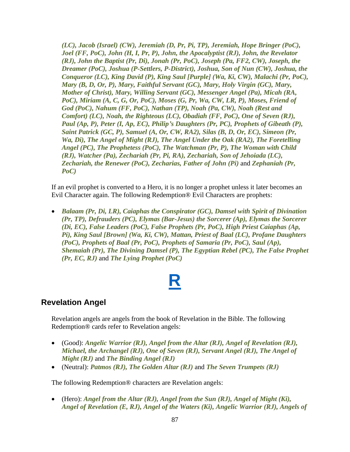*(LC), Jacob (Israel) (CW), Jeremiah (D, Pr, Pi, TP), Jeremiah, Hope Bringer (PoC), Joel (FF, PoC), John (H, I, Pr, P), John, the Apocalyptist (RJ), John, the Revelator (RJ), John the Baptist (Pr, Di), Jonah (Pr, PoC), Joseph (Pa, FF2, CW), Joseph, the Dreamer (PoC), Joshua (P-Settlers, P-District), Joshua, Son of Nun (CW), Joshua, the Conqueror (LC), King David (P), King Saul [Purple] (Wa, Ki, CW), Malachi (Pr, PoC), Mary (B, D, Or, P), Mary, Faithful Servant (GC), Mary, Holy Virgin (GC), Mary, Mother of Christ), Mary, Willing Servant (GC), Messenger Angel (Pa), Micah (RA,*  PoC), Miriam (A, C, G, Or, PoC), Moses (G, Pr, Wa, CW, LR, P), Moses, Friend of *God (PoC), Nahum (FF, PoC), Nathan (TP), Noah (Pa, CW), Noah (Rest and Comfort) (LC), Noah, the Righteous (LC), Obadiah (FF, PoC), One of Seven (RJ), Paul (Ap, P), Peter (I, Ap, EC), Philip's Daughters (Pr, PC), Prophets of Gibeath (P), Saint Patrick (GC, P), Samuel (A, Or, CW, RA2), Silas (B, D, Or, EC), Simeon (Pr, Wa, Di), The Angel of Might (RJ), The Angel Under the Oak (RA2), The Foretelling Angel (PC), The Prophetess (PoC), The Watchman (Pr, P), The Woman with Child (RJ), Watcher (Pa), Zechariah (Pr, Pi, RA), Zechariah, Son of Jehoiada (LC), Zechariah, the Renewer (PoC), Zecharias, Father of John (Pi)* and *Zephaniah (Pr, PoC)*

If an evil prophet is converted to a Hero, it is no longer a prophet unless it later becomes an Evil Character again. The following Redemption® Evil Characters are prophets:

• *Balaam (Pr, Di, LR), Caiaphas the Conspirator (GC), Damsel with Spirit of Divination (Pr, TP), Defrauders (PC), Elymas (Bar-Jesus) the Sorcerer (Ap), Elymas the Sorcerer (Di, EC), False Leaders (PoC), False Prophets (Pr, PoC), High Priest Caiaphas (Ap, Pi), King Saul [Brown] (Wa, Ki, CW), Mattan, Priest of Baal (LC), Profane Daughters (PoC), Prophets of Baal (Pr, PoC), Prophets of Samaria (Pr, PoC), Saul (Ap), Shemaiah (Pr), The Divining Damsel (P), The Egyptian Rebel (PC), The False Prophet (Pr, EC, RJ)* and *The Lying Prophet (PoC)*

# **[R](#page-1-0)**

#### **Revelation Angel**

Revelation angels are angels from the book of Revelation in the Bible. The following Redemption® cards refer to Revelation angels:

- (Good): *Angelic Warrior (RJ), Angel from the Altar (RJ), Angel of Revelation (RJ), Michael, the Archangel (RJ), One of Seven (RJ), Servant Angel (RJ), The Angel of Might (RJ)* and *The Binding Angel (RJ)*
- (Neutral): *Patmos (RJ), The Golden Altar (RJ)* and *The Seven Trumpets (RJ)*

The following Redemption® characters are Revelation angels:

• (Hero): *Angel from the Altar (RJ), Angel from the Sun (RJ), Angel of Might (Ki), Angel of Revelation (E, RJ), Angel of the Waters (Ki), Angelic Warrior (RJ), Angels of*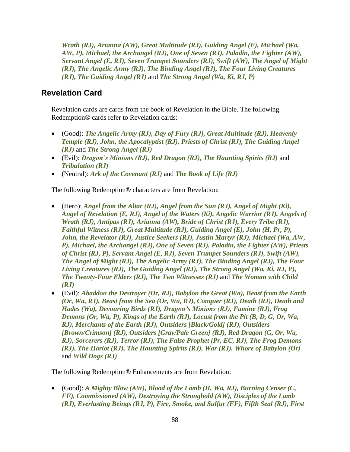*Wrath (RJ), Arianna (AW), Great Multitude (RJ), Guiding Angel (E), Michael (Wa, AW, P), Michael, the Archangel (RJ), One of Seven (RJ), Paladin, the Fighter (AW), Servant Angel (E, RJ), Seven Trumpet Sounders (RJ), Swift (AW), The Angel of Might (RJ), The Angelic Army (RJ), The Binding Angel (RJ), The Four Living Creatures (RJ), The Guiding Angel (RJ)* and *The Strong Angel (Wa, Ki, RJ, P)*

### <span id="page-87-0"></span>**Revelation Card**

Revelation cards are cards from the book of Revelation in the Bible. The following Redemption® cards refer to Revelation cards:

- (Good): *The Angelic Army (RJ), Day of Fury (RJ), Great Multitude (RJ), Heavenly Temple (RJ), John, the Apocalyptist (RJ), Priests of Christ (RJ), The Guiding Angel (RJ)* and *The Strong Angel (RJ)*
- (Evil): *Dragon's Minions (RJ), Red Dragon (RJ), The Haunting Spirits (RJ)* and *Tribulation (RJ)*
- (Neutral): *Ark of the Covenant (RJ)* and *The Book of Life (RJ)*

The following Redemption® characters are from Revelation:

- (Hero): *Angel from the Altar (RJ), Angel from the Sun (RJ), Angel of Might (Ki), Angel of Revelation (E, RJ), Angel of the Waters (Ki), Angelic Warrior (RJ), Angels of Wrath (RJ), Antipas (RJ), Arianna (AW), Bride of Christ (RJ), Every Tribe (RJ), Faithful Witness (RJ), Great Multitude (RJ), Guiding Angel (E), John (H, Pr, P), John, the Revelator (RJ), Justice Seekers (RJ), Justin Martyr (RJ), Michael (Wa, AW, P), Michael, the Archangel (RJ), One of Seven (RJ), Paladin, the Fighter (AW), Priests of Christ (RJ, P), Servant Angel (E, RJ), Seven Trumpet Sounders (RJ), Swift (AW), The Angel of Might (RJ), The Angelic Army (RJ), The Binding Angel (RJ), The Four Living Creatures (RJ), The Guiding Angel (RJ), The Strong Angel (Wa, Ki, RJ, P), The Twenty-Four Elders (RJ), The Two Witnesses (RJ)* and *The Woman with Child (RJ)*
- (Evil): *Abaddon the Destroyer (Or, RJ), Babylon the Great (Wa), Beast from the Earth (Or, Wa, RJ), Beast from the Sea (Or, Wa, RJ), Conquer (RJ), Death (RJ), Death and Hades (Wa), Devouring Birds (RJ), Dragon's Minions (RJ), Famine (RJ), Frog Demons (Or, Wa, P), Kings of the Earth (RJ), Locust from the Pit (B, D, G, Or, Wa, RJ), Merchants of the Earth (RJ), Outsiders [Black/Gold] (RJ), Outsiders [Brown/Crimson] (RJ), Outsiders [Gray/Pale Green] (RJ), Red Dragon (G, Or, Wa, RJ), Sorcerers (RJ), Terror (RJ), The False Prophet (Pr, EC, RJ), The Frog Demons (RJ), The Harlot (RJ), The Haunting Spirits (RJ), War (RJ), Whore of Babylon (Or)* and *Wild Dogs (RJ)*

The following Redemption® Enhancements are from Revelation:

• (Good): *A Mighty Blow (AW), Blood of the Lamb (H, Wa, RJ), Burning Censer (C, FF), Commissioned (AW), Destroying the Stronghold (AW), Disciples of the Lamb (RJ), Everlasting Beings (RJ, P), Fire, Smoke, and Sulfur (FF), Fifth Seal (RJ), First*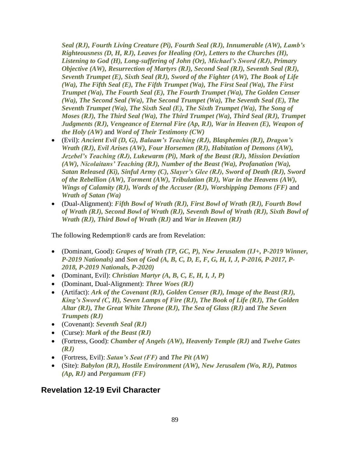*Seal (RJ), Fourth Living Creature (Pi), Fourth Seal (RJ), Innumerable (AW), Lamb's Righteousness (D, H, RJ), Leaves for Healing (Or), Letters to the Churches (H), Listening to God (H), Long-suffering of John (Or), Michael's Sword (RJ), Primary Objective (AW), Resurrection of Martyrs (RJ), Second Seal (RJ), Seventh Seal (RJ), Seventh Trumpet (E), Sixth Seal (RJ), Sword of the Fighter (AW), The Book of Life (Wa), The Fifth Seal (E), The Fifth Trumpet (Wa), The First Seal (Wa), The First Trumpet (Wa), The Fourth Seal (E), The Fourth Trumpet (Wa), The Golden Censer (Wa), The Second Seal (Wa), The Second Trumpet (Wa), The Seventh Seal (E), The Seventh Trumpet (Wa), The Sixth Seal (E), The Sixth Trumpet (Wa), The Song of Moses (RJ), The Third Seal (Wa), The Third Trumpet (Wa), Third Seal (RJ), Trumpet Judgments (RJ), Vengeance of Eternal Fire (Ap, RJ), War in Heaven (E), Weapon of the Holy (AW)* and *Word of Their Testimony (CW)*

- (Evil): *Ancient Evil (D, G), Balaam's Teaching (RJ), Blasphemies (RJ), Dragon's Wrath (RJ), Evil Arises (AW), Four Horsemen (RJ), Habitation of Demons (AW), Jezebel's Teaching (RJ), Lukewarm (Pi), Mark of the Beast (RJ), Mission Deviation (AW), Nicolaitans' Teaching (RJ), Number of the Beast (Wa), Profanation (Wa), Satan Released (Ki), Sinful Army (C), Slayer's Glee (RJ), Sword of Death (RJ), Sword of the Rebellion (AW), Torment (AW), Tribulation (RJ), War in the Heavens (AW), Wings of Calamity (RJ), Words of the Accuser (RJ), Worshipping Demons (FF)* and *Wrath of Satan (Wa)*
- (Dual-Alignment): *Fifth Bowl of Wrath (RJ), First Bowl of Wrath (RJ), Fourth Bowl of Wrath (RJ), Second Bowl of Wrath (RJ), Seventh Bowl of Wrath (RJ), Sixth Bowl of Wrath (RJ), Third Bowl of Wrath (RJ)* and *War in Heaven (RJ)*

The following Redemption® cards are from Revelation:

- (Dominant, Good): *Grapes of Wrath (TP, GC, P), New Jerusalem (IJ+, P-2019 Winner, P-2019 Nationals)* and *Son of God (A, B, C, D, E, F, G, H, I, J, P-2016, P-2017, P-2018, P-2019 Nationals, P-2020)*
- (Dominant, Evil): *Christian Martyr (A, B, C, E, H, I, J, P)*
- (Dominant, Dual-Alignment): *Three Woes (RJ)*
- (Artifact): *Ark of the Covenant (RJ), Golden Censer (RJ), Image of the Beast (RJ), King's Sword (C, H), Seven Lamps of Fire (RJ), The Book of Life (RJ), The Golden Altar (RJ), The Great White Throne (RJ), The Sea of Glass (RJ)* and *The Seven Trumpets (RJ)*
- (Covenant): *Seventh Seal (RJ)*
- (Curse): *Mark of the Beast (RJ)*
- (Fortress, Good): *Chamber of Angels (AW), Heavenly Temple (RJ)* and *Twelve Gates (RJ)*
- (Fortress, Evil): *Satan's Seat (FF)* and *The Pit (AW)*
- (Site): *Babylon (RJ), Hostile Environment (AW), New Jerusalem (Wo, RJ), Patmos (Ap, RJ)* and *Pergamum (FF)*

# **Revelation 12-19 Evil Character**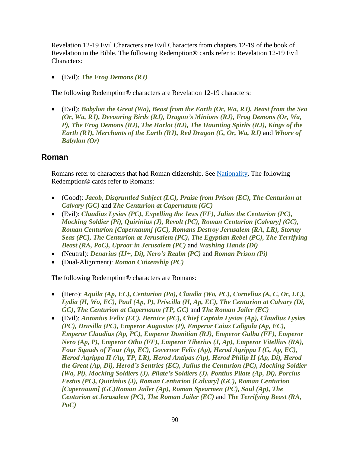Revelation 12-19 Evil Characters are Evil Characters from chapters 12-19 of the book of Revelation in the Bible. The following Redemption® cards refer to Revelation 12-19 Evil Characters:

• (Evil): *The Frog Demons (RJ)*

The following Redemption® characters are Revelation 12-19 characters:

• (Evil): *Babylon the Great (Wa), Beast from the Earth (Or, Wa, RJ), Beast from the Sea (Or, Wa, RJ), Devouring Birds (RJ), Dragon's Minions (RJ), Frog Demons (Or, Wa, P), The Frog Demons (RJ), The Harlot (RJ), The Haunting Spirits (RJ), Kings of the Earth (RJ), Merchants of the Earth (RJ), Red Dragon (G, Or, Wa, RJ)* and *Whore of Babylon (Or)*

### <span id="page-89-0"></span>**Roman**

Romans refer to characters that had Roman citizenship. See [Nationality.](#page-76-0) The following Redemption® cards refer to Romans:

- (Good): *Jacob, Disgruntled Subject (LC), Praise from Prison (EC), The Centurion at Calvary (GC)* and *The Centurion at Capernaum (GC)*
- (Evil): *Claudius Lysias (PC), Expelling the Jews (FF), Julius the Centurion (PC), Mocking Soldier (Pi), Quirinius (J), Revolt (PC), Roman Centurion [Calvary] (GC), Roman Centurion [Capernaum] (GC), Romans Destroy Jerusalem (RA, LR), Stormy Seas (PC), The Centurion at Jerusalem (PC), The Egyptian Rebel (PC), The Terrifying Beast (RA, PoC), Uproar in Jerusalem (PC)* and *Washing Hands (Di)*
- (Neutral): *Denarius (IJ+, Di), Nero's Realm (PC)* and *Roman Prison (Pi)*
- (Dual-Alignment): *Roman Citizenship (PC)*

The following Redemption® characters are Romans:

- (Hero): *Aquila (Ap, EC), Centurion (Pa), Claudia (Wo, PC), Cornelius (A, C, Or, EC), Lydia (H, Wo, EC), Paul (Ap, P), Priscilla (H, Ap, EC), The Centurion at Calvary (Di, GC)*, *The Centurion at Capernaum (TP, GC)* and *The Roman Jailer (EC)*
- (Evil): *Antonius Felix (EC), Bernice (PC), Chief Captain Lysias (Ap), Claudius Lysias (PC), Drusilla (PC), Emperor Augustus (P), Emperor Caius Caligula (Ap, EC), Emperor Claudius (Ap, PC), Emperor Domitian (RJ), Emperor Galba (FF), Emperor Nero (Ap, P), Emperor Otho (FF), Emperor Tiberius (J, Ap), Emperor Vitellius (RA), Four Squads of Four (Ap, EC), Governor Felix (Ap), Herod Agrippa I (G, Ap, EC), Herod Agrippa II (Ap, TP, LR), Herod Antipas (Ap), Herod Philip II (Ap, Di), Herod the Great (Ap, Di), Herod's Sentries (EC), Julius the Centurion (PC), Mocking Soldier (Wa, Pi), Mocking Soldiers (J), Pilate's Soldiers (J), Pontius Pilate (Ap, Di), Porcius Festus (PC), Quirinius (J), Roman Centurion [Calvary] (GC), Roman Centurion [Capernaum] (GC)Roman Jailer (Ap), Roman Spearmen (PC), Saul (Ap), The Centurion at Jerusalem (PC), The Roman Jailer (EC)* and *The Terrifying Beast (RA, PoC)*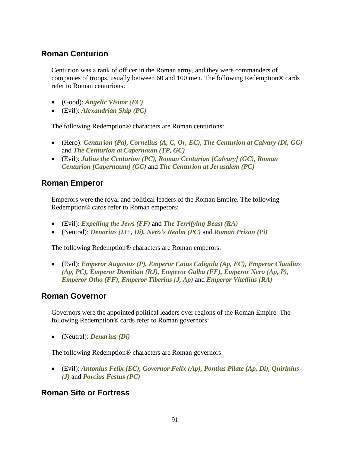# **Roman Centurion**

Centurion was a rank of officer in the Roman army, and they were commanders of companies of troops, usually between 60 and 100 men. The following Redemption® cards refer to Roman centurions:

- (Good): *Angelic Visitor (EC)*
- (Evil): *Alexandrian Ship (PC)*

The following Redemption® characters are Roman centurions:

- (Hero): *Centurion (Pa), Cornelius (A, C, Or, EC), The Centurion at Calvary (Di, GC)* and *The Centurion at Capernaum (TP, GC)*
- (Evil): *Julius the Centurion (PC), Roman Centurion [Calvary] (GC), Roman Centurion [Capernaum] (GC)* and *The Centurion at Jerusalem (PC)*

# **Roman Emperor**

Emperors were the royal and political leaders of the Roman Empire. The following Redemption® cards refer to Roman emperors:

- (Evil): *Expelling the Jews (FF)* and *The Terrifying Beast (RA)*
- (Neutral): *Denarius (IJ+, Di), Nero's Realm (PC)* and *Roman Prison (Pi)*

The following Redemption® characters are Roman emperors:

• (Evil): *Emperor Augustus (P), Emperor Caius Caligula (Ap, EC), Emperor Claudius (Ap, PC), Emperor Domitian (RJ), Emperor Galba (FF), Emperor Nero (Ap, P), Emperor Otho (FF), Emperor Tiberius (J, Ap)* and *Emperor Vitellius (RA)*

# **Roman Governor**

Governors were the appointed political leaders over regions of the Roman Empire. The following Redemption® cards refer to Roman governors:

• (Neutral): *Denarius (Di)*

The following Redemption® characters are Roman governors:

• (Evil): *Antonius Felix (EC), Governor Felix (Ap), Pontius Pilate (Ap, Di), Quirinius (J)* and *Porcius Festus (PC)*

# **Roman Site or Fortress**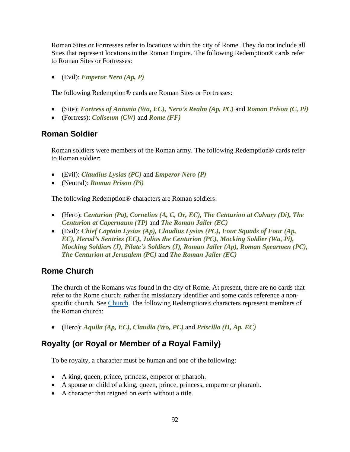Roman Sites or Fortresses refer to locations within the city of Rome. They do not include all Sites that represent locations in the Roman Empire. The following Redemption® cards refer to Roman Sites or Fortresses:

• (Evil): *Emperor Nero (Ap, P)*

The following Redemption® cards are Roman Sites or Fortresses:

- (Site): *Fortress of Antonia (Wa, EC), Nero's Realm (Ap, PC)* and *Roman Prison (C, Pi)*
- (Fortress): *Coliseum (CW)* and *Rome (FF)*

#### **Roman Soldier**

Roman soldiers were members of the Roman army. The following Redemption® cards refer to Roman soldier:

- (Evil): *Claudius Lysias (PC)* and *Emperor Nero (P)*
- (Neutral): *Roman Prison (Pi)*

The following Redemption® characters are Roman soldiers:

- (Hero): *Centurion (Pa), Cornelius (A, C, Or, EC), The Centurion at Calvary (Di), The Centurion at Capernaum (TP)* and *The Roman Jailer (EC)*
- (Evil): *Chief Captain Lysias (Ap), Claudius Lysias (PC), Four Squads of Four (Ap, EC), Herod's Sentries (EC), Julius the Centurion (PC), Mocking Soldier (Wa, Pi), Mocking Soldiers (J), Pilate's Soldiers (J), Roman Jailer (Ap), Roman Spearmen (PC), The Centurion at Jerusalem (PC)* and *The Roman Jailer (EC)*

#### **Rome Church**

The church of the Romans was found in the city of Rome. At present, there are no cards that refer to the Rome church; rather the missionary identifier and some cards reference a nonspecific church. See [Church.](#page-15-0) The following Redemption® characters represent members of the Roman church:

• (Hero): *Aquila (Ap, EC), Claudia (Wo, PC)* and *Priscilla (H, Ap, EC)*

# **Royalty (or Royal or Member of a Royal Family)**

To be royalty, a character must be human and one of the following:

- A king, queen, prince, princess, emperor or pharaoh.
- A spouse or child of a king, queen, prince, princess, emperor or pharaoh.
- A character that reigned on earth without a title.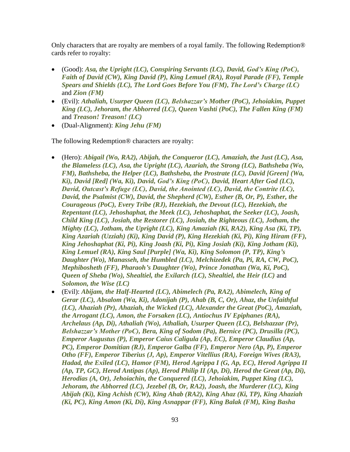Only characters that are royalty are members of a royal family. The following Redemption® cards refer to royalty:

- (Good): *Asa, the Upright (LC), Conspiring Servants (LC), David, God's King (PoC), Faith of David (CW), King David (P), King Lemuel (RA), Royal Parade (FF), Temple Spears and Shields (LC), The Lord Goes Before You (FM), The Lord's Charge (LC)* and *Zion (FM)*
- (Evil): *Athaliah, Usurper Queen (LC), Belshazzar's Mother (PoC), Jehoiakim, Puppet King (LC), Jehoram, the Abhorred (LC), Queen Vashti (PoC), The Fallen King (FM)* and *Treason! Treason! (LC)*
- (Dual-Alignment): *King Jehu (FM)*

The following Redemption® characters are royalty:

- (Hero): *Abigail (Wo, RA2), Abijah, the Conqueror (LC), Amaziah, the Just (LC), Asa, the Blameless (LC), Asa, the Upright (LC), Azariah, the Strong (LC), Bathsheba (Wo, FM), Bathsheba, the Helper (LC), Bathsheba, the Prostrate (LC), David [Green] (Wa, Ki), David [Red] (Wa, Ki), David, God's King (PoC), David, Heart After God (LC), David, Outcast's Refuge (LC), David, the Anointed (LC), David, the Contrite (LC), David, the Psalmist (CW), David, the Shepherd (CW), Esther (B, Or, P), Esther, the Courageous (PoC), Every Tribe (RJ), Hezekiah, the Devout (LC), Hezekiah, the Repentant (LC), Jehoshaphat, the Meek (LC), Jehoshaphat, the Seeker (LC), Joash, Child King (LC), Josiah, the Restorer (LC), Josiah, the Righteous (LC), Jotham, the Mighty (LC), Jotham, the Upright (LC), King Amaziah (Ki, RA2), King Asa (Ki, TP), King Azariah (Uzziah) (Ki), King David (P), King Hezekiah (Ki, Pi), King Hiram (FF), King Jehoshaphat (Ki, Pi), King Joash (Ki, Pi), King Josiah (Ki), King Jotham (Ki), King Lemuel (RA), King Saul [Purple] (Wa, Ki), King Solomon (P, TP), King's Daughter (Wo), Manasseh, the Humbled (LC), Melchizedek (Pa, Pi, RA, CW, PoC), Mephibosheth (FF), Pharaoh's Daughter (Wo), Prince Jonathan (Wa, Ki, PoC), Queen of Sheba (Wo), Shealtiel, the Exilarch (LC), Shealtiel, the Heir (LC)* and *Solomon, the Wise (LC)*
- (Evil): *Abijam, the Half-Hearted (LC), Abimelech (Pa, RA2), Abimelech, King of Gerar (LC), Absalom (Wa, Ki), Adonijah (P), Ahab (B, C, Or), Ahaz, the Unfaithful (LC), Ahaziah (Pr), Ahaziah, the Wicked (LC), Alexander the Great (PoC), Amaziah, the Arrogant (LC), Amon, the Forsaken (LC), Antiochus IV Epiphanes (RA), Archelaus (Ap, Di), Athaliah (Wo), Athaliah, Usurper Queen (LC), Belshazzar (Pr), Belshazzar's Mother (PoC), Bera, King of Sodom (Pa), Bernice (PC), Drusilla (PC), Emperor Augustus (P), Emperor Caius Caligula (Ap, EC), Emperor Claudius (Ap, PC), Emperor Domitian (RJ), Emperor Galba (FF), Emperor Nero (Ap, P), Emperor Otho (FF), Emperor Tiberius (J, Ap), Emperor Vitellius (RA), Foreign Wives (RA3), Hadad, the Exiled (LC), Hamor (FM), Herod Agrippa I (G, Ap, EC), Herod Agrippa II (Ap, TP, GC), Herod Antipas (Ap), Herod Philip II (Ap, Di), Herod the Great (Ap, Di), Herodias (A, Or), Jehoiachin, the Conquered (LC), Jehoiakim, Puppet King (LC), Jehoram, the Abhorred (LC), Jezebel (B, Or, RA2), Joash, the Murderer (LC), King Abijah (Ki), King Achish (CW), King Ahab (RA2), King Ahaz (Ki, TP), King Ahaziah (Ki, PC), King Amon (Ki, Di), King Asnappar (FF), King Balak (FM), King Basha*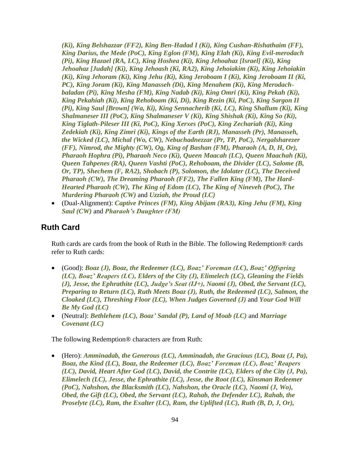*(Ki), King Belshazzar (FF2), King Ben-Hadad I (Ki), King Cushan-Rishathaim (FF), King Darius, the Mede (PoC), King Eglon (FM), King Elah (Ki), King Evil-merodach (Pi), King Hazael (RA, LC), King Hoshea (Ki), King Jehoahaz [Israel] (Ki), King Jehoahaz [Judah] (Ki), King Jehoash (Ki, RA2), King Jehoiakim (Ki), King Jehoiakin (Ki), King Jehoram (Ki), King Jehu (Ki), King Jeroboam I (Ki), King Jeroboam II (Ki, PC), King Joram (Ki), King Manasseh (Di), King Menahem (Ki), King Merodachbaladan (Pi), King Mesha (FM), King Nadab (Ki), King Omri (Ki), King Pekah (Ki), King Pekahiah (Ki), King Rehoboam (Ki, Di), King Rezin (Ki, PoC), King Sargon II (Pi), King Saul [Brown] (Wa, Ki), King Sennacherib (Ki, LC), King Shallum (Ki), King Shalmaneser III (PoC), King Shalmaneser V (Ki), King Shishak (Ki), King So (Ki), King Tiglath-Pileser III (Ki, PoC), King Xerxes (PoC), King Zechariah (Ki), King Zedekiah (Ki), King Zimri (Ki), Kings of the Earth (RJ), Manasseh (Pr), Manasseh, the Wicked (LC), Michal (Wo, CW), Nebuchadnezzar (Pr, TP, PoC), Nergalsharezer (FF), Nimrod, the Mighty (CW), Og, King of Bashan (FM), Pharaoh (A, D, H, Or), Pharaoh Hophra (Pi), Pharaoh Neco (Ki), Queen Maacah (LC), Queen Maachah (Ki), Queen Tahpenes (RA), Queen Vashti (PoC), Rehoboam, the Divider (LC), Salome (B, Or, TP), Shechem (F, RA2), Shobach (P), Solomon, the Idolater (LC), The Deceived Pharaoh (CW), The Dreaming Pharaoh (FF2), The Fallen King (FM), The Hard-Hearted Pharaoh (CW), The King of Edom (LC), The King of Nineveh (PoC), The Murdering Pharaoh (CW)* and *Uzziah, the Proud (LC)*

• (Dual-Alignment): *Captive Princes (FM), King Abijam (RA3), King Jehu (FM), King Saul (CW)* and *Pharaoh's Daughter (FM)*

#### <span id="page-93-0"></span>**Ruth Card**

Ruth cards are cards from the book of Ruth in the Bible. The following Redemption® cards refer to Ruth cards:

- (Good): *Boaz (J), Boaz, the Redeemer (LC), Boaz' Foreman (LC), Boaz' Offspring (LC), Boaz' Reapers (LC), Elders of the City (J), Elimelech (LC), Gleaning the Fields (J), Jesse, the Ephrathite (LC), Judge's Seat (IJ+), Naomi (J), Obed, the Servant (LC), Preparing to Return (LC), Ruth Meets Boaz (J), Ruth, the Redeemed (LC), Salmon, the Cloaked (LC), Threshing Floor (LC), When Judges Governed (J)* and *Your God Will Be My God (LC)*
- (Neutral): *Bethlehem (LC), Boaz' Sandal (P), Land of Moab (LC)* and *Marriage Covenant (LC)*

The following Redemption® characters are from Ruth:

• (Hero): *Amminadab, the Generous (LC), Amminadab, the Gracious (LC), Boaz (J, Pa), Boaz, the Kind (LC), Boaz, the Redeemer (LC), Boaz' Foreman (LC), Boaz' Reapers (LC), David, Heart After God (LC), David, the Contrite (LC), Elders of the City (J, Pa), Elimelech (LC), Jesse, the Ephrathite (LC), Jesse, the Root (LC), Kinsman Redeemer (PoC), Nahshon, the Blacksmith (LC), Nahshon, the Oracle (LC), Naomi (J, Wo), Obed, the Gift (LC), Obed, the Servant (LC), Rahab, the Defender LC), Rahab, the Proselyte (LC), Ram, the Exalter (LC), Ram, the Uplifted (LC), Ruth (B, D, J, Or),*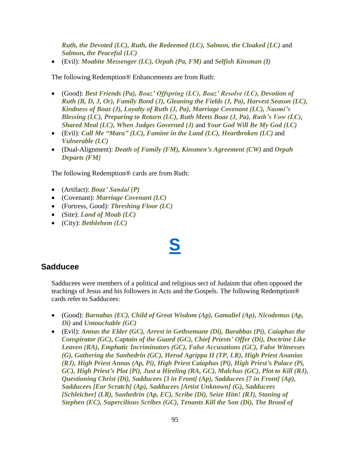*Ruth, the Devoted (LC), Ruth, the Redeemed (LC), Salmon, the Cloaked (LC)* and *Salmon, the Peaceful (LC)*

• (Evil): *Moabite Messenger (LC), Orpah (Pa, FM)* and *Selfish Kinsman (I)*

The following Redemption® Enhancements are from Ruth:

- (Good): *Best Friends (Pa), Boaz' Offspring (LC), Boaz' Resolve (LC), Devotion of Ruth (B, D, J, Or), Family Bond (J), Gleaning the Fields (J, Pa), Harvest Season (LC), Kindness of Boaz (J), Loyalty of Ruth (J, Pa), Marriage Covenant (LC), Naomi's Blessing (LC), Preparing to Return (LC), Ruth Meets Boaz (J, Pa), Ruth's Vow (LC), Shared Meal (LC), When Judges Governed (J)* and *Your God Will Be My God (LC)*
- (Evil): *Call Me "Mara" (LC), Famine in the Land (LC), Heartbroken (LC)* and *Vulnerable (LC)*
- (Dual-Alignment): *Death of Family (FM), Kinsmen's Agreement (CW)* and *Orpah Departs (FM)*

The following Redemption® cards are from Ruth:

- (Artifact): *Boaz' Sandal (P)*
- (Covenant): *Marriage Covenant (LC)*
- (Fortress, Good): *Threshing Floor (LC)*
- (Site): *Land of Moab (LC)*
- (City): *Bethlehem (LC)*

# **[S](#page-1-0)**

#### **Sadducee**

Sadducees were members of a political and religious sect of Judaism that often opposed the teachings of Jesus and his followers in Acts and the Gospels. The following Redemption® cards refer to Sadducees:

- (Good): *Barnabas (EC), Child of Great Wisdom (Ap), Gamaliel (Ap), Nicodemus (Ap, Di)* and *Untouchable (GC)*
- (Evil): *Annas the Elder (GC), Arrest in Gethsemane (Di), Barabbas (Pi), Caiaphas the Conspirator (GC), Captain of the Guard (GC), Chief Priests' Offer (Di), Doctrine Like Leaven (RA), Emphatic Incriminators (GC), False Accusations (GC), False Witnesses (G), Gathering the Sanhedrin (GC), Herod Agrippa II (TP, LR), High Priest Ananias (RJ), High Priest Annas (Ap, Pi), High Priest Caiaphas (Pi), High Priest's Palace (Pi, GC), High Priest's Plot (Pi), Just a Hireling (RA, GC), Malchus (GC), Plot to Kill (RJ), Questioning Christ (Di), Sadducees [3 in Front] (Ap), Sadducees [7 in Front] (Ap), Sadducees [Ear Scratch] (Ap), Sadducees [Artist Unknown] (G), Sadducees [Schleicher] (LR), Sanhedrin (Ap, EC), Scribe (Di), Seize Him! (RJ), Stoning of Stephen (EC), Supercilious Scribes (GC), Tenants Kill the Son (Di), The Brood of*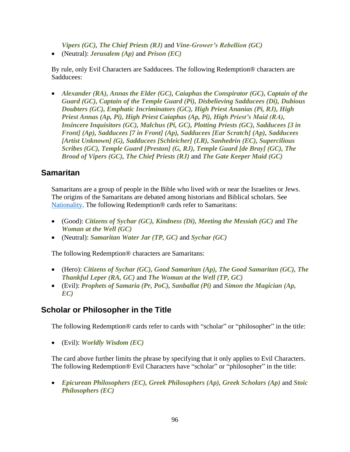*Vipers (GC), The Chief Priests (RJ)* and *Vine-Grower's Rebellion (GC)*

• (Neutral): *Jerusalem (Ap)* and *Prison (EC)*

By rule, only Evil Characters are Sadducees. The following Redemption® characters are Sadducees:

• *Alexander (RA), Annas the Elder (GC), Caiaphas the Conspirator (GC), Captain of the Guard (GC), Captain of the Temple Guard (Pi), Disbelieving Sadducees (Di), Dubious Doubters (GC), Emphatic Incriminators (GC), High Priest Ananias (Pi, RJ), High Priest Annas (Ap, Pi), High Priest Caiaphas (Ap, Pi), High Priest's Maid (RA), Insincere Inquisitors (GC), Malchus (Pi, GC), Plotting Priests (GC), Sadducees [3 in Front] (Ap), Sadducees [7 in Front] (Ap), Sadducees [Ear Scratch] (Ap), Sadducees [Artist Unknown] (G), Sadducees [Schleicher] (LR), Sanhedrin (EC), Supercilious Scribes (GC), Temple Guard [Preston] (G, RJ), Temple Guard [de Bray] (GC), The Brood of Vipers (GC), The Chief Priests (RJ)* and *The Gate Keeper Maid (GC)*

#### <span id="page-95-0"></span>**Samaritan**

Samaritans are a group of people in the Bible who lived with or near the Israelites or Jews. The origins of the Samaritans are debated among historians and Biblical scholars. See [Nationality.](#page-76-0) The following Redemption® cards refer to Samaritans:

- (Good): *Citizens of Sychar (GC), Kindness (Di), Meeting the Messiah (GC)* and *The Woman at the Well (GC)*
- (Neutral): *Samaritan Water Jar (TP, GC)* and *Sychar (GC)*

The following Redemption® characters are Samaritans:

- (Hero): *Citizens of Sychar (GC), Good Samaritan (Ap), The Good Samaritan (GC), The Thankful Leper (RA, GC)* and *The Woman at the Well (TP, GC)*
- (Evil): *Prophets of Samaria (Pr, PoC), Sanballat (Pi)* and *Simon the Magician (Ap, EC)*

#### **Scholar or Philosopher in the Title**

The following Redemption® cards refer to cards with "scholar" or "philosopher" in the title:

• (Evil): *Worldly Wisdom (EC)*

The card above further limits the phrase by specifying that it only applies to Evil Characters. The following Redemption® Evil Characters have "scholar" or "philosopher" in the title:

• *Epicurean Philosophers (EC), Greek Philosophers (Ap), Greek Scholars (Ap)* and *Stoic Philosophers (EC)*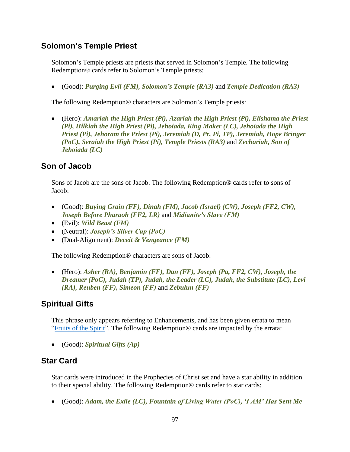### **Solomon's Temple Priest**

Solomon's Temple priests are priests that served in Solomon's Temple. The following Redemption® cards refer to Solomon's Temple priests:

• (Good): *Purging Evil (FM), Solomon's Temple (RA3)* and *Temple Dedication (RA3)*

The following Redemption® characters are Solomon's Temple priests:

• (Hero): *Amariah the High Priest (Pi), Azariah the High Priest (Pi), Elishama the Priest (Pi), Hilkiah the High Priest (Pi), Jehoiada, King Maker (LC), Jehoiada the High Priest (Pi), Jehoram the Priest (Pi), Jeremiah (D, Pr, Pi, TP), Jeremiah, Hope Bringer (PoC), Seraiah the High Priest (Pi), Temple Priests (RA3)* and *Zechariah, Son of Jehoiada (LC)*

# **Son of Jacob**

Sons of Jacob are the sons of Jacob. The following Redemption® cards refer to sons of Jacob:

- (Good): *Buying Grain (FF), Dinah (FM), Jacob (Israel) (CW), Joseph (FF2, CW), Joseph Before Pharaoh (FF2, LR)* and *Midianite's Slave (FM)*
- (Evil): *Wild Beast (FM)*
- (Neutral): *Joseph's Silver Cup (PoC)*
- (Dual-Alignment): *Deceit & Vengeance (FM)*

The following Redemption® characters are sons of Jacob:

• (Hero): *Asher (RA), Benjamin (FF), Dan (FF), Joseph (Pa, FF2, CW), Joseph, the Dreamer (PoC), Judah (TP), Judah, the Leader (LC), Judah, the Substitute (LC), Levi (RA), Reuben (FF), Simeon (FF)* and *Zebulun (FF)*

# **Spiritual Gifts**

This phrase only appears referring to Enhancements, and has been given errata to mean ["Fruits of the Spirit"](#page-30-0). The following Redemption® cards are impacted by the errata:

• (Good): *Spiritual Gifts (Ap)*

#### **Star Card**

Star cards were introduced in the Prophecies of Christ set and have a star ability in addition to their special ability. The following Redemption® cards refer to star cards:

• (Good): *Adam, the Exile (LC), Fountain of Living Water (PoC), 'I AM' Has Sent Me*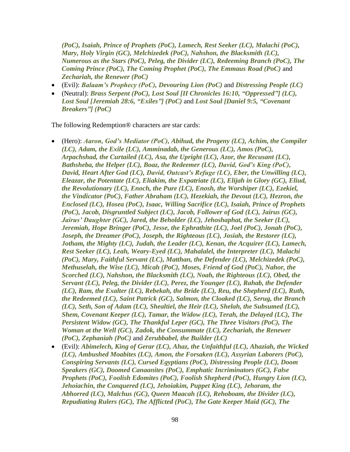*(PoC), Isaiah, Prince of Prophets (PoC), Lamech, Rest Seeker (LC), Malachi (PoC), Mary, Holy Virgin (GC), Melchizedek (PoC), Nahshon, the Blacksmith (LC), Numerous as the Stars (PoC), Peleg, the Divider (LC), Redeeming Branch (PoC), The Coming Prince (PoC), The Coming Prophet (PoC), The Emmaus Road (PoC)* and *Zechariah, the Renewer (PoC)*

- (Evil): *Balaam's Prophecy (PoC), Devouring Lion (PoC)* and *Distressing People (LC)*
- (Neutral): *Brass Serpent (PoC), Lost Soul [II Chronicles 16:10, "Oppressed"] (LC), Lost Soul [Jeremiah 28:6, "Exiles"] (PoC)* and *Lost Soul [Daniel 9:5, "Covenant Breakers"] (PoC)*

The following Redemption® characters are star cards:

- (Hero): *Aaron, God's Mediator (PoC), Abihud, the Progeny (LC), Achim, the Compiler (LC), Adam, the Exile (LC), Amminadab, the Generous (LC), Amos (PoC), Arpachshad, the Curtailed (LC), Asa, the Upright (LC), Azor, the Recusant (LC), Bathsheba, the Helper (LC), Boaz, the Redeemer (LC), David, God's King (PoC), David, Heart After God (LC), David, Outcast's Refuge (LC), Eber, the Unwilling (LC), Eleazar, the Potentate (LC), Eliakim, the Expatriate (LC), Elijah in Glory (GC), Eliud, the Revolutionary (LC), Enoch, the Pure (LC), Enosh, the Worshiper (LC), Ezekiel, the Vindicator (PoC), Father Abraham (LC), Hezekiah, the Devout (LC), Hezron, the Enclosed (LC), Hosea (PoC), Isaac, Willing Sacrifice (LC), Isaiah, Prince of Prophets (PoC), Jacob, Disgruntled Subject (LC), Jacob, Follower of God (LC), Jairus (GC), Jairus' Daughter (GC), Jared, the Beholder (LC), Jehoshaphat, the Seeker (LC), Jeremiah, Hope Bringer (PoC), Jesse, the Ephrathite (LC), Joel (PoC), Jonah (PoC), Joseph, the Dreamer (PoC), Joseph, the Righteous (LC), Josiah, the Restorer (LC), Jotham, the Mighty (LC), Judah, the Leader (LC), Kenan, the Acquirer (LC), Lamech, Rest Seeker (LC), Leah, Weary-Eyed (LC), Mahalalel, the Interpreter (LC), Malachi (PoC), Mary, Faithful Servant (LC), Matthan, the Defender (LC), Melchizedek (PoC), Methuselah, the Wise (LC), Micah (PoC), Moses, Friend of God (PoC), Nahor, the Scorched (LC), Nahshon, the Blacksmith (LC), Noah, the Righteous (LC), Obed, the Servant (LC), Peleg, the Divider (LC), Perez, the Younger (LC), Rahab, the Defender (LC), Ram, the Exalter (LC), Rebekah, the Bride (LC), Reu, the Shepherd (LC), Ruth, the Redeemed (LC), Saint Patrick (GC), Salmon, the Cloaked (LC), Serug, the Branch (LC), Seth, Son of Adam (LC), Shealtiel, the Heir (LC), Shelah, the Subsumed (LC), Shem, Covenant Keeper (LC), Tamar, the Widow (LC), Terah, the Delayed (LC), The Persistent Widow (GC), The Thankful Leper (GC), The Three Visitors (PoC), The Woman at the Well (GC), Zadok, the Consummate (LC), Zechariah, the Renewer (PoC), Zephaniah (PoC)* and *Zerubbabel, the Builder (LC)*
- (Evil): *Abimelech, King of Gerar (LC), Ahaz, the Unfaithful (LC), Ahaziah, the Wicked (LC), Ambushed Moabites (LC), Amon, the Forsaken (LC), Assyrian Laborers (PoC), Conspiring Servants (LC), Cursed Egyptians (PoC), Distressing People (LC), Doom Speakers (GC), Doomed Canaanites (PoC), Emphatic Incriminators (GC), False Prophets (PoC), Foolish Edomites (PoC), Foolish Shepherd (PoC), Hungry Lion (LC), Jehoiachin, the Conquered (LC), Jehoiakim, Puppet King (LC), Jehoram, the Abhorred (LC), Malchus (GC), Queen Maacah (LC), Rehoboam, the Divider (LC), Repudiating Rulers (GC), The Afflicted (PoC), The Gate Keeper Maid (GC), The*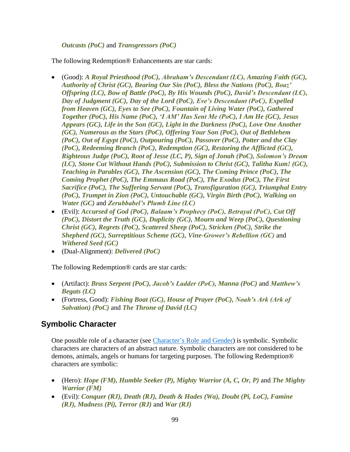#### *Outcasts (PoC)* and *Transgressors (PoC)*

The following Redemption® Enhancements are star cards:

- (Good): *A Royal Priesthood (PoC), Abraham's Descendant (LC), Amazing Faith (GC), Authority of Christ (GC), Bearing Our Sin (PoC), Bless the Nations (PoC), Boaz' Offspring (LC), Bow of Battle (PoC), By His Wounds (PoC), David's Descendant (LC), Day of Judgment (GC), Day of the Lord (PoC), Eve's Descendant (PoC), Expelled from Heaven (GC), Eyes to See (PoC), Fountain of Living Water (PoC), Gathered Together (PoC), His Name (PoC), 'I AM' Has Sent Me (PoC), I Am He (GC), Jesus Appears (GC), Life in the Son (GC), Light in the Darkness (PoC), Love One Another (GC), Numerous as the Stars (PoC), Offering Your Son (PoC), Out of Bethlehem (PoC), Out of Egypt (PoC), Outpouring (PoC), Passover (PoC), Potter and the Clay (PoC), Redeeming Branch (PoC), Redemption (GC), Restoring the Afflicted (GC), Righteous Judge (PoC), Root of Jesse (LC, P), Sign of Jonah (PoC), Solomon's Dream (LC), Stone Cut Without Hands (PoC), Submission to Christ (GC), Talitha Kum! (GC), Teaching in Parables (GC), The Ascension (GC), The Coming Prince (PoC), The Coming Prophet (PoC), The Emmaus Road (PoC), The Exodus (PoC), The First Sacrifice (PoC), The Suffering Servant (PoC), Transfiguration (GC), Triumphal Entry (PoC), Trumpet in Zion (PoC), Untouchable (GC), Virgin Birth (PoC), Walking on Water (GC)* and *Zerubbabel's Plumb Line (LC)*
- (Evil): *Accursed of God (PoC), Balaam's Prophecy (PoC), Betrayal (PoC), Cut Off (PoC), Distort the Truth (GC), Duplicity (GC), Mourn and Weep (PoC), Questioning Christ (GC), Regrets (PoC), Scattered Sheep (PoC), Stricken (PoC), Strike the Shepherd (GC), Surreptitious Scheme (GC), Vine-Grower's Rebellion (GC)* and *Withered Seed (GC)*
- (Dual-Alignment): *Delivered (PoC)*

The following Redemption<sup>®</sup> cards are star cards:

- (Artifact): *Brass Serpent (PoC), Jacob's Ladder (PoC), Manna (PoC)* and *Matthew's Begats (LC)*
- (Fortress, Good): *Fishing Boat (GC), House of Prayer (PoC), Noah's Ark (Ark of Salvation) (PoC)* and *The Throne of David (LC)*

# <span id="page-98-0"></span>**Symbolic Character**

One possible role of a character (see [Character's Role and Gender\)](#page-14-0) is symbolic. Symbolic characters are characters of an abstract nature. Symbolic characters are not considered to be demons, animals, angels or humans for targeting purposes. The following Redemption® characters are symbolic:

- (Hero): *Hope (FM), Humble Seeker (P), Mighty Warrior (A, C, Or, P)* and *The Mighty Warrior (FM)*
- (Evil): *Conquer (RJ), Death (RJ), Death & Hades (Wa), Doubt (Pi, LoC), Famine (RJ), Madness (Pi), Terror (RJ)* and *War (RJ)*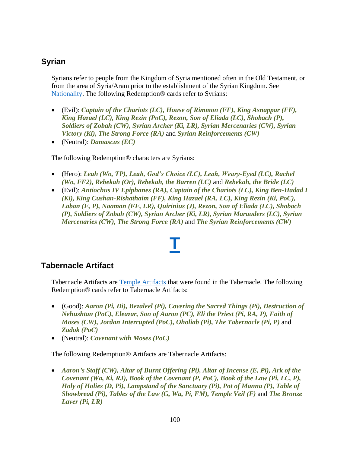# <span id="page-99-0"></span>**Syrian**

Syrians refer to people from the Kingdom of Syria mentioned often in the Old Testament, or from the area of Syria/Aram prior to the establishment of the Syrian Kingdom. See [Nationality.](#page-76-0) The following Redemption® cards refer to Syrians:

- (Evil): *Captain of the Chariots (LC), House of Rimmon (FF), King Asnappar (FF), King Hazael (LC), King Rezin (PoC), Rezon, Son of Eliada (LC), Shobach (P), Soldiers of Zobah (CW), Syrian Archer (Ki, LR), Syrian Mercenaries (CW), Syrian Victory (Ki), The Strong Force (RA)* and *Syrian Reinforcements (CW)*
- (Neutral): *Damascus (EC)*

The following Redemption® characters are Syrians:

- (Hero): *Leah (Wo, TP), Leah, God's Choice (LC), Leah, Weary-Eyed (LC), Rachel (Wo, FF2), Rebekah (Or), Rebekah, the Barren (LC)* and *Rebekah, the Bride (LC)*
- (Evil): *Antiochus IV Epiphanes (RA), Captain of the Chariots (LC), King Ben-Hadad I (Ki), King Cushan-Rishathaim (FF), King Hazael (RA, LC), King Rezin (Ki, PoC), Laban (F, P), Naaman (FF, LR), Quirinius (J), Rezon, Son of Eliada (LC), Shobach (P), Soldiers of Zobah (CW), Syrian Archer (Ki, LR), Syrian Marauders (LC), Syrian Mercenaries (CW), The Strong Force (RA)* and *The Syrian Reinforcements (CW)*

#### <span id="page-99-1"></span>**Tabernacle Artifact**

Tabernacle Artifacts are [Temple Artifacts](#page-100-0) that were found in the Tabernacle. The following Redemption® cards refer to Tabernacle Artifacts:

**[T](#page-1-0)**

- (Good): *Aaron (Pi, Di), Bezaleel (Pi), Covering the Sacred Things (Pi), Destruction of Nehushtan (PoC), Eleazar, Son of Aaron (PC), Eli the Priest (Pi, RA, P), Faith of Moses (CW), Jordan Interrupted (PoC), Oholiab (Pi), The Tabernacle (Pi, P)* and *Zadok (PoC)*
- (Neutral): *Covenant with Moses (PoC)*

The following Redemption® Artifacts are Tabernacle Artifacts:

• *Aaron's Staff (CW), Altar of Burnt Offering (Pi), Altar of Incense (E, Pi), Ark of the Covenant (Wa, Ki, RJ), Book of the Covenant (P, PoC), Book of the Law (Pi, LC, P), Holy of Holies (D, Pi), Lampstand of the Sanctuary (Pi), Pot of Manna (P), Table of Showbread (Pi), Tables of the Law (G, Wa, Pi, FM), Temple Veil (F)* and *The Bronze Laver (Pi, LR)*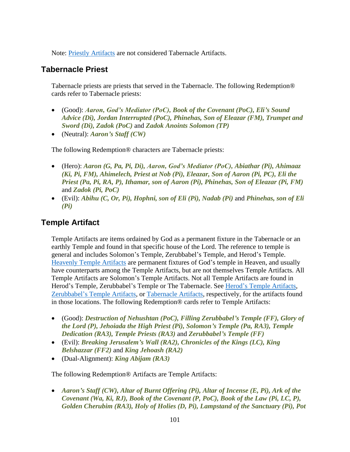Note: [Priestly Artifacts](#page-84-0) are not considered Tabernacle Artifacts.

# **Tabernacle Priest**

Tabernacle priests are priests that served in the Tabernacle. The following Redemption® cards refer to Tabernacle priests:

- (Good): *Aaron, God's Mediator (PoC), Book of the Covenant (PoC), Eli's Sound Advice (Di), Jordan Interrupted (PoC), Phinehas, Son of Eleazar (FM), Trumpet and Sword (Di), Zadok (PoC)* and *Zadok Anoints Solomon (TP)*
- (Neutral): *Aaron's Staff (CW)*

The following Redemption® characters are Tabernacle priests:

- (Hero): *Aaron (G, Pa, Pi, Di), Aaron, God's Mediator (PoC), Abiathar (Pi), Ahimaaz (Ki, Pi, FM), Ahimelech, Priest at Nob (Pi), Eleazar, Son of Aaron (Pi, PC), Eli the Priest (Pa, Pi, RA, P), Ithamar, son of Aaron (Pi), Phinehas, Son of Eleazar (Pi, FM)* and *Zadok (Pi, PoC)*
- (Evil): *Abihu (C, Or, Pi), Hophni, son of Eli (Pi), Nadab (Pi)* and *Phinehas, son of Eli (Pi)*

# <span id="page-100-0"></span>**Temple Artifact**

Temple Artifacts are items ordained by God as a permanent fixture in the Tabernacle or an earthly Temple and found in that specific house of the Lord. The reference to temple is general and includes Solomon's Temple, Zerubbabel's Temple, and Herod's Temple. [Heavenly Temple Artifacts](#page-39-2) are permanent fixtures of God's temple in Heaven, and usually have counterparts among the Temple Artifacts, but are not themselves Temple Artifacts. All Temple Artifacts are Solomon's Temple Artifacts. Not all Temple Artifacts are found in Herod's Temple, Zerubbabel's Temple or The Tabernacle. See [Herod's Temple Artifacts,](#page-42-0) [Zerubbabel's Temple Artifacts,](#page-102-1) or [Tabernacle Artifacts,](#page-99-1) respectively, for the artifacts found in those locations. The following Redemption® cards refer to Temple Artifacts:

- (Good): *Destruction of Nehushtan (PoC), Filling Zerubbabel's Temple (FF), Glory of the Lord (P), Jehoiada the High Priest (Pi), Solomon's Temple (Pa, RA3), Temple Dedication (RA3), Temple Priests (RA3)* and *Zerubbabel's Temple (FF)*
- (Evil): *Breaking Jerusalem's Wall (RA2), Chronicles of the Kings (LC), King Belshazzar (FF2)* and *King Jehoash (RA2)*
- (Dual-Alignment): *King Abijam (RA3)*

The following Redemption® Artifacts are Temple Artifacts:

• *Aaron's Staff (CW), Altar of Burnt Offering (Pi), Altar of Incense (E, Pi), Ark of the Covenant (Wa, Ki, RJ), Book of the Covenant (P, PoC), Book of the Law (Pi, LC, P), Golden Cherubim (RA3), Holy of Holies (D, Pi), Lampstand of the Sanctuary (Pi), Pot*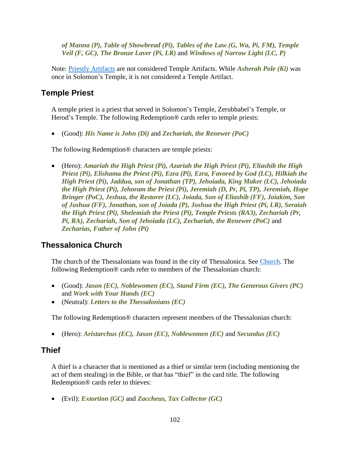*of Manna (P), Table of Showbread (Pi), Tables of the Law (G, Wa, Pi, FM), Temple Veil (F, GC), The Bronze Laver (Pi, LR)* and *Windows of Narrow Light (LC, P)*

Note: [Priestly Artifacts](#page-84-0) are not considered Temple Artifacts. While *Asherah Pole (Ki)* was once in Solomon's Temple, it is not considered a Temple Artifact.

#### **Temple Priest**

A temple priest is a priest that served in Solomon's Temple, Zerubbabel's Temple, or Herod's Temple. The following Redemption® cards refer to temple priests:

• (Good): *His Name is John (Di)* and *Zechariah, the Renewer (PoC)*

The following Redemption® characters are temple priests:

• (Hero): *Amariah the High Priest (Pi), Azariah the High Priest (Pi), Eliashib the High Priest (Pi), Elishama the Priest (Pi), Ezra (Pi), Ezra, Favored by God (LC), Hilkiah the High Priest (Pi), Jaddua, son of Jonathan (TP), Jehoiada, King Maker (LC), Jehoiada the High Priest (Pi), Jehoram the Priest (Pi), Jeremiah (D, Pr, Pi, TP), Jeremiah, Hope Bringer (PoC), Jeshua, the Restorer (LC), Joiada, Son of Eliashib (FF), Joiakim, Son of Joshua (FF), Jonathan, son of Joiada (P), Joshua the High Priest (Pi, LR), Seraiah the High Priest (Pi), Shelemiah the Priest (Pi), Temple Priests (RA3), Zechariah (Pr, Pi, RA), Zechariah, Son of Jehoiada (LC), Zechariah, the Renewer (PoC)* and *Zecharias, Father of John (Pi)*

# **Thessalonica Church**

The church of the Thessalonians was found in the city of Thessalonica. See [Church.](#page-15-0) The following Redemption® cards refer to members of the Thessalonian church:

- (Good): *Jason (EC), Noblewomen (EC), Stand Firm (EC), The Generous Givers (PC)* and *Work with Your Hands (EC)*
- (Neutral): *Letters to the Thessalonians (EC)*

The following Redemption® characters represent members of the Thessalonian church:

• (Hero): *Aristarchus (EC), Jason (EC), Noblewomen (EC)* and *Secundus (EC)*

#### **Thief**

A thief is a character that is mentioned as a thief or similar term (including mentioning the act of them stealing) in the Bible, or that has "thief" in the card title. The following Redemption® cards refer to thieves:

• (Evil): *Extortion (GC)* and *Zaccheus, Tax Collector (GC)*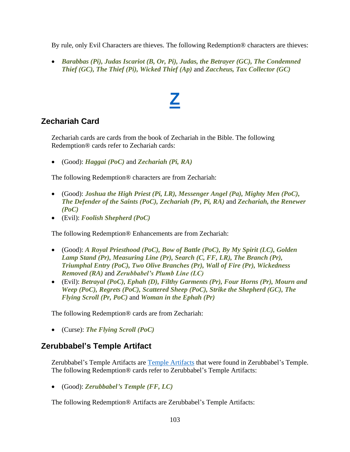By rule, only Evil Characters are thieves. The following Redemption® characters are thieves:

• *Barabbas (Pi), Judas Iscariot (B, Or, Pi), Judas, the Betrayer (GC), The Condemned Thief (GC), The Thief (Pi), Wicked Thief (Ap)* and *Zaccheus, Tax Collector (GC)*

# **[Z](#page-1-0)**

# <span id="page-102-0"></span>**Zechariah Card**

Zechariah cards are cards from the book of Zechariah in the Bible. The following Redemption® cards refer to Zechariah cards:

• (Good): *Haggai (PoC)* and *Zechariah (Pi, RA)*

The following Redemption® characters are from Zechariah:

- (Good): *Joshua the High Priest (Pi, LR), Messenger Angel (Pa), Mighty Men (PoC), The Defender of the Saints (PoC), Zechariah (Pr, Pi, RA)* and *Zechariah, the Renewer (PoC)*
- (Evil): *Foolish Shepherd (PoC)*

The following Redemption® Enhancements are from Zechariah:

- (Good): *A Royal Priesthood (PoC), Bow of Battle (PoC), By My Spirit (LC), Golden Lamp Stand (Pr), Measuring Line (Pr), Search (C, FF, LR), The Branch (Pr), Triumphal Entry (PoC), Two Olive Branches (Pr), Wall of Fire (Pr), Wickedness Removed (RA)* and *Zerubbabel's Plumb Line (LC)*
- (Evil): *Betrayal (PoC), Ephah (D), Filthy Garments (Pr), Four Horns (Pr), Mourn and Weep (PoC), Regrets (PoC), Scattered Sheep (PoC), Strike the Shepherd (GC), The Flying Scroll (Pr, PoC)* and *Woman in the Ephah (Pr)*

The following Redemption® cards are from Zechariah:

• (Curse): *The Flying Scroll (PoC)*

# <span id="page-102-1"></span>**Zerubbabel's Temple Artifact**

Zerubbabel's Temple Artifacts are [Temple Artifacts](#page-100-0) that were found in Zerubbabel's Temple. The following Redemption® cards refer to Zerubbabel's Temple Artifacts:

• (Good): *Zerubbabel's Temple (FF, LC)*

The following Redemption® Artifacts are Zerubbabel's Temple Artifacts: